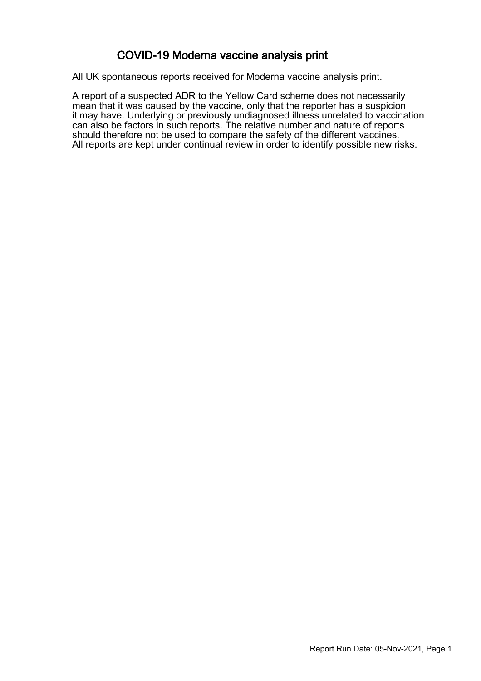### COVID-19 Moderna vaccine analysis print

All UK spontaneous reports received for Moderna vaccine analysis print.

A report of a suspected ADR to the Yellow Card scheme does not necessarily mean that it was caused by the vaccine, only that the reporter has a suspicion it may have. Underlying or previously undiagnosed illness unrelated to vaccination can also be factors in such reports. The relative number and nature of reports should therefore not be used to compare the safety of the different vaccines. All reports are kept under continual review in order to identify possible new risks.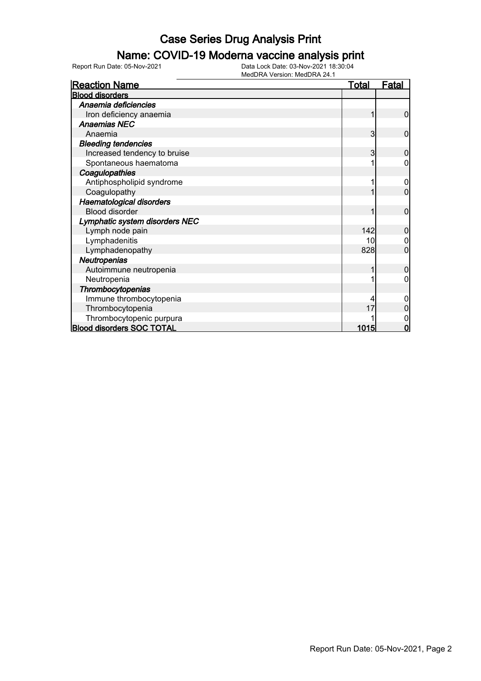### Name: COVID-19 Moderna vaccine analysis print

Report Run Date: 05-Nov-2021 Data Lock Date: 03-Nov-2021 18:30:04

| <b>Reaction Name</b>             | <b>Total</b> | <u>Fatal</u>   |
|----------------------------------|--------------|----------------|
| <b>Blood disorders</b>           |              |                |
| Anaemia deficiencies             |              |                |
| Iron deficiency anaemia          |              | 0              |
| <b>Anaemias NEC</b>              |              |                |
| Anaemia                          | 3            | $\mathbf{0}$   |
| <b>Bleeding tendencies</b>       |              |                |
| Increased tendency to bruise     | 3            | 0              |
| Spontaneous haematoma            |              | 0              |
| Coagulopathies                   |              |                |
| Antiphospholipid syndrome        |              | 0              |
| Coagulopathy                     |              | 0              |
| <b>Haematological disorders</b>  |              |                |
| <b>Blood disorder</b>            |              | $\overline{0}$ |
| Lymphatic system disorders NEC   |              |                |
| Lymph node pain                  | 142          | 0              |
| Lymphadenitis                    | 10           |                |
| Lymphadenopathy                  | 828          | 0              |
| Neutropenias                     |              |                |
| Autoimmune neutropenia           |              | 0              |
| Neutropenia                      |              | 0              |
| <b>Thrombocytopenias</b>         |              |                |
| Immune thrombocytopenia          |              | 0              |
| Thrombocytopenia                 |              |                |
| Thrombocytopenic purpura         |              |                |
| <b>Blood disorders SOC TOTAL</b> | 1015         | 0              |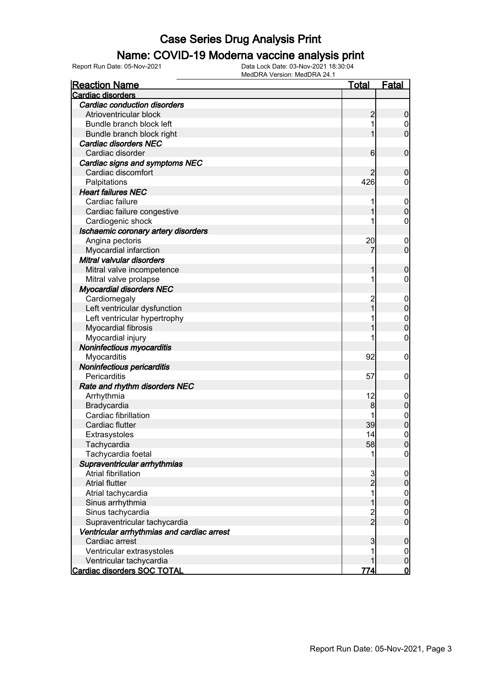#### Name: COVID-19 Moderna vaccine analysis print

Report Run Date: 05-Nov-2021 Data Lock Date: 03-Nov-2021 18:30:04

| <b>Reaction Name</b>                       | <b>Total</b>   | Fatal                            |
|--------------------------------------------|----------------|----------------------------------|
| Cardiac disorders                          |                |                                  |
| <b>Cardiac conduction disorders</b>        |                |                                  |
| Atrioventricular block                     | $\overline{c}$ | $\boldsymbol{0}$                 |
| Bundle branch block left                   | 1              | $\mathbf 0$                      |
| Bundle branch block right                  | 1              | $\overline{0}$                   |
| Cardiac disorders NEC                      |                |                                  |
| Cardiac disorder                           | 6              | $\mathbf 0$                      |
| Cardiac signs and symptoms NEC             |                |                                  |
| Cardiac discomfort                         | 2              | $\mathbf 0$                      |
| Palpitations                               | 426            | $\mathbf 0$                      |
| <b>Heart failures NEC</b>                  |                |                                  |
| Cardiac failure                            | 1              | $\boldsymbol{0}$                 |
| Cardiac failure congestive                 | 1              | $\mathbf 0$                      |
| Cardiogenic shock                          | 1              | $\mathbf 0$                      |
| Ischaemic coronary artery disorders        |                |                                  |
| Angina pectoris                            | 20             | $\mathbf 0$                      |
| Myocardial infarction                      | 7              | $\mathbf 0$                      |
| Mitral valvular disorders                  |                |                                  |
| Mitral valve incompetence                  | 1              | $\mathbf 0$                      |
| Mitral valve prolapse                      | 1              | 0                                |
| <b>Myocardial disorders NEC</b>            |                |                                  |
| Cardiomegaly                               | $\overline{c}$ | $\boldsymbol{0}$                 |
| Left ventricular dysfunction               | $\overline{1}$ | $\mathbf 0$                      |
| Left ventricular hypertrophy               | 1              |                                  |
| Myocardial fibrosis                        | 1              | $\begin{matrix}0\\0\end{matrix}$ |
| Myocardial injury                          |                | $\mathbf 0$                      |
| Noninfectious myocarditis                  |                |                                  |
| Myocarditis                                | 92             | $\boldsymbol{0}$                 |
| Noninfectious pericarditis                 |                |                                  |
| Pericarditis                               | 57             | $\mathbf 0$                      |
| Rate and rhythm disorders NEC              |                |                                  |
| Arrhythmia                                 | 12             | $\mathbf 0$                      |
| Bradycardia                                | 8              | $\mathbf 0$                      |
| Cardiac fibrillation                       | 1              |                                  |
| Cardiac flutter                            | 39             | $0\atop 0$                       |
| Extrasystoles                              | 14             | $\mathbf 0$                      |
| Tachycardia                                | 58             | 0                                |
| Tachycardia foetal                         | 1              | $\overline{0}$                   |
| Supraventricular arrhythmias               |                |                                  |
| Atrial fibrillation                        | 3              | $\mathbf 0$                      |
| <b>Atrial flutter</b>                      | $\overline{c}$ | $\pmb{0}$                        |
| Atrial tachycardia                         | 1              | $\mathbf 0$                      |
| Sinus arrhythmia                           | 1              | $\mathbf 0$                      |
| Sinus tachycardia                          |                | $\mathbf 0$                      |
| Supraventricular tachycardia               | $\frac{2}{2}$  | $\overline{0}$                   |
| Ventricular arrhythmias and cardiac arrest |                |                                  |
| Cardiac arrest                             | 3              | $\boldsymbol{0}$                 |
| Ventricular extrasystoles                  | 1              | $\overline{0}$                   |
| Ventricular tachycardia                    | 1              | $\pmb{0}$                        |
| Cardiac disorders SOC TOTAL                | 774            | <u>0</u>                         |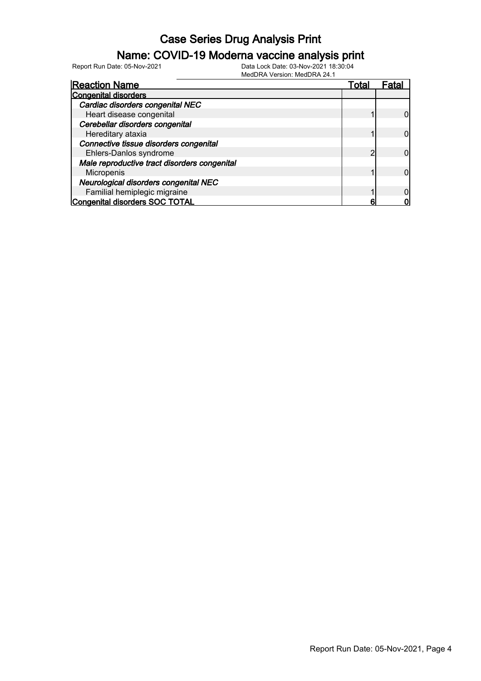### Name: COVID-19 Moderna vaccine analysis print

Report Run Date: 05-Nov-2021 Data Lock Date: 03-Nov-2021 18:30:04

| <b>Reaction Name</b>                         | Total | ⊦ata |
|----------------------------------------------|-------|------|
| <b>Congenital disorders</b>                  |       |      |
| Cardiac disorders congenital NEC             |       |      |
| Heart disease congenital                     |       |      |
| Cerebellar disorders congenital              |       |      |
| Hereditary ataxia                            |       |      |
| Connective tissue disorders congenital       |       |      |
| Ehlers-Danlos syndrome                       | ◠     |      |
| Male reproductive tract disorders congenital |       |      |
| Micropenis                                   |       |      |
| Neurological disorders congenital NEC        |       |      |
| Familial hemiplegic migraine                 |       |      |
| Congenital disorders SOC TOTAL               | 6     |      |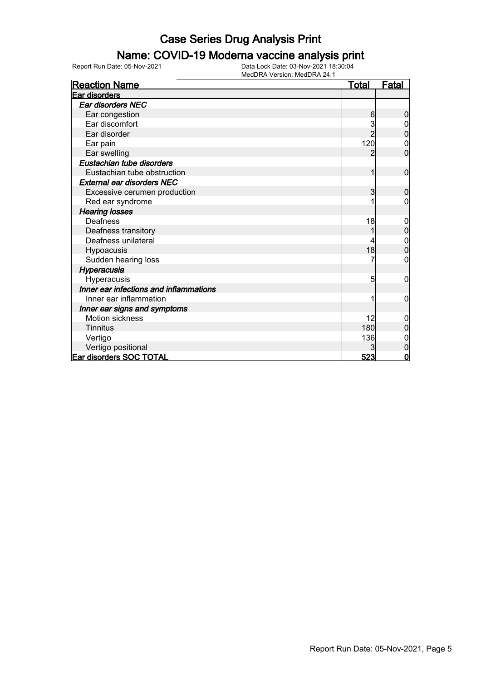#### Name: COVID-19 Moderna vaccine analysis print

| <b>Reaction Name</b>                   | <u>Total</u> | <b>Fatal</b>   |
|----------------------------------------|--------------|----------------|
| Ear disorders                          |              |                |
| Ear disorders NEC                      |              |                |
| Ear congestion                         | 6            | 0              |
| Ear discomfort                         |              |                |
| Ear disorder                           |              | 0              |
| Ear pain                               | 120          | 0              |
| Ear swelling                           | 2            | $\overline{0}$ |
| Eustachian tube disorders              |              |                |
| Eustachian tube obstruction            | 1            | $\mathbf 0$    |
| <b>External ear disorders NEC</b>      |              |                |
| Excessive cerumen production           | 3            | 0              |
| Red ear syndrome                       |              | 0              |
| <b>Hearing losses</b>                  |              |                |
| Deafness                               | 18           | 0              |
| Deafness transitory                    |              | $\overline{0}$ |
| Deafness unilateral                    |              | 0              |
| Hypoacusis                             | 18           | 0              |
| Sudden hearing loss                    |              | 0              |
| Hyperacusia                            |              |                |
| Hyperacusis                            | 5            | 0              |
| Inner ear infections and inflammations |              |                |
| Inner ear inflammation                 |              | 0              |
| Inner ear signs and symptoms           |              |                |
| <b>Motion sickness</b>                 | 12           | 0              |
| <b>Tinnitus</b>                        | 180          | 0              |
| Vertigo                                | 136          |                |
| Vertigo positional                     |              | 0              |
| <b>Ear disorders SOC TOTAL</b>         | 523          | 0              |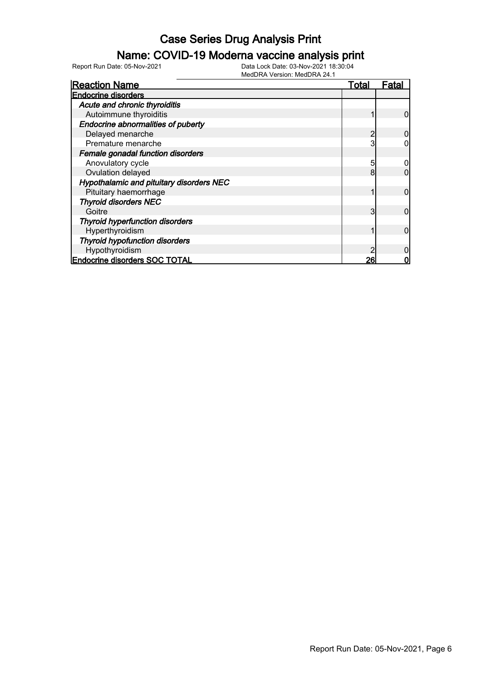#### Name: COVID-19 Moderna vaccine analysis print

Report Run Date: 05-Nov-2021 Data Lock Date: 03-Nov-2021 18:30:04

| <b>Reaction Name</b>                     | <u>Total</u> | Fatal |
|------------------------------------------|--------------|-------|
| <b>Endocrine disorders</b>               |              |       |
| Acute and chronic thyroiditis            |              |       |
| Autoimmune thyroiditis                   |              |       |
| Endocrine abnormalities of puberty       |              |       |
| Delayed menarche                         |              |       |
| Premature menarche                       | 3            |       |
| Female gonadal function disorders        |              |       |
| Anovulatory cycle                        | 5            |       |
| Ovulation delayed                        | 8            |       |
| Hypothalamic and pituitary disorders NEC |              |       |
| Pituitary haemorrhage                    |              | 0     |
| <b>Thyroid disorders NEC</b>             |              |       |
| Goitre                                   | 3            | 0     |
| <b>Thyroid hyperfunction disorders</b>   |              |       |
| Hyperthyroidism                          |              |       |
| <b>Thyroid hypofunction disorders</b>    |              |       |
| Hypothyroidism                           |              |       |
| <b>Endocrine disorders SOC TOTAL</b>     | 26           |       |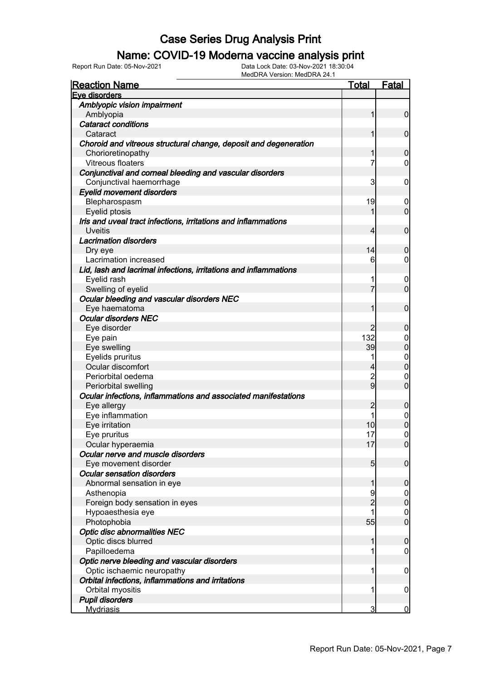### Name: COVID-19 Moderna vaccine analysis print

| <b>Reaction Name</b>                                             | <u>Total</u>   | <b>Fatal</b>                         |
|------------------------------------------------------------------|----------------|--------------------------------------|
| Eye disorders                                                    |                |                                      |
| Amblyopic vision impairment                                      |                |                                      |
| Amblyopia                                                        | 1              | $\overline{0}$                       |
| <b>Cataract conditions</b>                                       |                |                                      |
| Cataract                                                         | 1              | $\mathbf 0$                          |
| Choroid and vitreous structural change, deposit and degeneration |                |                                      |
| Chorioretinopathy                                                | 1              | $\mathbf 0$                          |
| <b>Vitreous floaters</b>                                         | 7              | $\overline{0}$                       |
| Conjunctival and corneal bleeding and vascular disorders         |                |                                      |
| Conjunctival haemorrhage                                         | 3              | $\mathbf 0$                          |
| <b>Eyelid movement disorders</b>                                 |                |                                      |
| Blepharospasm                                                    | 19             | $\mathbf 0$                          |
| Eyelid ptosis                                                    | 1              | $\overline{0}$                       |
| Iris and uveal tract infections, irritations and inflammations   |                |                                      |
| <b>Uveitis</b>                                                   | 4              | $\mathbf 0$                          |
| <b>Lacrimation disorders</b>                                     |                |                                      |
|                                                                  | 14             | $\mathbf 0$                          |
| Dry eye<br>Lacrimation increased                                 | 6              | $\overline{0}$                       |
|                                                                  |                |                                      |
| Lid, lash and lacrimal infections, irritations and inflammations |                |                                      |
| Eyelid rash                                                      | 1              | $\mathbf 0$                          |
| Swelling of eyelid                                               | 7              | $\overline{0}$                       |
| Ocular bleeding and vascular disorders NEC                       |                |                                      |
| Eye haematoma                                                    | 1              | $\mathbf 0$                          |
| <b>Ocular disorders NEC</b>                                      |                |                                      |
| Eye disorder                                                     |                | $\mathbf 0$                          |
| Eye pain                                                         | 132            | $0\atop 0$                           |
| Eye swelling                                                     | 39             |                                      |
| Eyelids pruritus                                                 | 1              | $\begin{matrix} 0 \\ 0 \end{matrix}$ |
| Ocular discomfort                                                | 4              |                                      |
| Periorbital oedema                                               | $\overline{2}$ | $\mathbf{0}$                         |
| Periorbital swelling                                             | $\overline{9}$ | $\overline{0}$                       |
| Ocular infections, inflammations and associated manifestations   |                |                                      |
| Eye allergy                                                      | $\overline{c}$ | $\pmb{0}$                            |
| Eye inflammation                                                 | 1              | $\begin{matrix} 0 \\ 0 \end{matrix}$ |
| Eye irritation                                                   | 10             |                                      |
| Eye pruritus                                                     | 17             | $\mathbf 0$                          |
| Ocular hyperaemia                                                | 17             | 0                                    |
| Ocular nerve and muscle disorders                                |                |                                      |
| Eye movement disorder                                            | 5              | $\mathbf 0$                          |
| <b>Ocular sensation disorders</b>                                |                |                                      |
| Abnormal sensation in eye                                        | 1              | $\boldsymbol{0}$                     |
| Asthenopia                                                       | 9              |                                      |
| Foreign body sensation in eyes                                   | $\overline{c}$ | $0$<br>0                             |
| Hypoaesthesia eye                                                |                |                                      |
| Photophobia                                                      | 55             | $\begin{matrix} 0 \\ 0 \end{matrix}$ |
| <b>Optic disc abnormalities NEC</b>                              |                |                                      |
| Optic discs blurred                                              | 1              | $\boldsymbol{0}$                     |
| Papilloedema                                                     | 1              | $\boldsymbol{0}$                     |
| Optic nerve bleeding and vascular disorders                      |                |                                      |
| Optic ischaemic neuropathy                                       | 1              | $\mathbf 0$                          |
| Orbital infections, inflammations and irritations                |                |                                      |
|                                                                  |                |                                      |
| Orbital myositis                                                 | 1              | $\mathbf 0$                          |
| <b>Pupil disorders</b>                                           |                |                                      |
| <b>Mydriasis</b>                                                 | 3              | $\mathbf 0$                          |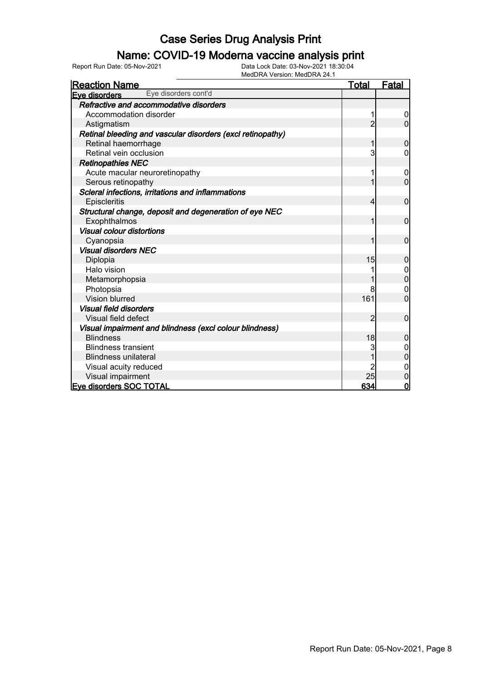### Name: COVID-19 Moderna vaccine analysis print

| <b>Reaction Name</b>                                       | <b>Total</b>   | <u>Fatal</u>     |
|------------------------------------------------------------|----------------|------------------|
| Eye disorders cont'd<br>Eye disorders                      |                |                  |
| Refractive and accommodative disorders                     |                |                  |
| Accommodation disorder                                     | 1              | $\boldsymbol{0}$ |
| Astigmatism                                                | $\overline{2}$ | $\overline{0}$   |
| Retinal bleeding and vascular disorders (excl retinopathy) |                |                  |
| Retinal haemorrhage                                        | 1              | $\mathbf 0$      |
| Retinal vein occlusion                                     | 3              | 0                |
| <b>Retinopathies NEC</b>                                   |                |                  |
| Acute macular neuroretinopathy                             | 1              | $\mathbf 0$      |
| Serous retinopathy                                         | 1              | $\overline{0}$   |
| Scleral infections, irritations and inflammations          |                |                  |
| Episcleritis                                               | 4              | $\mathbf 0$      |
| Structural change, deposit and degeneration of eye NEC     |                |                  |
| Exophthalmos                                               | 1              | $\mathbf 0$      |
| <b>Visual colour distortions</b>                           |                |                  |
| Cyanopsia                                                  | 1              | $\mathbf 0$      |
| <b>Visual disorders NEC</b>                                |                |                  |
| Diplopia                                                   | 15             | 0                |
| Halo vision                                                |                | 0                |
| Metamorphopsia                                             |                | $\overline{0}$   |
| Photopsia                                                  | 8              | 0                |
| Vision blurred                                             | 161            | $\overline{0}$   |
| <b>Visual field disorders</b>                              |                |                  |
| Visual field defect                                        | $\overline{2}$ | $\mathbf 0$      |
| Visual impairment and blindness (excl colour blindness)    |                |                  |
| <b>Blindness</b>                                           | 18             | 0                |
| <b>Blindness transient</b>                                 | 3              | 0                |
| <b>Blindness unilateral</b>                                |                | 0                |
| Visual acuity reduced                                      | 2              | $\boldsymbol{0}$ |
| Visual impairment                                          | 25             | $\mathbf 0$      |
| <b>Eve disorders SOC TOTAL</b>                             | 634            | $\overline{0}$   |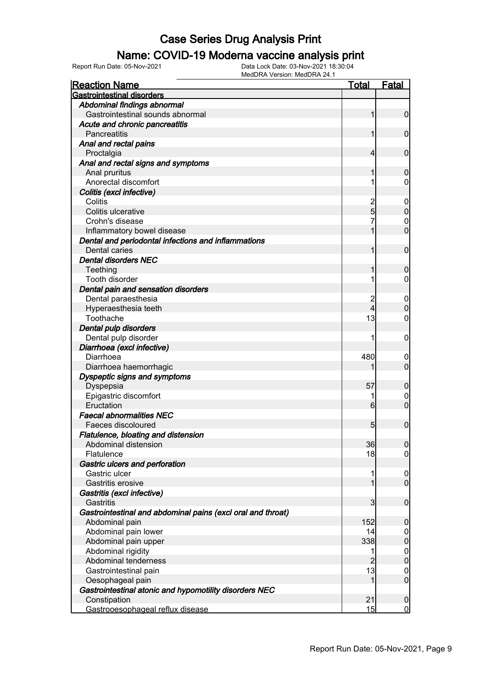#### Name: COVID-19 Moderna vaccine analysis print

| <b>Gastrointestinal disorders</b><br>Abdominal findings abnormal<br>Gastrointestinal sounds abnormal<br>$\overline{0}$<br>Acute and chronic pancreatitis<br>$\overline{0}$<br><b>Pancreatitis</b><br>Anal and rectal pains<br>$\mathbf 0$<br>Proctalgia<br>4<br>Anal and rectal signs and symptoms<br>Anal pruritus<br>$\mathbf 0$<br>Anorectal discomfort<br>0<br>Colitis (excl infective)<br>$\frac{2}{5}$<br>Colitis<br>$\mathbf 0$<br>$\overline{0}$<br>Colitis ulcerative<br>Crohn's disease<br>0<br>$\mathbf 0$<br>Inflammatory bowel disease<br>Dental and periodontal infections and inflammations<br>$\mathbf 0$<br>Dental caries<br><b>Dental disorders NEC</b><br>Teething<br>$\mathbf 0$<br><b>Tooth disorder</b><br>0<br>Dental pain and sensation disorders<br>Dental paraesthesia<br>$\mathbf 0$<br>$\mathbf 0$<br>4<br>Hyperaesthesia teeth<br>13<br>Toothache<br>0<br>Dental pulp disorders<br>Dental pulp disorder<br>0<br>Diarrhoea (excl infective)<br>Diarrhoea<br>480<br>$\boldsymbol{0}$<br>$\mathbf 0$<br>Diarrhoea haemorrhagic<br>Dyspeptic signs and symptoms<br>57<br>$\mathbf 0$<br>Dyspepsia<br>Epigastric discomfort<br>0<br>$\mathbf 0$<br>Eructation<br>6<br><b>Faecal abnormalities NEC</b><br>$\mathbf 0$<br>Faeces discoloured<br>5<br>Flatulence, bloating and distension<br>36<br>Abdominal distension<br> 0 <br>18<br>Flatulence<br>$\overline{0}$<br>Gastric ulcers and perforation<br>Gastric ulcer<br>$\overline{0}$<br>$\overline{0}$<br>1<br>Gastritis erosive<br>Gastritis (excl infective)<br>$\boldsymbol{0}$<br>Gastritis<br>3<br>Gastrointestinal and abdominal pains (excl oral and throat)<br>152<br>$\mathbf 0$<br>Abdominal pain<br>Abdominal pain lower<br>14<br>$\overline{0}$<br>$\mathbf 0$<br>338<br>Abdominal pain upper<br>Abdominal rigidity<br>$\boldsymbol{0}$<br>1<br>$\mathbf 0$<br>$\overline{2}$<br>Abdominal tenderness<br>13<br>Gastrointestinal pain<br>$\mathbf 0$<br>$\boldsymbol{0}$<br>1<br>Oesophageal pain<br>Gastrointestinal atonic and hypomotility disorders NEC<br>21<br>Constipation<br>$\mathbf 0$ | <b>Reaction Name</b> | <u>Total</u> | <b>Fatal</b> |
|---------------------------------------------------------------------------------------------------------------------------------------------------------------------------------------------------------------------------------------------------------------------------------------------------------------------------------------------------------------------------------------------------------------------------------------------------------------------------------------------------------------------------------------------------------------------------------------------------------------------------------------------------------------------------------------------------------------------------------------------------------------------------------------------------------------------------------------------------------------------------------------------------------------------------------------------------------------------------------------------------------------------------------------------------------------------------------------------------------------------------------------------------------------------------------------------------------------------------------------------------------------------------------------------------------------------------------------------------------------------------------------------------------------------------------------------------------------------------------------------------------------------------------------------------------------------------------------------------------------------------------------------------------------------------------------------------------------------------------------------------------------------------------------------------------------------------------------------------------------------------------------------------------------------------------------------------------------------------------------------------------------------------------------------------------------------------------------|----------------------|--------------|--------------|
|                                                                                                                                                                                                                                                                                                                                                                                                                                                                                                                                                                                                                                                                                                                                                                                                                                                                                                                                                                                                                                                                                                                                                                                                                                                                                                                                                                                                                                                                                                                                                                                                                                                                                                                                                                                                                                                                                                                                                                                                                                                                                       |                      |              |              |
|                                                                                                                                                                                                                                                                                                                                                                                                                                                                                                                                                                                                                                                                                                                                                                                                                                                                                                                                                                                                                                                                                                                                                                                                                                                                                                                                                                                                                                                                                                                                                                                                                                                                                                                                                                                                                                                                                                                                                                                                                                                                                       |                      |              |              |
|                                                                                                                                                                                                                                                                                                                                                                                                                                                                                                                                                                                                                                                                                                                                                                                                                                                                                                                                                                                                                                                                                                                                                                                                                                                                                                                                                                                                                                                                                                                                                                                                                                                                                                                                                                                                                                                                                                                                                                                                                                                                                       |                      |              |              |
|                                                                                                                                                                                                                                                                                                                                                                                                                                                                                                                                                                                                                                                                                                                                                                                                                                                                                                                                                                                                                                                                                                                                                                                                                                                                                                                                                                                                                                                                                                                                                                                                                                                                                                                                                                                                                                                                                                                                                                                                                                                                                       |                      |              |              |
|                                                                                                                                                                                                                                                                                                                                                                                                                                                                                                                                                                                                                                                                                                                                                                                                                                                                                                                                                                                                                                                                                                                                                                                                                                                                                                                                                                                                                                                                                                                                                                                                                                                                                                                                                                                                                                                                                                                                                                                                                                                                                       |                      |              |              |
|                                                                                                                                                                                                                                                                                                                                                                                                                                                                                                                                                                                                                                                                                                                                                                                                                                                                                                                                                                                                                                                                                                                                                                                                                                                                                                                                                                                                                                                                                                                                                                                                                                                                                                                                                                                                                                                                                                                                                                                                                                                                                       |                      |              |              |
|                                                                                                                                                                                                                                                                                                                                                                                                                                                                                                                                                                                                                                                                                                                                                                                                                                                                                                                                                                                                                                                                                                                                                                                                                                                                                                                                                                                                                                                                                                                                                                                                                                                                                                                                                                                                                                                                                                                                                                                                                                                                                       |                      |              |              |
|                                                                                                                                                                                                                                                                                                                                                                                                                                                                                                                                                                                                                                                                                                                                                                                                                                                                                                                                                                                                                                                                                                                                                                                                                                                                                                                                                                                                                                                                                                                                                                                                                                                                                                                                                                                                                                                                                                                                                                                                                                                                                       |                      |              |              |
|                                                                                                                                                                                                                                                                                                                                                                                                                                                                                                                                                                                                                                                                                                                                                                                                                                                                                                                                                                                                                                                                                                                                                                                                                                                                                                                                                                                                                                                                                                                                                                                                                                                                                                                                                                                                                                                                                                                                                                                                                                                                                       |                      |              |              |
|                                                                                                                                                                                                                                                                                                                                                                                                                                                                                                                                                                                                                                                                                                                                                                                                                                                                                                                                                                                                                                                                                                                                                                                                                                                                                                                                                                                                                                                                                                                                                                                                                                                                                                                                                                                                                                                                                                                                                                                                                                                                                       |                      |              |              |
|                                                                                                                                                                                                                                                                                                                                                                                                                                                                                                                                                                                                                                                                                                                                                                                                                                                                                                                                                                                                                                                                                                                                                                                                                                                                                                                                                                                                                                                                                                                                                                                                                                                                                                                                                                                                                                                                                                                                                                                                                                                                                       |                      |              |              |
|                                                                                                                                                                                                                                                                                                                                                                                                                                                                                                                                                                                                                                                                                                                                                                                                                                                                                                                                                                                                                                                                                                                                                                                                                                                                                                                                                                                                                                                                                                                                                                                                                                                                                                                                                                                                                                                                                                                                                                                                                                                                                       |                      |              |              |
|                                                                                                                                                                                                                                                                                                                                                                                                                                                                                                                                                                                                                                                                                                                                                                                                                                                                                                                                                                                                                                                                                                                                                                                                                                                                                                                                                                                                                                                                                                                                                                                                                                                                                                                                                                                                                                                                                                                                                                                                                                                                                       |                      |              |              |
|                                                                                                                                                                                                                                                                                                                                                                                                                                                                                                                                                                                                                                                                                                                                                                                                                                                                                                                                                                                                                                                                                                                                                                                                                                                                                                                                                                                                                                                                                                                                                                                                                                                                                                                                                                                                                                                                                                                                                                                                                                                                                       |                      |              |              |
|                                                                                                                                                                                                                                                                                                                                                                                                                                                                                                                                                                                                                                                                                                                                                                                                                                                                                                                                                                                                                                                                                                                                                                                                                                                                                                                                                                                                                                                                                                                                                                                                                                                                                                                                                                                                                                                                                                                                                                                                                                                                                       |                      |              |              |
|                                                                                                                                                                                                                                                                                                                                                                                                                                                                                                                                                                                                                                                                                                                                                                                                                                                                                                                                                                                                                                                                                                                                                                                                                                                                                                                                                                                                                                                                                                                                                                                                                                                                                                                                                                                                                                                                                                                                                                                                                                                                                       |                      |              |              |
|                                                                                                                                                                                                                                                                                                                                                                                                                                                                                                                                                                                                                                                                                                                                                                                                                                                                                                                                                                                                                                                                                                                                                                                                                                                                                                                                                                                                                                                                                                                                                                                                                                                                                                                                                                                                                                                                                                                                                                                                                                                                                       |                      |              |              |
|                                                                                                                                                                                                                                                                                                                                                                                                                                                                                                                                                                                                                                                                                                                                                                                                                                                                                                                                                                                                                                                                                                                                                                                                                                                                                                                                                                                                                                                                                                                                                                                                                                                                                                                                                                                                                                                                                                                                                                                                                                                                                       |                      |              |              |
|                                                                                                                                                                                                                                                                                                                                                                                                                                                                                                                                                                                                                                                                                                                                                                                                                                                                                                                                                                                                                                                                                                                                                                                                                                                                                                                                                                                                                                                                                                                                                                                                                                                                                                                                                                                                                                                                                                                                                                                                                                                                                       |                      |              |              |
|                                                                                                                                                                                                                                                                                                                                                                                                                                                                                                                                                                                                                                                                                                                                                                                                                                                                                                                                                                                                                                                                                                                                                                                                                                                                                                                                                                                                                                                                                                                                                                                                                                                                                                                                                                                                                                                                                                                                                                                                                                                                                       |                      |              |              |
|                                                                                                                                                                                                                                                                                                                                                                                                                                                                                                                                                                                                                                                                                                                                                                                                                                                                                                                                                                                                                                                                                                                                                                                                                                                                                                                                                                                                                                                                                                                                                                                                                                                                                                                                                                                                                                                                                                                                                                                                                                                                                       |                      |              |              |
|                                                                                                                                                                                                                                                                                                                                                                                                                                                                                                                                                                                                                                                                                                                                                                                                                                                                                                                                                                                                                                                                                                                                                                                                                                                                                                                                                                                                                                                                                                                                                                                                                                                                                                                                                                                                                                                                                                                                                                                                                                                                                       |                      |              |              |
|                                                                                                                                                                                                                                                                                                                                                                                                                                                                                                                                                                                                                                                                                                                                                                                                                                                                                                                                                                                                                                                                                                                                                                                                                                                                                                                                                                                                                                                                                                                                                                                                                                                                                                                                                                                                                                                                                                                                                                                                                                                                                       |                      |              |              |
|                                                                                                                                                                                                                                                                                                                                                                                                                                                                                                                                                                                                                                                                                                                                                                                                                                                                                                                                                                                                                                                                                                                                                                                                                                                                                                                                                                                                                                                                                                                                                                                                                                                                                                                                                                                                                                                                                                                                                                                                                                                                                       |                      |              |              |
|                                                                                                                                                                                                                                                                                                                                                                                                                                                                                                                                                                                                                                                                                                                                                                                                                                                                                                                                                                                                                                                                                                                                                                                                                                                                                                                                                                                                                                                                                                                                                                                                                                                                                                                                                                                                                                                                                                                                                                                                                                                                                       |                      |              |              |
|                                                                                                                                                                                                                                                                                                                                                                                                                                                                                                                                                                                                                                                                                                                                                                                                                                                                                                                                                                                                                                                                                                                                                                                                                                                                                                                                                                                                                                                                                                                                                                                                                                                                                                                                                                                                                                                                                                                                                                                                                                                                                       |                      |              |              |
|                                                                                                                                                                                                                                                                                                                                                                                                                                                                                                                                                                                                                                                                                                                                                                                                                                                                                                                                                                                                                                                                                                                                                                                                                                                                                                                                                                                                                                                                                                                                                                                                                                                                                                                                                                                                                                                                                                                                                                                                                                                                                       |                      |              |              |
|                                                                                                                                                                                                                                                                                                                                                                                                                                                                                                                                                                                                                                                                                                                                                                                                                                                                                                                                                                                                                                                                                                                                                                                                                                                                                                                                                                                                                                                                                                                                                                                                                                                                                                                                                                                                                                                                                                                                                                                                                                                                                       |                      |              |              |
|                                                                                                                                                                                                                                                                                                                                                                                                                                                                                                                                                                                                                                                                                                                                                                                                                                                                                                                                                                                                                                                                                                                                                                                                                                                                                                                                                                                                                                                                                                                                                                                                                                                                                                                                                                                                                                                                                                                                                                                                                                                                                       |                      |              |              |
|                                                                                                                                                                                                                                                                                                                                                                                                                                                                                                                                                                                                                                                                                                                                                                                                                                                                                                                                                                                                                                                                                                                                                                                                                                                                                                                                                                                                                                                                                                                                                                                                                                                                                                                                                                                                                                                                                                                                                                                                                                                                                       |                      |              |              |
|                                                                                                                                                                                                                                                                                                                                                                                                                                                                                                                                                                                                                                                                                                                                                                                                                                                                                                                                                                                                                                                                                                                                                                                                                                                                                                                                                                                                                                                                                                                                                                                                                                                                                                                                                                                                                                                                                                                                                                                                                                                                                       |                      |              |              |
|                                                                                                                                                                                                                                                                                                                                                                                                                                                                                                                                                                                                                                                                                                                                                                                                                                                                                                                                                                                                                                                                                                                                                                                                                                                                                                                                                                                                                                                                                                                                                                                                                                                                                                                                                                                                                                                                                                                                                                                                                                                                                       |                      |              |              |
|                                                                                                                                                                                                                                                                                                                                                                                                                                                                                                                                                                                                                                                                                                                                                                                                                                                                                                                                                                                                                                                                                                                                                                                                                                                                                                                                                                                                                                                                                                                                                                                                                                                                                                                                                                                                                                                                                                                                                                                                                                                                                       |                      |              |              |
|                                                                                                                                                                                                                                                                                                                                                                                                                                                                                                                                                                                                                                                                                                                                                                                                                                                                                                                                                                                                                                                                                                                                                                                                                                                                                                                                                                                                                                                                                                                                                                                                                                                                                                                                                                                                                                                                                                                                                                                                                                                                                       |                      |              |              |
|                                                                                                                                                                                                                                                                                                                                                                                                                                                                                                                                                                                                                                                                                                                                                                                                                                                                                                                                                                                                                                                                                                                                                                                                                                                                                                                                                                                                                                                                                                                                                                                                                                                                                                                                                                                                                                                                                                                                                                                                                                                                                       |                      |              |              |
|                                                                                                                                                                                                                                                                                                                                                                                                                                                                                                                                                                                                                                                                                                                                                                                                                                                                                                                                                                                                                                                                                                                                                                                                                                                                                                                                                                                                                                                                                                                                                                                                                                                                                                                                                                                                                                                                                                                                                                                                                                                                                       |                      |              |              |
|                                                                                                                                                                                                                                                                                                                                                                                                                                                                                                                                                                                                                                                                                                                                                                                                                                                                                                                                                                                                                                                                                                                                                                                                                                                                                                                                                                                                                                                                                                                                                                                                                                                                                                                                                                                                                                                                                                                                                                                                                                                                                       |                      |              |              |
|                                                                                                                                                                                                                                                                                                                                                                                                                                                                                                                                                                                                                                                                                                                                                                                                                                                                                                                                                                                                                                                                                                                                                                                                                                                                                                                                                                                                                                                                                                                                                                                                                                                                                                                                                                                                                                                                                                                                                                                                                                                                                       |                      |              |              |
|                                                                                                                                                                                                                                                                                                                                                                                                                                                                                                                                                                                                                                                                                                                                                                                                                                                                                                                                                                                                                                                                                                                                                                                                                                                                                                                                                                                                                                                                                                                                                                                                                                                                                                                                                                                                                                                                                                                                                                                                                                                                                       |                      |              |              |
|                                                                                                                                                                                                                                                                                                                                                                                                                                                                                                                                                                                                                                                                                                                                                                                                                                                                                                                                                                                                                                                                                                                                                                                                                                                                                                                                                                                                                                                                                                                                                                                                                                                                                                                                                                                                                                                                                                                                                                                                                                                                                       |                      |              |              |
|                                                                                                                                                                                                                                                                                                                                                                                                                                                                                                                                                                                                                                                                                                                                                                                                                                                                                                                                                                                                                                                                                                                                                                                                                                                                                                                                                                                                                                                                                                                                                                                                                                                                                                                                                                                                                                                                                                                                                                                                                                                                                       |                      |              |              |
|                                                                                                                                                                                                                                                                                                                                                                                                                                                                                                                                                                                                                                                                                                                                                                                                                                                                                                                                                                                                                                                                                                                                                                                                                                                                                                                                                                                                                                                                                                                                                                                                                                                                                                                                                                                                                                                                                                                                                                                                                                                                                       |                      |              |              |
|                                                                                                                                                                                                                                                                                                                                                                                                                                                                                                                                                                                                                                                                                                                                                                                                                                                                                                                                                                                                                                                                                                                                                                                                                                                                                                                                                                                                                                                                                                                                                                                                                                                                                                                                                                                                                                                                                                                                                                                                                                                                                       |                      |              |              |
|                                                                                                                                                                                                                                                                                                                                                                                                                                                                                                                                                                                                                                                                                                                                                                                                                                                                                                                                                                                                                                                                                                                                                                                                                                                                                                                                                                                                                                                                                                                                                                                                                                                                                                                                                                                                                                                                                                                                                                                                                                                                                       |                      |              |              |
|                                                                                                                                                                                                                                                                                                                                                                                                                                                                                                                                                                                                                                                                                                                                                                                                                                                                                                                                                                                                                                                                                                                                                                                                                                                                                                                                                                                                                                                                                                                                                                                                                                                                                                                                                                                                                                                                                                                                                                                                                                                                                       |                      |              |              |
|                                                                                                                                                                                                                                                                                                                                                                                                                                                                                                                                                                                                                                                                                                                                                                                                                                                                                                                                                                                                                                                                                                                                                                                                                                                                                                                                                                                                                                                                                                                                                                                                                                                                                                                                                                                                                                                                                                                                                                                                                                                                                       |                      |              |              |
|                                                                                                                                                                                                                                                                                                                                                                                                                                                                                                                                                                                                                                                                                                                                                                                                                                                                                                                                                                                                                                                                                                                                                                                                                                                                                                                                                                                                                                                                                                                                                                                                                                                                                                                                                                                                                                                                                                                                                                                                                                                                                       |                      |              |              |
|                                                                                                                                                                                                                                                                                                                                                                                                                                                                                                                                                                                                                                                                                                                                                                                                                                                                                                                                                                                                                                                                                                                                                                                                                                                                                                                                                                                                                                                                                                                                                                                                                                                                                                                                                                                                                                                                                                                                                                                                                                                                                       |                      |              |              |
|                                                                                                                                                                                                                                                                                                                                                                                                                                                                                                                                                                                                                                                                                                                                                                                                                                                                                                                                                                                                                                                                                                                                                                                                                                                                                                                                                                                                                                                                                                                                                                                                                                                                                                                                                                                                                                                                                                                                                                                                                                                                                       |                      |              |              |
|                                                                                                                                                                                                                                                                                                                                                                                                                                                                                                                                                                                                                                                                                                                                                                                                                                                                                                                                                                                                                                                                                                                                                                                                                                                                                                                                                                                                                                                                                                                                                                                                                                                                                                                                                                                                                                                                                                                                                                                                                                                                                       |                      |              |              |
|                                                                                                                                                                                                                                                                                                                                                                                                                                                                                                                                                                                                                                                                                                                                                                                                                                                                                                                                                                                                                                                                                                                                                                                                                                                                                                                                                                                                                                                                                                                                                                                                                                                                                                                                                                                                                                                                                                                                                                                                                                                                                       |                      |              |              |
|                                                                                                                                                                                                                                                                                                                                                                                                                                                                                                                                                                                                                                                                                                                                                                                                                                                                                                                                                                                                                                                                                                                                                                                                                                                                                                                                                                                                                                                                                                                                                                                                                                                                                                                                                                                                                                                                                                                                                                                                                                                                                       |                      |              |              |
| 15<br>Gastrooesophageal reflux disease<br>$\overline{0}$                                                                                                                                                                                                                                                                                                                                                                                                                                                                                                                                                                                                                                                                                                                                                                                                                                                                                                                                                                                                                                                                                                                                                                                                                                                                                                                                                                                                                                                                                                                                                                                                                                                                                                                                                                                                                                                                                                                                                                                                                              |                      |              |              |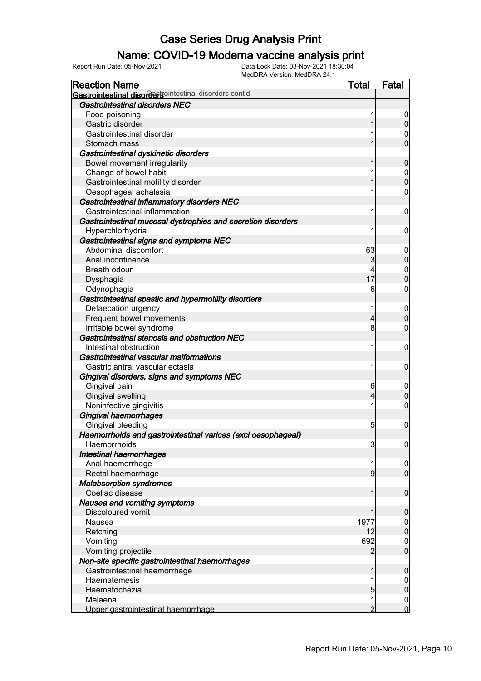### Name: COVID-19 Moderna vaccine analysis print

| <b>Reaction Name</b>                                         | <b>Total</b>   | <b>Fatal</b>                     |
|--------------------------------------------------------------|----------------|----------------------------------|
| Gastrointestinal disordersointestinal disorders cont'd       |                |                                  |
| <b>Gastrointestinal disorders NEC</b>                        |                |                                  |
| Food poisoning                                               |                | $\overline{0}$                   |
| Gastric disorder                                             |                | $\overline{0}$                   |
| Gastrointestinal disorder                                    |                | 0                                |
| Stomach mass                                                 |                | $\overline{0}$                   |
| Gastrointestinal dyskinetic disorders                        |                |                                  |
| Bowel movement irregularity                                  |                | $\mathbf 0$                      |
| Change of bowel habit                                        |                | $\boldsymbol{0}$                 |
| Gastrointestinal motility disorder                           |                | $\overline{0}$                   |
| Oesophageal achalasia                                        |                | $\mathbf 0$                      |
| Gastrointestinal inflammatory disorders NEC                  |                |                                  |
| Gastrointestinal inflammation                                | 1              | $\mathbf 0$                      |
| Gastrointestinal mucosal dystrophies and secretion disorders |                |                                  |
| Hyperchlorhydria                                             |                | $\mathbf 0$                      |
| Gastrointestinal signs and symptoms NEC                      |                |                                  |
| Abdominal discomfort                                         | 63             | $\boldsymbol{0}$                 |
| Anal incontinence                                            | 3              | $\boldsymbol{0}$                 |
| Breath odour                                                 | 4              | $\mathbf 0$                      |
| Dysphagia                                                    | 17             | $\overline{0}$                   |
| Odynophagia                                                  | 6              | 0                                |
| Gastrointestinal spastic and hypermotility disorders         |                |                                  |
| Defaecation urgency                                          |                | $\boldsymbol{0}$                 |
| Frequent bowel movements                                     | 4              | $\mathbf 0$                      |
| Irritable bowel syndrome                                     | 8              | 0                                |
| Gastrointestinal stenosis and obstruction NEC                |                |                                  |
| Intestinal obstruction                                       | 1              | $\mathbf 0$                      |
| Gastrointestinal vascular malformations                      |                |                                  |
| Gastric antral vascular ectasia                              | 1              | $\mathbf 0$                      |
| Gingival disorders, signs and symptoms NEC                   |                |                                  |
| Gingival pain                                                | 6              | $\boldsymbol{0}$                 |
| Gingival swelling                                            | 4              | $\mathbf 0$                      |
| Noninfective gingivitis                                      |                | $\boldsymbol{0}$                 |
| Gingival haemorrhages                                        |                |                                  |
| Gingival bleeding                                            | 5              | $\boldsymbol{0}$                 |
| Haemorrhoids and gastrointestinal varices (excl oesophageal) |                |                                  |
| Haemorrhoids                                                 | 3              |                                  |
| Intestinal haemorrhages                                      |                | $\overline{0}$                   |
|                                                              |                |                                  |
| Anal haemorrhage<br>Rectal haemorrhage                       | $\overline{9}$ | $\overline{0}$<br>$\overline{0}$ |
| <b>Malabsorption syndromes</b>                               |                |                                  |
| Coeliac disease                                              | 1              | $\mathbf 0$                      |
| Nausea and vomiting symptoms                                 |                |                                  |
|                                                              |                |                                  |
| Discoloured vomit                                            | 1977           | $\boldsymbol{0}$                 |
| Nausea                                                       | 12             | $\overline{0}$<br>$\pmb{0}$      |
| Retching                                                     |                |                                  |
| Vomiting                                                     | 692            | $\overline{0}$                   |
| Vomiting projectile                                          | 2              | $\overline{0}$                   |
| Non-site specific gastrointestinal haemorrhages              |                |                                  |
| Gastrointestinal haemorrhage                                 |                | $\boldsymbol{0}$                 |
| Haematemesis                                                 |                | $\boldsymbol{0}$                 |
| Haematochezia                                                | 5              | $\overline{0}$                   |
| Melaena                                                      | 1              | $\mathbf 0$                      |
| Upper gastrointestinal haemorrhage                           | $\overline{2}$ | $\overline{0}$                   |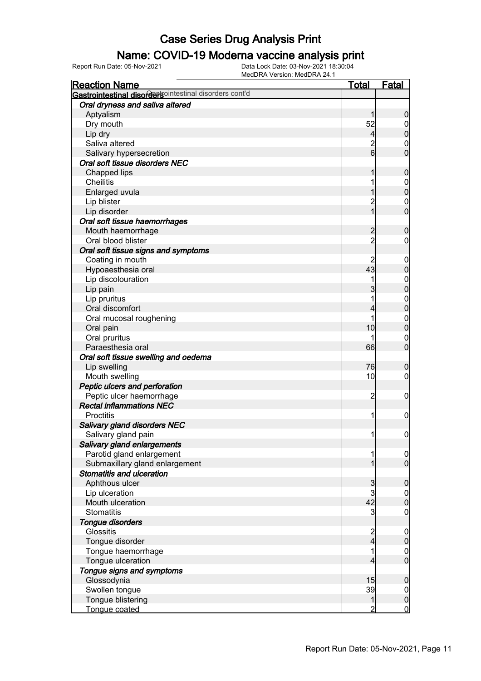#### Name: COVID-19 Moderna vaccine analysis print

| <b>Reaction Name</b>                                   | <b>Total</b>     | <b>Fatal</b>     |
|--------------------------------------------------------|------------------|------------------|
| Gastrointestinal disordersointestinal disorders cont'd |                  |                  |
| Oral dryness and saliva altered                        |                  |                  |
| Aptyalism                                              | 1                | $\boldsymbol{0}$ |
| Dry mouth                                              | 52               | $\boldsymbol{0}$ |
| Lip dry                                                | $\overline{4}$   | $\pmb{0}$        |
| Saliva altered                                         | $\overline{c}$   | 0                |
| Salivary hypersecretion                                | $6 \overline{6}$ | $\mathbf 0$      |
| Oral soft tissue disorders NEC                         |                  |                  |
| Chapped lips                                           |                  | $\mathbf 0$      |
| <b>Cheilitis</b>                                       |                  | $\mathbf 0$      |
| Enlarged uvula                                         |                  | $\mathbf 0$      |
| Lip blister                                            | $\overline{c}$   | $\mathbf 0$      |
| Lip disorder                                           | 1                | $\mathbf 0$      |
| Oral soft tissue haemorrhages                          |                  |                  |
| Mouth haemorrhage                                      | $\overline{c}$   | $\mathbf 0$      |
| Oral blood blister                                     | $\overline{2}$   | 0                |
| Oral soft tissue signs and symptoms                    |                  |                  |
| Coating in mouth                                       |                  | $\mathbf 0$      |
| Hypoaesthesia oral                                     | 43               | $\pmb{0}$        |
| Lip discolouration                                     |                  | $\mathbf 0$      |
| Lip pain                                               | 3                | $\mathbf 0$      |
| Lip pruritus                                           |                  | $\mathbf 0$      |
| Oral discomfort                                        | 4                | $\mathbf 0$      |
| Oral mucosal roughening                                |                  | $\mathbf 0$      |
| Oral pain                                              | 10               | $\mathbf 0$      |
| Oral pruritus                                          |                  | $\boldsymbol{0}$ |
| Paraesthesia oral                                      | 66               | $\mathbf 0$      |
| Oral soft tissue swelling and oedema                   |                  |                  |
| Lip swelling                                           | 76               | $\boldsymbol{0}$ |
| Mouth swelling                                         | 10               | 0                |
| Peptic ulcers and perforation                          |                  |                  |
| Peptic ulcer haemorrhage                               | $\overline{c}$   | $\mathbf 0$      |
| <b>Rectal inflammations NEC</b>                        |                  |                  |
| Proctitis                                              | 1                | $\mathbf 0$      |
| Salivary gland disorders NEC                           |                  |                  |
| Salivary gland pain                                    | 11               | $\mathbf 0$      |
| Salivary gland enlargements                            |                  |                  |
| Parotid gland enlargement                              | 1                | $\overline{0}$   |
| Submaxillary gland enlargement                         |                  | $\overline{0}$   |
| <b>Stomatitis and ulceration</b>                       |                  |                  |
| Aphthous ulcer                                         | 3                | $\mathbf 0$      |
| Lip ulceration                                         | 3                | $\overline{0}$   |
| Mouth ulceration                                       | 42               | $\mathbf 0$      |
| <b>Stomatitis</b>                                      | 3                | $\mathbf 0$      |
| Tongue disorders                                       |                  |                  |
| Glossitis                                              | 2<br>4           | $\mathbf 0$      |
| Tongue disorder                                        |                  | $\pmb{0}$        |
| Tongue haemorrhage                                     | 1                | $\overline{0}$   |
| Tongue ulceration                                      | 4                | $\overline{0}$   |
| Tongue signs and symptoms                              |                  |                  |
| Glossodynia                                            | 15               | $\mathbf 0$      |
| Swollen tongue                                         | 39               | $\overline{0}$   |
| Tongue blistering                                      | 1                | $\pmb{0}$        |
| Tongue coated                                          | 2                | $\mathbf 0$      |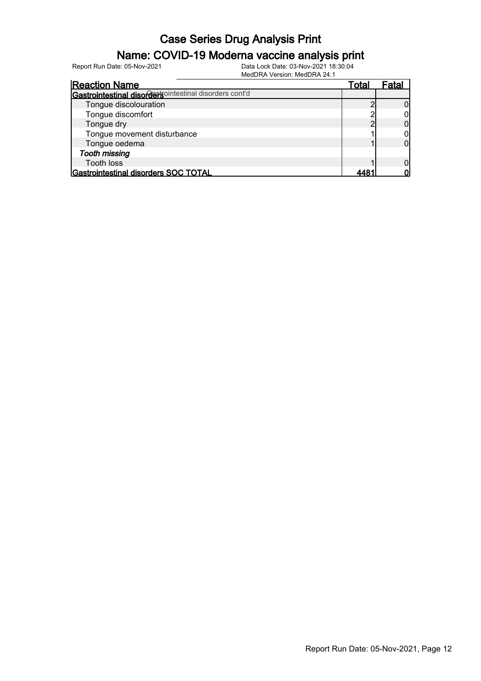### Name: COVID-19 Moderna vaccine analysis print

Report Run Date: 05-Nov-2021 Data Lock Date: 03-Nov-2021 18:30:04

| <b>Reaction Name</b>                                   | Total | Fatal |
|--------------------------------------------------------|-------|-------|
| Gastrointestinal disordersointestinal disorders cont'd |       |       |
| Tongue discolouration                                  |       |       |
| Tongue discomfort                                      |       |       |
| Tongue dry                                             |       |       |
| Tongue movement disturbance                            |       |       |
| Tongue oedema                                          |       |       |
| <b>Tooth missing</b>                                   |       |       |
| <b>Tooth loss</b>                                      |       |       |
| Gastrointestinal disorders SOC TOTAL                   |       |       |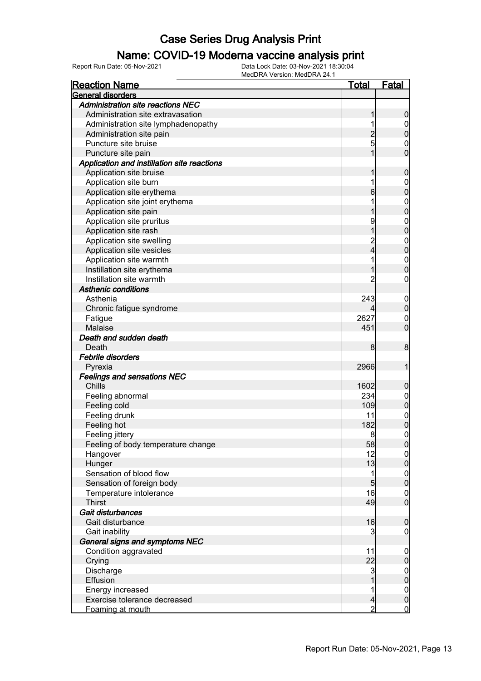#### Name: COVID-19 Moderna vaccine analysis print

| <b>Reaction Name</b>                        | <u>Total</u>             | <b>Fatal</b>                       |
|---------------------------------------------|--------------------------|------------------------------------|
| General disorders                           |                          |                                    |
| <b>Administration site reactions NEC</b>    |                          |                                    |
| Administration site extravasation           |                          | $\boldsymbol{0}$                   |
| Administration site lymphadenopathy         |                          | $\boldsymbol{0}$                   |
| Administration site pain                    | $\overline{2}$           | $\pmb{0}$                          |
| Puncture site bruise                        | 5                        | 0                                  |
| Puncture site pain                          | 1                        | $\overline{0}$                     |
| Application and instillation site reactions |                          |                                    |
| Application site bruise                     |                          | $\mathbf 0$                        |
| Application site burn                       |                          | $\boldsymbol{0}$                   |
| Application site erythema                   | 6                        | $\mathbf 0$                        |
| Application site joint erythema             |                          | $\mathbf 0$                        |
| Application site pain                       |                          | $\mathbf 0$                        |
| Application site pruritus                   | 9                        | $\mathbf 0$                        |
| Application site rash                       |                          | $\mathbf 0$                        |
| Application site swelling                   |                          | $\mathbf 0$                        |
| Application site vesicles                   | 2<br>4                   | $\mathbf 0$                        |
| Application site warmth                     |                          | $\mathbf 0$                        |
| Instillation site erythema                  |                          | $\boldsymbol{0}$                   |
| Instillation site warmth                    | 2                        | 0                                  |
| <b>Asthenic conditions</b>                  |                          |                                    |
| Asthenia                                    | 243                      | $\boldsymbol{0}$                   |
| Chronic fatigue syndrome                    |                          | $\boldsymbol{0}$                   |
| Fatigue                                     | 2627                     | $\mathbf 0$                        |
| Malaise                                     | 451                      | $\mathbf 0$                        |
| Death and sudden death                      |                          |                                    |
| Death                                       | 8                        | 8                                  |
| <b>Febrile disorders</b>                    |                          |                                    |
| Pyrexia                                     | 2966                     | 1                                  |
| <b>Feelings and sensations NEC</b>          |                          |                                    |
| Chills                                      | 1602                     | $\mathbf 0$                        |
| Feeling abnormal                            | 234                      | $\mathbf 0$                        |
| Feeling cold                                | 109                      | $\pmb{0}$                          |
| Feeling drunk                               | 11                       | $\boldsymbol{0}$                   |
| Feeling hot                                 | 182                      | $\mathbf 0$                        |
| Feeling jittery                             | 8                        | $\boldsymbol{0}$                   |
| Feeling of body temperature change          | 58                       | 0                                  |
| Hangover                                    | 12                       | 0                                  |
| Hunger                                      | 13                       | $\mathbf 0$                        |
| Sensation of blood flow                     | 1                        |                                    |
| Sensation of foreign body                   | $5\overline{)}$          | $\overline{0}$<br>$\overline{0}$   |
| Temperature intolerance                     | 16                       |                                    |
| <b>Thirst</b>                               | 49                       | $\overline{0}$<br>$\boldsymbol{0}$ |
| Gait disturbances                           |                          |                                    |
| Gait disturbance                            | 16                       |                                    |
| Gait inability                              | 3                        | $\boldsymbol{0}$                   |
| General signs and symptoms NEC              |                          | $\overline{0}$                     |
|                                             |                          |                                    |
| Condition aggravated                        | 11                       | $\mathbf 0$                        |
| Crying                                      | 22                       | $\pmb{0}$                          |
| Discharge                                   | 3                        | $\overline{0}$                     |
| Effusion                                    | 1                        | $\pmb{0}$                          |
| Energy increased                            | 1                        | $\overline{0}$                     |
| Exercise tolerance decreased                | $\overline{\mathcal{L}}$ | $\pmb{0}$                          |
| Foaming at mouth                            | $\overline{2}$           | $\overline{0}$                     |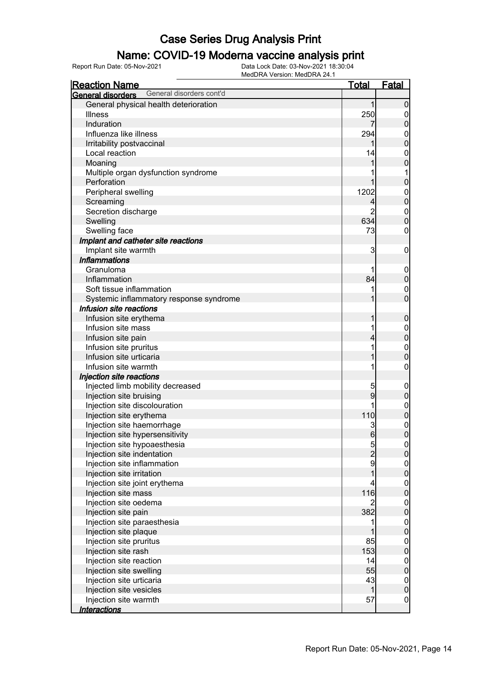### Name: COVID-19 Moderna vaccine analysis print

| <b>Reaction Name</b>                                 | <u>Total</u>  | <u>Fatal</u>     |
|------------------------------------------------------|---------------|------------------|
| General disorders cont'd<br><b>General disorders</b> |               |                  |
| General physical health deterioration                |               | 0                |
| <b>Illness</b>                                       | 250           | $\mathbf 0$      |
| Induration                                           |               | 0                |
| Influenza like illness                               | 294           | $\mathbf{0}$     |
| Irritability postvaccinal                            |               | 0                |
| Local reaction                                       | 14            | $\mathbf{0}$     |
| Moaning                                              |               | 0                |
| Multiple organ dysfunction syndrome                  |               | 1                |
| Perforation                                          |               | 0                |
| Peripheral swelling                                  | 1202          | $\mathbf{0}$     |
| Screaming                                            | 4             | 0                |
| Secretion discharge                                  | 2             | $\mathbf{0}$     |
| Swelling                                             | 634           | $\overline{0}$   |
| Swelling face                                        | 73            | $\mathbf 0$      |
| Implant and catheter site reactions                  |               |                  |
| Implant site warmth                                  | 3             | 0                |
| <b>Inflammations</b>                                 |               |                  |
| Granuloma                                            |               | $\mathbf 0$      |
| Inflammation                                         | 84            | 0                |
| Soft tissue inflammation                             | 1             | $\mathbf 0$      |
| Systemic inflammatory response syndrome              |               | 0                |
| Infusion site reactions                              |               |                  |
| Infusion site erythema                               |               | 0                |
| Infusion site mass                                   | 1             | $\mathbf{0}$     |
| Infusion site pain                                   |               | 0                |
| Infusion site pruritus                               | 1             | $\mathbf{0}$     |
| Infusion site urticaria                              |               | 0                |
| Infusion site warmth                                 | 1             | $\mathbf 0$      |
| Injection site reactions                             |               |                  |
| Injected limb mobility decreased                     | 5             | $\mathbf 0$      |
| Injection site bruising                              | 9             | 0                |
| Injection site discolouration                        | 1             | $\mathbf{0}$     |
| Injection site erythema                              | 110           | 0                |
| Injection site haemorrhage                           | 3             | $\mathbf{0}$     |
| Injection site hypersensitivity                      | 6             | $\overline{0}$   |
| Injection site hypoaesthesia                         |               | $\overline{0}$   |
| Injection site indentation                           | $\frac{5}{2}$ | $\overline{0}$   |
| Injection site inflammation                          | 9             | $\boldsymbol{0}$ |
| Injection site irritation                            |               | $\overline{0}$   |
| Injection site joint erythema                        | 4             | $\boldsymbol{0}$ |
| Injection site mass                                  | 116           | $\overline{0}$   |
| Injection site oedema                                | 2             | $\boldsymbol{0}$ |
| Injection site pain                                  | 382           | $\overline{0}$   |
| Injection site paraesthesia                          | 1             | $\boldsymbol{0}$ |
| Injection site plaque                                |               | $\overline{0}$   |
| Injection site pruritus                              | 85            | $\mathbf 0$      |
| Injection site rash                                  | 153           | $\overline{0}$   |
| Injection site reaction                              | 14            | $\mathbf 0$      |
| Injection site swelling                              | 55            | $\overline{0}$   |
| Injection site urticaria                             | 43            | $\boldsymbol{0}$ |
| Injection site vesicles                              | 1             | $\overline{0}$   |
| Injection site warmth                                | 57            | $\boldsymbol{0}$ |
| <u>Interactions</u>                                  |               |                  |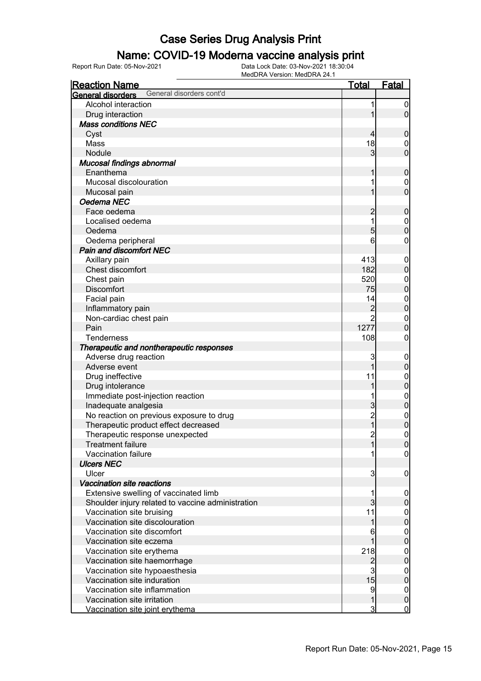### Name: COVID-19 Moderna vaccine analysis print

| <b>Reaction Name</b>                                 | <u>Total</u>   | <b>Fatal</b>     |
|------------------------------------------------------|----------------|------------------|
| General disorders cont'd<br><b>General disorders</b> |                |                  |
| Alcohol interaction                                  | 1              | $\boldsymbol{0}$ |
| Drug interaction                                     | 1              | $\overline{0}$   |
| <b>Mass conditions NEC</b>                           |                |                  |
| Cyst                                                 | $\overline{4}$ | $\boldsymbol{0}$ |
| Mass                                                 | 18             | $\mathbf 0$      |
| Nodule                                               | 3              | $\mathbf 0$      |
| Mucosal findings abnormal                            |                |                  |
| Enanthema                                            | 1              | $\boldsymbol{0}$ |
| Mucosal discolouration                               | 1              | $\mathbf 0$      |
| Mucosal pain                                         | 1              | $\overline{0}$   |
| Oedema NEC                                           |                |                  |
| Face oedema                                          | $\overline{c}$ | $\boldsymbol{0}$ |
| Localised oedema                                     | 1              | $\boldsymbol{0}$ |
| Oedema                                               | 5              | $\overline{0}$   |
| Oedema peripheral                                    | 6              | 0                |
| <b>Pain and discomfort NEC</b>                       |                |                  |
| Axillary pain                                        | 413            | $\mathbf 0$      |
| Chest discomfort                                     | 182            | $\pmb{0}$        |
| Chest pain                                           | 520            | $\mathbf{0}$     |
| <b>Discomfort</b>                                    | 75             | $\overline{0}$   |
| Facial pain                                          | 14             | $\mathbf{0}$     |
| Inflammatory pain                                    | $\overline{c}$ | $\overline{0}$   |
| Non-cardiac chest pain                               | $\overline{2}$ | $\mathbf{0}$     |
| Pain                                                 | 1277           | $\mathbf 0$      |
| <b>Tenderness</b>                                    | 108            | $\boldsymbol{0}$ |
| Therapeutic and nontherapeutic responses             |                |                  |
| Adverse drug reaction                                | 3              | $\mathbf 0$      |
| Adverse event                                        | 1              | $\pmb{0}$        |
| Drug ineffective                                     | 11             | $\mathbf{0}$     |
| Drug intolerance                                     | 1              | $\bf{0}$         |
| Immediate post-injection reaction                    | 1              | $\mathbf{0}$     |
| Inadequate analgesia                                 | 3              | $\mathbf{0}$     |
| No reaction on previous exposure to drug             | $\overline{c}$ | $\mathbf{0}$     |
| Therapeutic product effect decreased                 | $\overline{1}$ | $\mathbf{0}$     |
| Therapeutic response unexpected                      | $\overline{c}$ | $\mathbf 0$      |
| <b>Treatment failure</b>                             | 1              | 0                |
| Vaccination failure                                  |                | $\overline{0}$   |
| <b>Ulcers NEC</b>                                    |                |                  |
| Ulcer                                                | 3              | $\mathbf 0$      |
| <b>Vaccination site reactions</b>                    |                |                  |
| Extensive swelling of vaccinated limb                |                | $\mathbf 0$      |
| Shoulder injury related to vaccine administration    | 3              | $\pmb{0}$        |
| Vaccination site bruising                            | 11             | $\overline{0}$   |
| Vaccination site discolouration                      | 1              | $\mathbf 0$      |
| Vaccination site discomfort                          | 6              | $\mathbf 0$      |
| Vaccination site eczema                              |                | $\mathbf 0$      |
| Vaccination site erythema                            | 218            | $\mathbf 0$      |
| Vaccination site haemorrhage                         | $\overline{c}$ | $\mathbf 0$      |
| Vaccination site hypoaesthesia                       | 3              | $\mathbf 0$      |
| Vaccination site induration                          | 15             | $\mathbf 0$      |
| Vaccination site inflammation                        | 9              | $\mathbf 0$      |
| Vaccination site irritation                          | 1              | $\pmb{0}$        |
| Vaccination site joint erythema                      | 3              | $\overline{0}$   |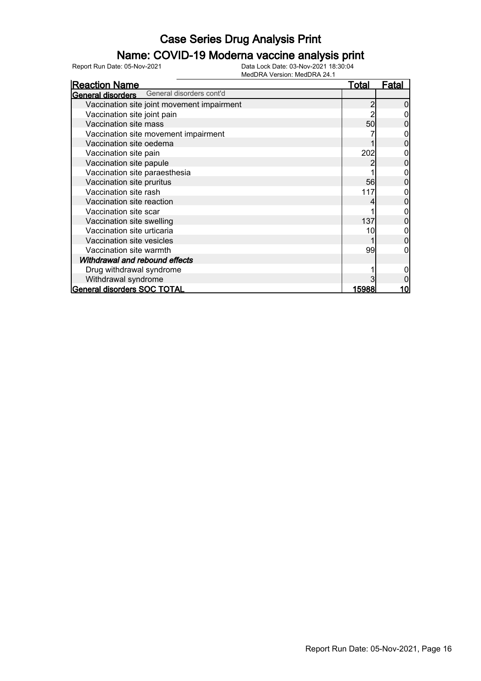### Name: COVID-19 Moderna vaccine analysis print

| <b>Reaction Name</b>                              | <b>Total</b> | Fatal |
|---------------------------------------------------|--------------|-------|
| <b>General disorders</b> General disorders cont'd |              |       |
| Vaccination site joint movement impairment        |              |       |
| Vaccination site joint pain                       |              |       |
| Vaccination site mass                             | 50           |       |
| Vaccination site movement impairment              |              |       |
| Vaccination site oedema                           |              |       |
| Vaccination site pain                             | 202          |       |
| Vaccination site papule                           |              |       |
| Vaccination site paraesthesia                     |              |       |
| Vaccination site pruritus                         | 56           |       |
| Vaccination site rash                             | 117          |       |
| Vaccination site reaction                         |              |       |
| Vaccination site scar                             |              |       |
| Vaccination site swelling                         | 137          |       |
| Vaccination site urticaria                        | 10           |       |
| Vaccination site vesicles                         |              |       |
| Vaccination site warmth                           | 99           |       |
| Withdrawal and rebound effects                    |              |       |
| Drug withdrawal syndrome                          |              |       |
| Withdrawal syndrome                               |              |       |
| General disorders SOC TOTAL                       | 15988        | 10    |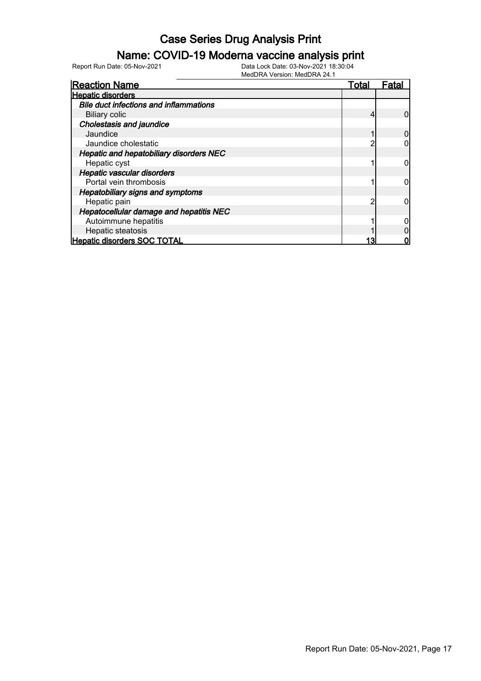#### Name: COVID-19 Moderna vaccine analysis print

Report Run Date: 05-Nov-2021 Data Lock Date: 03-Nov-2021 18:30:04

| <b>Reaction Name</b>                          | Total | Fata |
|-----------------------------------------------|-------|------|
| <b>Hepatic disorders</b>                      |       |      |
| <b>Bile duct infections and inflammations</b> |       |      |
| <b>Biliary colic</b>                          |       |      |
| <b>Cholestasis and jaundice</b>               |       |      |
| Jaundice                                      |       |      |
| Jaundice cholestatic                          |       |      |
| Hepatic and hepatobiliary disorders NEC       |       |      |
| Hepatic cyst                                  |       |      |
| Hepatic vascular disorders                    |       |      |
| Portal vein thrombosis                        |       |      |
| <b>Hepatobiliary signs and symptoms</b>       |       |      |
| Hepatic pain                                  |       |      |
| Hepatocellular damage and hepatitis NEC       |       |      |
| Autoimmune hepatitis                          |       |      |
| Hepatic steatosis                             |       |      |
| <b>Hepatic disorders SOC TOTAL</b>            |       |      |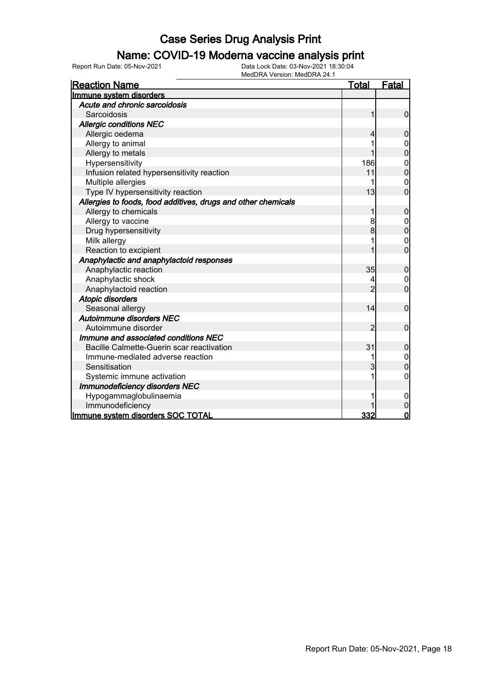#### Name: COVID-19 Moderna vaccine analysis print

| <b>Reaction Name</b>                                          | <u>Total</u>   | Fatal            |
|---------------------------------------------------------------|----------------|------------------|
| Immune system disorders                                       |                |                  |
| Acute and chronic sarcoidosis                                 |                |                  |
| Sarcoidosis                                                   |                | 0                |
| <b>Allergic conditions NEC</b>                                |                |                  |
| Allergic oedema                                               |                | 0                |
| Allergy to animal                                             |                | 0                |
| Allergy to metals                                             |                | $\overline{0}$   |
| Hypersensitivity                                              | 186            | $\boldsymbol{0}$ |
| Infusion related hypersensitivity reaction                    | 11             | $\overline{0}$   |
| Multiple allergies                                            |                | $\boldsymbol{0}$ |
| Type IV hypersensitivity reaction                             | 13             | $\overline{0}$   |
| Allergies to foods, food additives, drugs and other chemicals |                |                  |
| Allergy to chemicals                                          |                | 0                |
| Allergy to vaccine                                            | 8              | 0                |
| Drug hypersensitivity                                         | 8              | 0                |
| Milk allergy                                                  |                | 0                |
| Reaction to excipient                                         | 1              | $\overline{0}$   |
| Anaphylactic and anaphylactoid responses                      |                |                  |
| Anaphylactic reaction                                         | 35             | $\boldsymbol{0}$ |
| Anaphylactic shock                                            |                | 0                |
| Anaphylactoid reaction                                        | $\overline{2}$ | $\overline{0}$   |
| <b>Atopic disorders</b>                                       |                |                  |
| Seasonal allergy                                              | 14             | $\mathbf 0$      |
| Autoimmune disorders NEC                                      |                |                  |
| Autoimmune disorder                                           | 2              | $\mathbf 0$      |
| Immune and associated conditions NEC                          |                |                  |
| Bacille Calmette-Guerin scar reactivation                     | 31             | $\mathbf 0$      |
| Immune-mediated adverse reaction                              |                | 0                |
| Sensitisation                                                 | 3              | $\overline{0}$   |
| Systemic immune activation                                    |                | 0                |
| Immunodeficiency disorders NEC                                |                |                  |
| Hypogammaglobulinaemia                                        |                | 0                |
| Immunodeficiency                                              |                | 0                |
| Immune system disorders SOC TOTAL                             | 332            | $\overline{0}$   |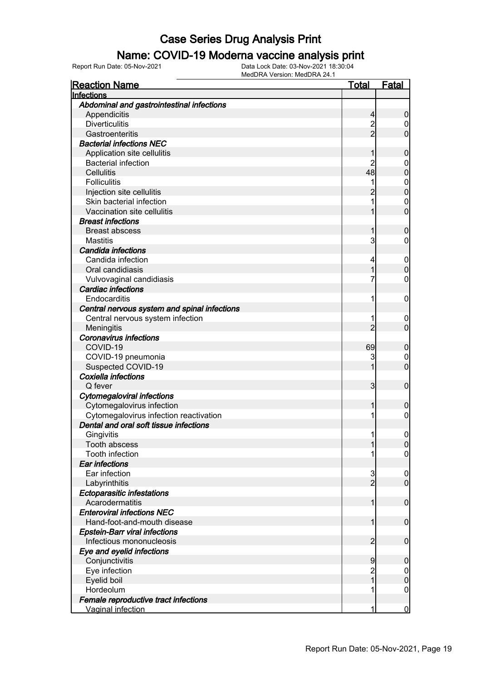#### Name: COVID-19 Moderna vaccine analysis print

| <b>Reaction Name</b>                                                | Total          | <b>Fatal</b>        |
|---------------------------------------------------------------------|----------------|---------------------|
| Infections                                                          |                |                     |
| Abdominal and gastrointestinal infections                           |                |                     |
| Appendicitis                                                        | 4              | 0                   |
| <b>Diverticulitis</b>                                               | 2              | 0                   |
| Gastroenteritis                                                     | $\overline{2}$ | 0                   |
| <b>Bacterial infections NEC</b>                                     |                |                     |
| Application site cellulitis                                         |                | 0                   |
| <b>Bacterial infection</b>                                          |                | 0                   |
| <b>Cellulitis</b>                                                   | 48             | 0                   |
| <b>Folliculitis</b>                                                 |                | 0                   |
| Injection site cellulitis                                           |                | 0                   |
| Skin bacterial infection                                            |                | 0                   |
| Vaccination site cellulitis                                         |                | 0                   |
| <b>Breast infections</b>                                            |                |                     |
| <b>Breast abscess</b>                                               |                | 0                   |
| <b>Mastitis</b>                                                     | 3              | 0                   |
| Candida infections                                                  |                |                     |
| Candida infection                                                   | 4              | 0                   |
| Oral candidiasis                                                    |                | 0                   |
| Vulvovaginal candidiasis                                            | 7              | 0                   |
| <b>Cardiac infections</b>                                           |                |                     |
| Endocarditis                                                        | 1              | 0                   |
| Central nervous system and spinal infections                        |                |                     |
| Central nervous system infection                                    |                | 0                   |
| Meningitis                                                          |                | 0                   |
| <b>Coronavirus infections</b>                                       |                |                     |
| COVID-19                                                            | 69             | 0                   |
| COVID-19 pneumonia                                                  | 3              | 0                   |
| Suspected COVID-19                                                  |                | 0                   |
| Coxiella infections                                                 |                |                     |
| Q fever                                                             | 3              | 0                   |
| <b>Cytomegaloviral infections</b>                                   |                |                     |
| Cytomegalovirus infection<br>Cytomegalovirus infection reactivation | 1              | 0<br>0              |
| Dental and oral soft tissue infections                              |                |                     |
| Gingivitis                                                          | 1              | 0                   |
| Tooth abscess                                                       |                |                     |
| <b>Tooth infection</b>                                              | 1              | U<br>$\overline{0}$ |
| <b>Ear infections</b>                                               |                |                     |
| Ear infection                                                       | 3              | 0                   |
| Labyrinthitis                                                       | $\overline{2}$ | $\mathbf 0$         |
| <b>Ectoparasitic infestations</b>                                   |                |                     |
| Acarodermatitis                                                     |                | 0                   |
| <b>Enteroviral infections NEC</b>                                   |                |                     |
| Hand-foot-and-mouth disease                                         |                | 0                   |
| <b>Epstein-Barr viral infections</b>                                |                |                     |
| Infectious mononucleosis                                            | 2              | 0                   |
| Eye and eyelid infections                                           |                |                     |
| Conjunctivitis                                                      | 9              | 0                   |
| Eye infection                                                       | $\overline{c}$ | 0                   |
| Eyelid boil                                                         |                | 0                   |
| Hordeolum                                                           | 1              | 0                   |
| Female reproductive tract infections                                |                |                     |
| Vaginal infection                                                   | 1              | 0                   |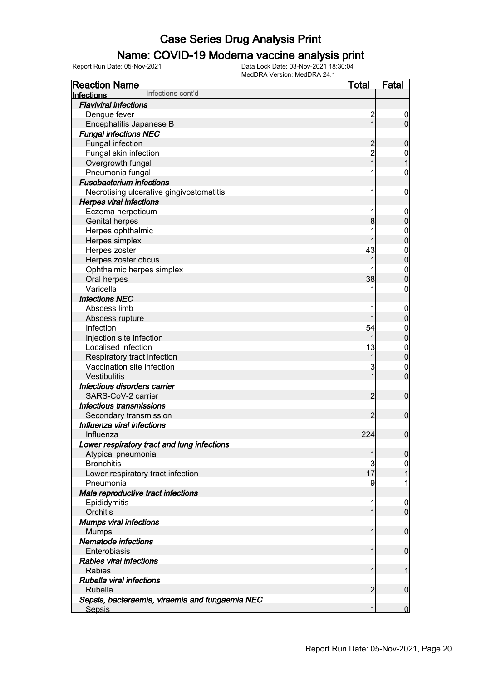#### Name: COVID-19 Moderna vaccine analysis print

| <b>Reaction Name</b>                            | <b>Total</b>            | <b>Fatal</b>     |
|-------------------------------------------------|-------------------------|------------------|
| Infections cont'd<br>Infections                 |                         |                  |
| <b>Flaviviral infections</b>                    |                         |                  |
| Dengue fever                                    | $\overline{\mathbf{c}}$ | $\mathbf 0$      |
| Encephalitis Japanese B                         | $\overline{1}$          | $\overline{0}$   |
| <b>Fungal infections NEC</b>                    |                         |                  |
| <b>Fungal infection</b>                         | $\overline{c}$          | $\mathbf 0$      |
| Fungal skin infection                           | 2<br>1                  | $\boldsymbol{0}$ |
| Overgrowth fungal                               |                         | $\overline{1}$   |
| Pneumonia fungal                                |                         | $\boldsymbol{0}$ |
| <b>Fusobacterium infections</b>                 |                         |                  |
| Necrotising ulcerative gingivostomatitis        | 1                       | $\mathbf 0$      |
| <b>Herpes viral infections</b>                  |                         |                  |
| Eczema herpeticum                               | 1                       | $\mathbf 0$      |
| <b>Genital herpes</b>                           | 8                       | $\mathbf 0$      |
| Herpes ophthalmic                               |                         | $\boldsymbol{0}$ |
| Herpes simplex                                  |                         | $\mathbf 0$      |
| Herpes zoster                                   | 43                      | $\boldsymbol{0}$ |
| Herpes zoster oticus                            | 1                       | $\overline{0}$   |
| Ophthalmic herpes simplex                       |                         | $\boldsymbol{0}$ |
| Oral herpes                                     | 38                      | $\mathbf 0$      |
| Varicella                                       |                         | $\boldsymbol{0}$ |
| <b>Infections NEC</b>                           |                         |                  |
| Abscess limb                                    |                         | $\mathbf 0$      |
| Abscess rupture                                 | 1                       | $\mathbf 0$      |
| Infection                                       | 54                      | $\mathbf 0$      |
| Injection site infection                        | 1                       | $\mathbf 0$      |
| Localised infection                             | 13                      | $\boldsymbol{0}$ |
| Respiratory tract infection                     | 1                       | $\mathbf 0$      |
| Vaccination site infection                      | 3                       | $\mathbf 0$      |
| Vestibulitis                                    | 1                       | $\mathbf 0$      |
| Infectious disorders carrier                    |                         |                  |
| SARS-CoV-2 carrier                              | $\overline{2}$          | $\boldsymbol{0}$ |
| Infectious transmissions                        |                         |                  |
| Secondary transmission                          | $\overline{2}$          | $\boldsymbol{0}$ |
| Influenza viral infections                      |                         |                  |
| Influenza                                       | 224                     | $\boldsymbol{0}$ |
| Lower respiratory tract and lung infections     |                         |                  |
| Atypical pneumonia                              | 1                       | $\boldsymbol{0}$ |
| <b>Bronchitis</b>                               | 3                       | $\overline{0}$   |
| Lower respiratory tract infection               | 17                      | $\mathbf{1}$     |
| Pneumonia                                       | 9                       | 1                |
| Male reproductive tract infections              |                         |                  |
| Epididymitis                                    | 1                       | $\boldsymbol{0}$ |
| Orchitis                                        | 1                       | $\overline{0}$   |
| <b>Mumps viral infections</b>                   |                         |                  |
| <b>Mumps</b>                                    | 1                       | $\mathbf 0$      |
| Nematode infections                             |                         |                  |
| Enterobiasis                                    | 1                       | $\mathbf 0$      |
| <b>Rabies viral infections</b>                  |                         |                  |
| Rabies                                          | 1                       | 1                |
| Rubella viral infections                        |                         |                  |
| <b>Rubella</b>                                  | $\overline{2}$          | $\mathbf 0$      |
| Sepsis, bacteraemia, viraemia and fungaemia NEC |                         |                  |
| <b>Sepsis</b>                                   | 1                       | $\mathbf 0$      |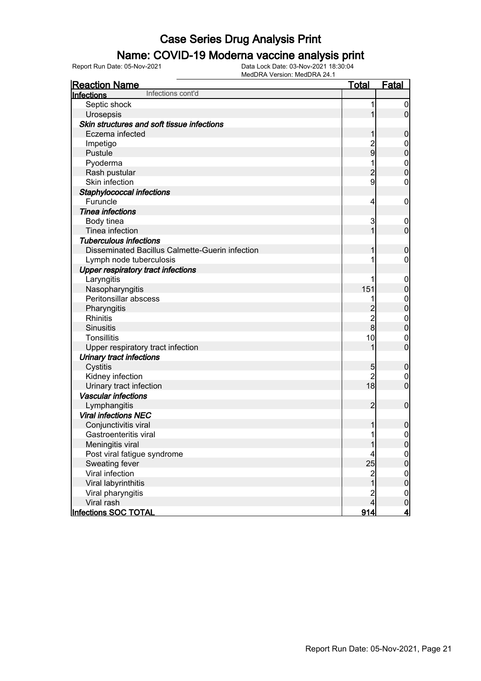#### Name: COVID-19 Moderna vaccine analysis print

| <b>Reaction Name</b>                            | <u>Total</u>            | Fatal            |
|-------------------------------------------------|-------------------------|------------------|
| Infections cont'd<br>Infections                 |                         |                  |
| Septic shock                                    | 1                       | $\boldsymbol{0}$ |
| Urosepsis                                       |                         | $\overline{0}$   |
| Skin structures and soft tissue infections      |                         |                  |
| Eczema infected                                 | 1                       | $\boldsymbol{0}$ |
| Impetigo                                        | $\frac{2}{9}$           | $\mathbf 0$      |
| Pustule                                         |                         | $\pmb{0}$        |
| Pyoderma                                        |                         | $\boldsymbol{0}$ |
| Rash pustular                                   | $\overline{c}$          | $\overline{0}$   |
| Skin infection                                  | 9                       | $\boldsymbol{0}$ |
| Staphylococcal infections                       |                         |                  |
| Furuncle                                        | 4                       | $\mathbf 0$      |
| <b>Tinea infections</b>                         |                         |                  |
| Body tinea                                      | 3                       | $\boldsymbol{0}$ |
| Tinea infection                                 | 1                       | $\overline{0}$   |
| <b>Tuberculous infections</b>                   |                         |                  |
| Disseminated Bacillus Calmette-Guerin infection | 1                       | $\boldsymbol{0}$ |
| Lymph node tuberculosis                         |                         | $\mathbf 0$      |
| <b>Upper respiratory tract infections</b>       |                         |                  |
| Laryngitis                                      |                         | $\mathbf 0$      |
| Nasopharyngitis                                 | 151                     | $\pmb{0}$        |
| Peritonsillar abscess                           |                         | $\boldsymbol{0}$ |
| Pharyngitis                                     | $\overline{c}$          | $\overline{0}$   |
| Rhinitis                                        | $\overline{\mathbf{c}}$ | $\mathbf 0$      |
| <b>Sinusitis</b>                                | $\bf{8}$                | $\overline{0}$   |
| <b>Tonsillitis</b>                              | 10                      | $\mathbf 0$      |
| Upper respiratory tract infection               | 1                       | $\mathbf 0$      |
| Urinary tract infections                        |                         |                  |
| Cystitis                                        | 5                       | $\boldsymbol{0}$ |
| Kidney infection                                | $\overline{2}$          | $\mathbf 0$      |
| Urinary tract infection                         | 18                      | $\overline{0}$   |
| <b>Vascular infections</b>                      |                         |                  |
| Lymphangitis                                    | $\overline{2}$          | $\overline{0}$   |
| <b>Viral infections NEC</b>                     |                         |                  |
| Conjunctivitis viral                            | 1                       | $\boldsymbol{0}$ |
| Gastroenteritis viral                           | 1                       | $\mathbf 0$      |
| Meningitis viral                                | 1                       | 0                |
| Post viral fatigue syndrome                     | 4                       | $\overline{0}$   |
| Sweating fever                                  | 25                      | $\overline{0}$   |
| Viral infection                                 | $\overline{\mathbf{c}}$ | $\boldsymbol{0}$ |
| Viral labyrinthitis                             | $\overline{1}$          | $\overline{0}$   |
| Viral pharyngitis                               | $\overline{\mathbf{c}}$ | $\overline{0}$   |
| Viral rash                                      | $\overline{4}$          | $\mathbf 0$      |
| Infections SOC TOTAL                            | 914                     | <u>4</u>         |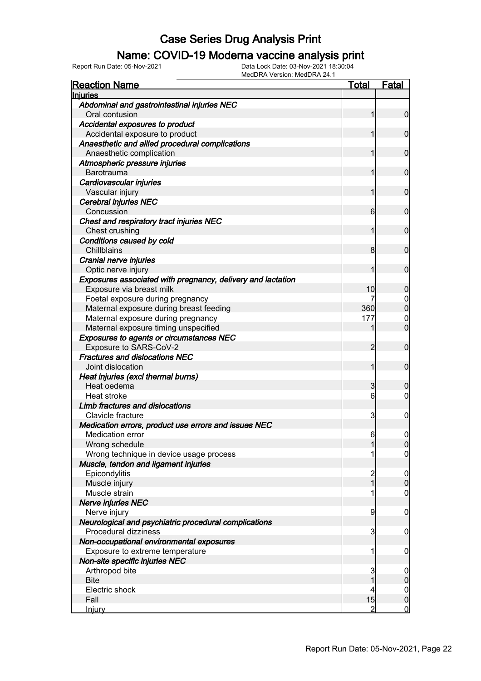### Name: COVID-19 Moderna vaccine analysis print

| <b>Reaction Name</b>                                        | <u>Total</u>    | <b>Fatal</b>     |
|-------------------------------------------------------------|-----------------|------------------|
| <b>Injuries</b>                                             |                 |                  |
| Abdominal and gastrointestinal injuries NEC                 |                 |                  |
| Oral contusion                                              | 1               | $\mathbf 0$      |
| Accidental exposures to product                             |                 |                  |
| Accidental exposure to product                              | 1               | $\mathbf 0$      |
| Anaesthetic and allied procedural complications             |                 |                  |
| Anaesthetic complication                                    | 1               | $\mathbf 0$      |
| Atmospheric pressure injuries<br>Barotrauma                 | 1               | $\mathbf 0$      |
| Cardiovascular injuries                                     |                 |                  |
| Vascular injury                                             | 1               | $\mathbf 0$      |
| Cerebral injuries NEC                                       |                 |                  |
| Concussion                                                  | 6               | $\mathbf 0$      |
| Chest and respiratory tract injuries NEC                    |                 |                  |
| Chest crushing                                              | 1               | $\mathbf 0$      |
| Conditions caused by cold                                   |                 |                  |
| Chillblains                                                 | 8               | $\mathbf 0$      |
| Cranial nerve injuries                                      |                 |                  |
| Optic nerve injury                                          | 1               | $\mathbf 0$      |
| Exposures associated with pregnancy, delivery and lactation |                 |                  |
| Exposure via breast milk                                    | 10              | $\mathbf 0$      |
| Foetal exposure during pregnancy                            |                 | 0                |
| Maternal exposure during breast feeding                     | 360             | $\overline{0}$   |
| Maternal exposure during pregnancy                          | 177             | $\boldsymbol{0}$ |
| Maternal exposure timing unspecified                        | 1               | $\overline{0}$   |
| <b>Exposures to agents or circumstances NEC</b>             |                 |                  |
| Exposure to SARS-CoV-2                                      | 2               | $\mathbf 0$      |
| <b>Fractures and dislocations NEC</b>                       |                 |                  |
| Joint dislocation                                           | 1               | $\mathbf 0$      |
| Heat injuries (excl thermal burns)                          |                 |                  |
| Heat oedema                                                 | 3               | 0                |
| Heat stroke                                                 | $6 \overline{}$ | $\mathbf 0$      |
| Limb fractures and dislocations                             |                 |                  |
| Clavicle fracture                                           | $\overline{3}$  | 0                |
| Medication errors, product use errors and issues NEC        |                 |                  |
| <b>Medication error</b>                                     | 6               | 0                |
| Wrong schedule                                              | 11              | 0                |
| Wrong technique in device usage process                     | 1               | $\overline{0}$   |
| Muscle, tendon and ligament injuries                        |                 |                  |
| Epicondylitis                                               | $\overline{c}$  | $\mathbf 0$      |
| Muscle injury                                               | $\mathbf{1}$    | $\boldsymbol{0}$ |
| Muscle strain                                               | 1               | $\mathbf 0$      |
| <b>Nerve injuries NEC</b>                                   |                 |                  |
| Nerve injury                                                | 9               | $\mathbf 0$      |
| Neurological and psychiatric procedural complications       |                 |                  |
| Procedural dizziness                                        | 3               | $\mathbf 0$      |
| Non-occupational environmental exposures                    |                 |                  |
| Exposure to extreme temperature                             | 1               | $\mathbf 0$      |
| Non-site specific injuries NEC                              |                 |                  |
| Arthropod bite                                              | 3               | $\mathbf 0$      |
| <b>Bite</b>                                                 |                 | $\pmb{0}$        |
| Electric shock                                              | 4               | $\overline{0}$   |
| Fall                                                        | 15              | $\pmb{0}$        |
| <u>Injury</u>                                               | 2               | $\overline{0}$   |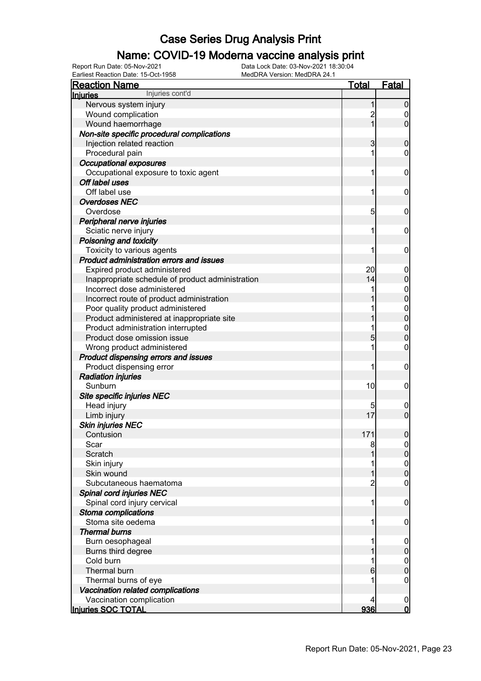### Name: COVID-19 Moderna vaccine analysis print

Report Run Date: 05-Nov-2021 Data Lock Date: 03-Nov-2021 18:30:04 Earliest Reaction Date: 15-Oct-1958 MedDRA Version: MedDRA 24.1

| <b>Reaction Name</b>                             | <u>Total</u>   | <b>Fatal</b>     |
|--------------------------------------------------|----------------|------------------|
| Injuries cont'd<br><b>Injuries</b>               |                |                  |
| Nervous system injury                            | 1              | $\boldsymbol{0}$ |
| Wound complication                               | $\overline{c}$ | $\boldsymbol{0}$ |
| Wound haemorrhage                                | $\overline{1}$ | $\mathbf 0$      |
| Non-site specific procedural complications       |                |                  |
| Injection related reaction                       | 3              | $\boldsymbol{0}$ |
| Procedural pain                                  | 1              | $\mathbf 0$      |
| <b>Occupational exposures</b>                    |                |                  |
| Occupational exposure to toxic agent             | 1              | $\mathbf 0$      |
| Off label uses                                   |                |                  |
| Off label use                                    | 1              | $\mathbf 0$      |
| <b>Overdoses NEC</b>                             |                |                  |
| Overdose                                         | 5              | $\mathbf 0$      |
| Peripheral nerve injuries                        |                |                  |
| Sciatic nerve injury                             | 1              | $\mathbf 0$      |
| Poisoning and toxicity                           |                |                  |
| Toxicity to various agents                       | 1              | $\mathbf 0$      |
| Product administration errors and issues         |                |                  |
| Expired product administered                     | 20             | $\mathbf 0$      |
| Inappropriate schedule of product administration | 14             | $\pmb{0}$        |
| Incorrect dose administered                      |                | $\mathbf{0}$     |
| Incorrect route of product administration        |                | $\overline{0}$   |
| Poor quality product administered                |                |                  |
| Product administered at inappropriate site       |                | $0\atop 0$       |
| Product administration interrupted               |                | $\boldsymbol{0}$ |
| Product dose omission issue                      | 5              | $\overline{0}$   |
| Wrong product administered                       |                | $\mathbf 0$      |
| Product dispensing errors and issues             |                |                  |
| Product dispensing error                         | 1              | $\mathbf 0$      |
| <b>Radiation injuries</b>                        |                |                  |
| Sunburn                                          | 10             | $\mathbf 0$      |
| Site specific injuries NEC                       |                |                  |
| Head injury                                      |                | $\boldsymbol{0}$ |
| Limb injury                                      | 17             | $\overline{0}$   |
| <b>Skin injuries NEC</b>                         |                |                  |
| Contusion                                        | 171            | $\pmb{0}$        |
| Scar                                             | 8              | $\overline{0}$   |
| Scratch                                          |                | $\overline{0}$   |
| Skin injury                                      |                | $\mathbf 0$      |
| Skin wound                                       |                | $\overline{0}$   |
| Subcutaneous haematoma                           | $\overline{c}$ | 0                |
| Spinal cord injuries NEC                         |                |                  |
| Spinal cord injury cervical                      | 1              | $\mathbf 0$      |
| Stoma complications                              |                |                  |
| Stoma site oedema                                | 1              | $\mathbf 0$      |
| <b>Thermal burns</b>                             |                |                  |
| Burn oesophageal                                 |                | $\mathbf 0$      |
| Burns third degree                               |                | $\mathbf 0$      |
| Cold burn                                        |                | $\mathbf{0}$     |
| Thermal burn                                     | 6              | $\mathbf 0$      |
| Thermal burns of eye                             |                | $\mathbf 0$      |
| Vaccination related complications                |                |                  |
| Vaccination complication                         | 4              | $\overline{0}$   |
| Injuries SOC TOTAL                               | 936            | $\overline{0}$   |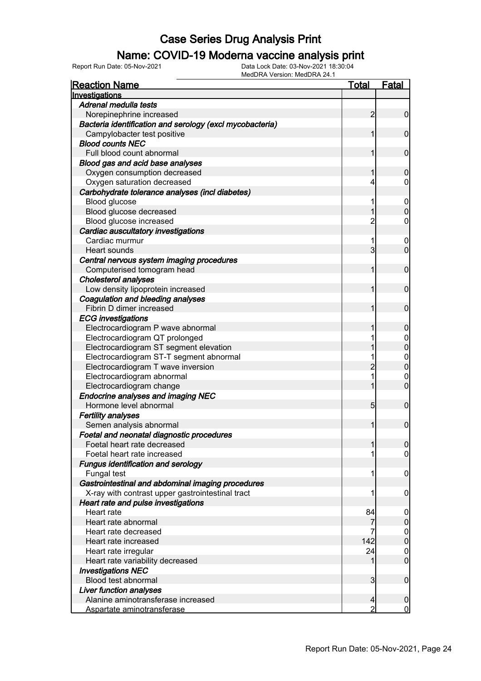### Name: COVID-19 Moderna vaccine analysis print

| <b>Reaction Name</b>                                     | Total                   | <b>Fatal</b>     |
|----------------------------------------------------------|-------------------------|------------------|
| Investigations                                           |                         |                  |
| Adrenal medulla tests                                    |                         |                  |
| Norepinephrine increased                                 | 2                       | 0                |
| Bacteria identification and serology (excl mycobacteria) |                         |                  |
| Campylobacter test positive                              |                         | $\mathbf 0$      |
| <b>Blood counts NEC</b>                                  |                         |                  |
| Full blood count abnormal                                |                         | $\mathbf 0$      |
| Blood gas and acid base analyses                         |                         |                  |
| Oxygen consumption decreased                             |                         | 0                |
| Oxygen saturation decreased                              | 4                       | 0                |
| Carbohydrate tolerance analyses (incl diabetes)          |                         |                  |
| Blood glucose                                            | 1                       | $\mathbf 0$      |
| Blood glucose decreased                                  |                         | 0                |
| Blood glucose increased                                  | 2                       | 0                |
| Cardiac auscultatory investigations                      |                         |                  |
| Cardiac murmur                                           | 1                       | $\boldsymbol{0}$ |
| Heart sounds                                             | 3                       | $\overline{0}$   |
| Central nervous system imaging procedures                |                         |                  |
| Computerised tomogram head                               |                         | $\mathbf 0$      |
| <b>Cholesterol analyses</b>                              |                         |                  |
| Low density lipoprotein increased                        |                         | $\mathbf 0$      |
| Coagulation and bleeding analyses                        |                         |                  |
| Fibrin D dimer increased                                 |                         | 0                |
|                                                          |                         |                  |
| <b>ECG</b> investigations                                |                         |                  |
| Electrocardiogram P wave abnormal                        |                         | 0                |
| Electrocardiogram QT prolonged                           |                         | 0                |
| Electrocardiogram ST segment elevation                   |                         | 0                |
| Electrocardiogram ST-T segment abnormal                  |                         | $\mathbf 0$      |
| Electrocardiogram T wave inversion                       |                         | 0                |
| Electrocardiogram abnormal                               | 1                       | 0                |
| Electrocardiogram change                                 |                         | $\overline{0}$   |
| <b>Endocrine analyses and imaging NEC</b>                |                         |                  |
| Hormone level abnormal                                   | 5                       | $\mathbf 0$      |
| <b>Fertility analyses</b>                                |                         |                  |
| Semen analysis abnormal                                  |                         | $\boldsymbol{0}$ |
| Foetal and neonatal diagnostic procedures                |                         |                  |
| Foetal heart rate decreased                              |                         | <sup>0</sup>     |
| Foetal heart rate increased                              |                         | $\overline{0}$   |
| <b>Fungus identification and serology</b>                |                         |                  |
| Fungal test                                              | 1                       | 0                |
| Gastrointestinal and abdominal imaging procedures        |                         |                  |
| X-ray with contrast upper gastrointestinal tract         | 1                       | 0                |
| Heart rate and pulse investigations                      |                         |                  |
| Heart rate                                               | 84                      | $\boldsymbol{0}$ |
| Heart rate abnormal                                      | 7                       | 0                |
| Heart rate decreased                                     |                         | 0                |
| Heart rate increased                                     | 142                     | $\boldsymbol{0}$ |
| Heart rate irregular                                     | 24                      | 0                |
| Heart rate variability decreased                         | 1                       | $\mathbf 0$      |
| <b>Investigations NEC</b>                                |                         |                  |
| Blood test abnormal                                      | $\overline{\mathbf{3}}$ | $\mathbf 0$      |
| <b>Liver function analyses</b>                           |                         |                  |
| Alanine aminotransferase increased                       | 4                       | 0                |
| Aspartate aminotransferase                               | 2                       | $\overline{0}$   |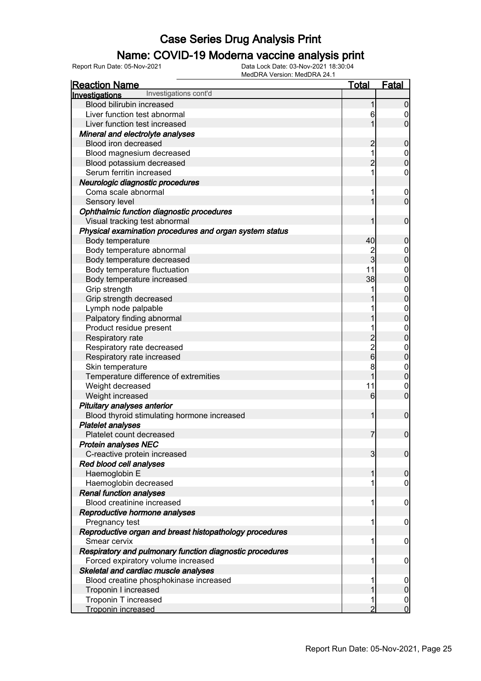### Name: COVID-19 Moderna vaccine analysis print

| <b>Reaction Name</b>                                                    | <u>Total</u>   | <b>Fatal</b>                     |
|-------------------------------------------------------------------------|----------------|----------------------------------|
| Investigations cont'd<br>Investigations                                 |                |                                  |
| Blood bilirubin increased                                               | 1              | $\mathbf 0$                      |
| Liver function test abnormal                                            | 6              | 0                                |
| Liver function test increased                                           |                | $\overline{0}$                   |
| Mineral and electrolyte analyses                                        |                |                                  |
| Blood iron decreased                                                    | $\overline{2}$ | $\boldsymbol{0}$                 |
| Blood magnesium decreased                                               | 1              | $\boldsymbol{0}$                 |
| Blood potassium decreased                                               | $\overline{2}$ | $\overline{0}$                   |
| Serum ferritin increased                                                | 1              | 0                                |
| Neurologic diagnostic procedures                                        |                |                                  |
| Coma scale abnormal                                                     | 1              | $\boldsymbol{0}$                 |
| Sensory level                                                           | 1              | $\overline{0}$                   |
| Ophthalmic function diagnostic procedures                               |                |                                  |
| Visual tracking test abnormal                                           | 1              | $\mathbf 0$                      |
| Physical examination procedures and organ system status                 |                |                                  |
| Body temperature                                                        | 40             | $\mathbf 0$                      |
| Body temperature abnormal                                               | $\overline{c}$ | $\mathbf 0$                      |
| Body temperature decreased                                              | $\overline{3}$ | $\overline{0}$                   |
| Body temperature fluctuation                                            | 11             |                                  |
| Body temperature increased                                              | 38             | $\begin{matrix}0\\0\end{matrix}$ |
| Grip strength                                                           |                |                                  |
| Grip strength decreased                                                 |                | $0\atop 0$                       |
| Lymph node palpable                                                     |                |                                  |
| Palpatory finding abnormal                                              |                | $0\atop 0$                       |
| Product residue present                                                 |                |                                  |
| Respiratory rate                                                        | $\overline{c}$ | $0\atop 0$                       |
| Respiratory rate decreased                                              |                | $\boldsymbol{0}$                 |
| Respiratory rate increased                                              | $\frac{2}{6}$  | $\overline{0}$                   |
| Skin temperature                                                        | 8              | $\boldsymbol{0}$                 |
| Temperature difference of extremities                                   | 1              | $\mathbf 0$                      |
| Weight decreased                                                        | 11             | $\mathbf 0$                      |
| Weight increased                                                        | 6              | $\overline{0}$                   |
| Pituitary analyses anterior                                             |                |                                  |
| Blood thyroid stimulating hormone increased                             | 1              | $\mathbf 0$                      |
| <b>Platelet analyses</b>                                                |                |                                  |
| Platelet count decreased                                                | $\overline{7}$ | $\mathbf 0$                      |
| <b>Protein analyses NEC</b>                                             |                |                                  |
| C-reactive protein increased                                            | $\overline{3}$ | $\overline{0}$                   |
| Red blood cell analyses                                                 |                |                                  |
| Haemoglobin E                                                           | 1              | $\boldsymbol{0}$                 |
| Haemoglobin decreased                                                   |                | 0                                |
| <b>Renal function analyses</b>                                          |                |                                  |
| Blood creatinine increased                                              | 1              | $\mathbf 0$                      |
| Reproductive hormone analyses                                           |                |                                  |
| Pregnancy test                                                          | 1              | $\mathbf 0$                      |
|                                                                         |                |                                  |
| Reproductive organ and breast histopathology procedures<br>Smear cervix | 1              | $\mathbf 0$                      |
|                                                                         |                |                                  |
| Respiratory and pulmonary function diagnostic procedures                |                |                                  |
| Forced expiratory volume increased                                      | 1              | 0                                |
| Skeletal and cardiac muscle analyses                                    |                |                                  |
| Blood creatine phosphokinase increased                                  |                | $\mathbf 0$                      |
| Troponin I increased                                                    |                | $\mathbf 0$                      |
| Troponin T increased                                                    |                | $\mathbf 0$                      |
| Troponin increased                                                      | $\overline{2}$ | $\overline{0}$                   |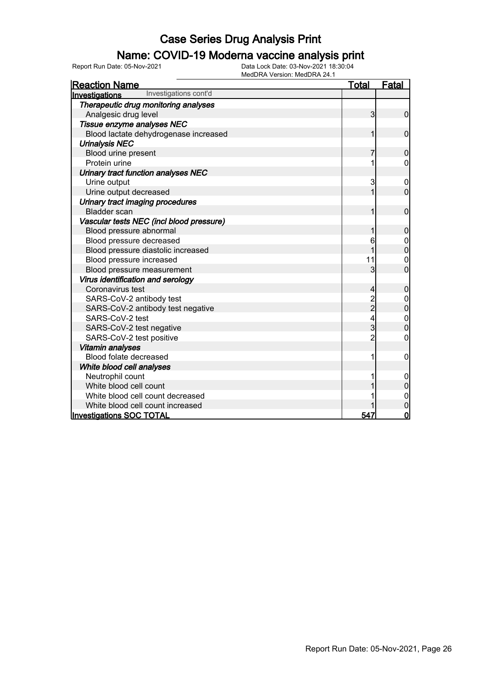### Name: COVID-19 Moderna vaccine analysis print

| <b>Reaction Name</b>                     | <u>Total</u>   | Fatal          |
|------------------------------------------|----------------|----------------|
| Investigations cont'd<br>Investigations  |                |                |
| Therapeutic drug monitoring analyses     |                |                |
| Analgesic drug level                     | 3              | $\mathbf 0$    |
| Tissue enzyme analyses NEC               |                |                |
| Blood lactate dehydrogenase increased    | 1              | $\overline{0}$ |
| <b>Urinalysis NEC</b>                    |                |                |
| Blood urine present                      | 7              | $\mathbf 0$    |
| Protein urine                            |                | 0              |
| Urinary tract function analyses NEC      |                |                |
| Urine output                             | 3              | 0              |
| Urine output decreased                   | 1              | $\overline{0}$ |
| Urinary tract imaging procedures         |                |                |
| <b>Bladder</b> scan                      |                | $\mathbf 0$    |
| Vascular tests NEC (incl blood pressure) |                |                |
| Blood pressure abnormal                  |                | 0              |
| Blood pressure decreased                 | 6              | 0              |
| Blood pressure diastolic increased       | 1              | $\mathbf 0$    |
| Blood pressure increased                 | 11             | 0              |
| Blood pressure measurement               | 3              | $\overline{0}$ |
| Virus identification and serology        |                |                |
| Coronavirus test                         | 4              | $\mathbf{0}$   |
| SARS-CoV-2 antibody test                 | 2<br>2         | 0              |
| SARS-CoV-2 antibody test negative        |                | 0              |
| SARS-CoV-2 test                          | 4              | $\mathbf 0$    |
| SARS-CoV-2 test negative                 | 3              | $\overline{0}$ |
| SARS-CoV-2 test positive                 | $\overline{2}$ | 0              |
| <b>Vitamin analyses</b>                  |                |                |
| Blood folate decreased                   | 1              | 0              |
| White blood cell analyses                |                |                |
| Neutrophil count                         |                |                |
| White blood cell count                   |                | 0              |
| White blood cell count decreased         |                | 0              |
| White blood cell count increased         |                | 0              |
| <b>Investigations SOC TOTAL</b>          | 547            | $\mathbf 0$    |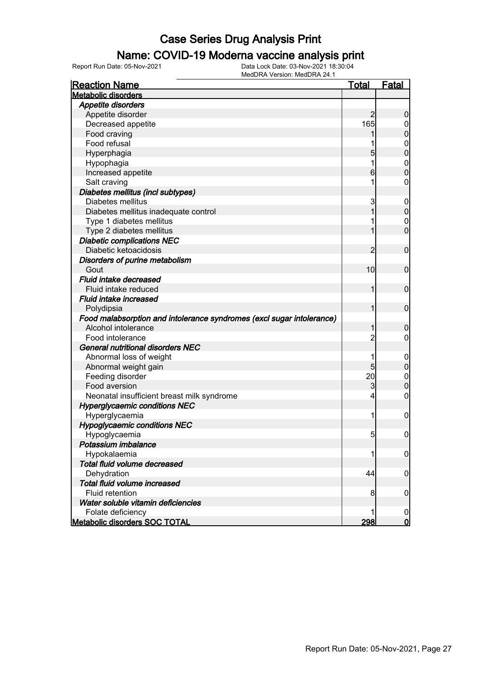#### Name: COVID-19 Moderna vaccine analysis print

| <b>Reaction Name</b>                                                  | <b>Total</b>   | <u>Fatal</u>     |
|-----------------------------------------------------------------------|----------------|------------------|
| <b>Metabolic disorders</b>                                            |                |                  |
| Appetite disorders                                                    |                |                  |
| Appetite disorder                                                     | 2              | $\boldsymbol{0}$ |
| Decreased appetite                                                    | 165            | 0                |
| Food craving                                                          |                | $\boldsymbol{0}$ |
| Food refusal                                                          |                | $\mathbf 0$      |
| Hyperphagia                                                           | 5              | $\overline{0}$   |
| Hypophagia                                                            | 1              | $\mathbf{0}$     |
| Increased appetite                                                    | 6              | $\mathbf 0$      |
| Salt craving                                                          | 1              | $\mathbf 0$      |
| Diabetes mellitus (incl subtypes)                                     |                |                  |
| Diabetes mellitus                                                     | 3              | $\mathbf 0$      |
| Diabetes mellitus inadequate control                                  | 1              | $\mathbf 0$      |
| Type 1 diabetes mellitus                                              |                | $\mathbf 0$      |
| Type 2 diabetes mellitus                                              | 1              | $\mathbf 0$      |
| <b>Diabetic complications NEC</b>                                     |                |                  |
| Diabetic ketoacidosis                                                 | 2              | $\mathbf 0$      |
| Disorders of purine metabolism                                        |                |                  |
| Gout                                                                  | 10             | $\mathbf 0$      |
| Fluid intake decreased                                                |                |                  |
| Fluid intake reduced                                                  | 1              | $\mathbf 0$      |
| <b>Fluid intake increased</b>                                         |                |                  |
| Polydipsia                                                            | 1              | $\mathbf 0$      |
| Food malabsorption and intolerance syndromes (excl sugar intolerance) |                |                  |
| Alcohol intolerance                                                   | 1              | $\boldsymbol{0}$ |
| Food intolerance                                                      | $\overline{2}$ | $\overline{0}$   |
| <b>General nutritional disorders NEC</b>                              |                |                  |
| Abnormal loss of weight                                               | 1              | $\mathbf 0$      |
| Abnormal weight gain                                                  | 5              | $\mathbf 0$      |
| Feeding disorder                                                      | 20             | $\mathbf 0$      |
| Food aversion                                                         | 3              | $\boldsymbol{0}$ |
| Neonatal insufficient breast milk syndrome                            | 4              | $\mathbf 0$      |
| <b>Hyperglycaemic conditions NEC</b>                                  |                |                  |
| Hyperglycaemia                                                        | 1              | $\mathbf 0$      |
| <b>Hypoglycaemic conditions NEC</b>                                   |                |                  |
| Hypoglycaemia                                                         | 5 <sub>5</sub> | $\mathbf 0$      |
| Potassium imbalance                                                   |                |                  |
| Hypokalaemia                                                          | 1              | $\overline{0}$   |
| Total fluid volume decreased                                          |                |                  |
| Dehydration                                                           | 44             | $\boldsymbol{0}$ |
| Total fluid volume increased                                          |                |                  |
| Fluid retention                                                       | 8              | $\mathbf 0$      |
| Water soluble vitamin deficiencies                                    |                |                  |
| Folate deficiency                                                     | 1              | $\boldsymbol{0}$ |
| <b>Metabolic disorders SOC TOTAL</b>                                  | 298            | $\mathsf{0}$     |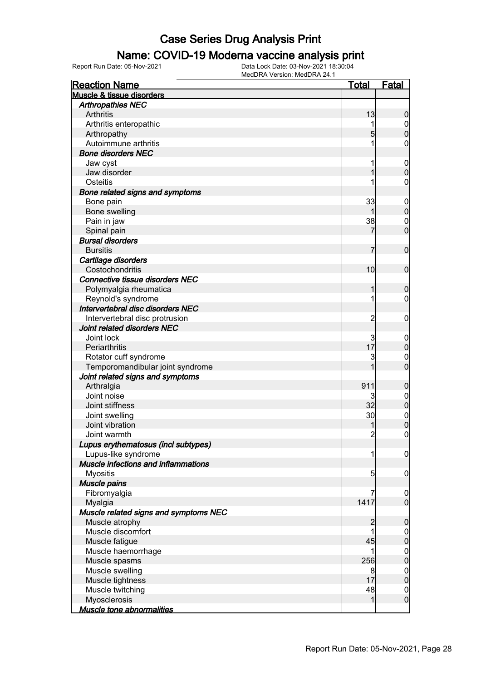#### Name: COVID-19 Moderna vaccine analysis print

Report Run Date: 05-Nov-2021 Data Lock Date: 03-Nov-2021 18:30:04

| <b>Reaction Name</b>                       | <u>Total</u>        | Fatal                              |
|--------------------------------------------|---------------------|------------------------------------|
| Muscle & tissue disorders                  |                     |                                    |
| <b>Arthropathies NEC</b>                   |                     |                                    |
| Arthritis                                  | 13                  | 0                                  |
| Arthritis enteropathic                     |                     | $\mathbf 0$                        |
| Arthropathy                                | 5                   | $\overline{0}$                     |
| Autoimmune arthritis                       | 1                   | 0                                  |
| <b>Bone disorders NEC</b>                  |                     |                                    |
| Jaw cyst                                   | 1                   | $\mathbf 0$                        |
| Jaw disorder                               |                     | $\overline{0}$                     |
| Osteitis                                   |                     | 0                                  |
| Bone related signs and symptoms            |                     |                                    |
| Bone pain                                  | 33                  | $\mathbf 0$                        |
| Bone swelling                              |                     | $\pmb{0}$                          |
| Pain in jaw                                | 38                  | $\mathbf 0$                        |
| Spinal pain                                | 7                   | $\overline{0}$                     |
| <b>Bursal disorders</b>                    |                     |                                    |
| <b>Bursitis</b>                            | 7                   | $\mathbf 0$                        |
| Cartilage disorders                        |                     |                                    |
| Costochondritis                            | 10                  | $\mathbf 0$                        |
| <b>Connective tissue disorders NEC</b>     |                     |                                    |
| Polymyalgia rheumatica                     |                     | 0                                  |
| Reynold's syndrome                         | 1                   | 0                                  |
| Intervertebral disc disorders NEC          |                     |                                    |
| Intervertebral disc protrusion             | 2                   | 0                                  |
| Joint related disorders NEC                |                     |                                    |
| Joint lock                                 | 3                   | $\overline{0}$                     |
| Periarthritis                              | 17                  | $\pmb{0}$                          |
| Rotator cuff syndrome                      | 3                   | $\mathbf 0$                        |
| Temporomandibular joint syndrome           |                     | $\overline{0}$                     |
| Joint related signs and symptoms           |                     |                                    |
| Arthralgia                                 | 911                 | 0                                  |
| Joint noise                                | 3                   | $\boldsymbol{0}$                   |
| Joint stiffness                            | 32                  | $\mathbf 0$                        |
| Joint swelling                             | 30                  |                                    |
| Joint vibration                            |                     | $\boldsymbol{0}$<br>$\overline{0}$ |
| Joint warmth                               | $\overline{2}$      | $\overline{0}$                     |
| Lupus erythematosus (incl subtypes)        |                     |                                    |
| Lupus-like syndrome                        | 1                   |                                    |
| <b>Muscle infections and inflammations</b> |                     | $\mathbf 0$                        |
|                                            |                     |                                    |
| <b>Myositis</b><br>Muscle pains            | $5\overline{)}$     | $\mathbf 0$                        |
|                                            | 7                   |                                    |
| Fibromyalgia                               | 1417                | $\mathbf 0$<br>$\mathbf 0$         |
| Myalgia                                    |                     |                                    |
| Muscle related signs and symptoms NEC      |                     |                                    |
| Muscle atrophy<br>Muscle discomfort        | $\overline{c}$<br>1 | $\boldsymbol{0}$                   |
|                                            |                     | $\mathbf 0$                        |
| Muscle fatigue                             | 45                  | $\mathbf 0$                        |
| Muscle haemorrhage                         |                     | $\mathbf 0$                        |
| Muscle spasms                              | 256                 | $\overline{0}$                     |
| Muscle swelling                            | 8                   | $\mathbf 0$                        |
| Muscle tightness                           | 17                  | $\overline{0}$                     |
| Muscle twitching                           | 48                  | $\mathbf 0$                        |
| Myosclerosis                               | $\mathbf{1}$        | $\mathbf 0$                        |
| <b>Muscle tone abnormalities</b>           |                     |                                    |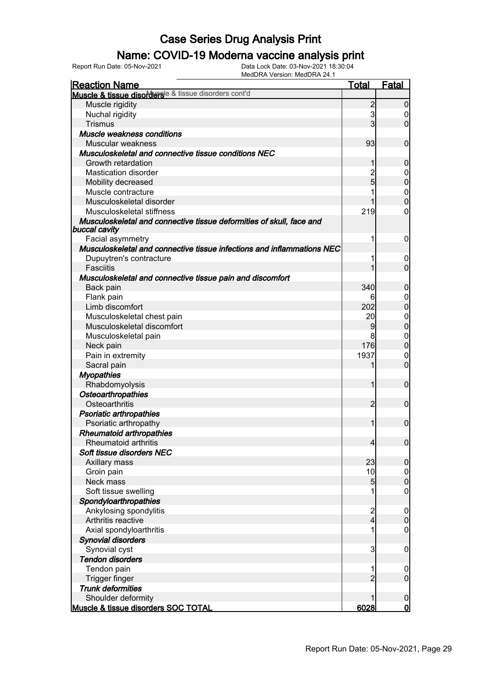### Name: COVID-19 Moderna vaccine analysis print

Report Run Date: 05-Nov-2021 Data Lock Date: 03-Nov-2021 18:30:04

| <u>Reaction Name</u>                                                                  | <b>Total</b>   | <b>Fatal</b>                 |
|---------------------------------------------------------------------------------------|----------------|------------------------------|
| Muscle & tissue disorders <sup>ie &amp; tissue disorders cont'd</sup>                 |                |                              |
| Muscle rigidity                                                                       | $\overline{2}$ | $\overline{0}$               |
| Nuchal rigidity                                                                       | $\mathbf{3}$   | $\boldsymbol{0}$             |
| <b>Trismus</b>                                                                        | $\overline{3}$ | $\overline{0}$               |
| Muscle weakness conditions                                                            |                |                              |
| Muscular weakness                                                                     | 93             | $\overline{0}$               |
| Musculoskeletal and connective tissue conditions NEC                                  |                |                              |
| Growth retardation                                                                    | 1              | $\mathbf 0$                  |
| <b>Mastication disorder</b>                                                           | $\overline{c}$ | $\mathbf 0$                  |
| Mobility decreased                                                                    | $\overline{5}$ | $\mathbf 0$                  |
| Muscle contracture                                                                    |                | $\mathbf{0}$                 |
| Musculoskeletal disorder                                                              |                | $\overline{0}$               |
| Musculoskeletal stiffness                                                             | 219            | 0                            |
| Musculoskeletal and connective tissue deformities of skull, face and<br>buccal cavity |                |                              |
| Facial asymmetry                                                                      | 1              | $\mathbf 0$                  |
| Musculoskeletal and connective tissue infections and inflammations NEC                |                |                              |
| Dupuytren's contracture                                                               | 1              | $\mathbf 0$                  |
| Fasciitis                                                                             | 1              | $\mathbf 0$                  |
| Musculoskeletal and connective tissue pain and discomfort                             |                |                              |
| Back pain                                                                             | 340            | $\mathbf 0$                  |
| Flank pain                                                                            | 6              | $\mathbf 0$                  |
| Limb discomfort                                                                       | 202            | $\overline{0}$               |
| Musculoskeletal chest pain                                                            | 20             | $\mathbf{0}$                 |
| Musculoskeletal discomfort                                                            | 9              | $\overline{0}$               |
| Musculoskeletal pain                                                                  | 8              | $\boldsymbol{0}$             |
| Neck pain                                                                             | 176            | $\overline{0}$               |
| Pain in extremity                                                                     | 1937           | $\mathbf 0$                  |
| Sacral pain                                                                           | 1              | $\mathbf 0$                  |
| <b>Myopathies</b>                                                                     |                |                              |
| Rhabdomyolysis                                                                        | 1              | $\mathbf 0$                  |
| <b>Osteoarthropathies</b>                                                             |                |                              |
| Osteoarthritis                                                                        | $\overline{2}$ | $\mathbf 0$                  |
| <b>Psoriatic arthropathies</b>                                                        |                |                              |
| Psoriatic arthropathy                                                                 | 1              | $\mathbf 0$                  |
| <b>Rheumatoid arthropathies</b>                                                       |                |                              |
| Rheumatoid arthritis                                                                  | $\overline{4}$ | 0                            |
| Soft tissue disorders NEC                                                             |                |                              |
| Axillary mass                                                                         | 23             | $\boldsymbol{0}$             |
| Groin pain                                                                            | 10             | $\overline{0}$               |
| Neck mass                                                                             | 5              | $\pmb{0}$                    |
| Soft tissue swelling                                                                  | 1              | $\mathbf 0$                  |
| Spondyloarthropathies                                                                 |                |                              |
| Ankylosing spondylitis                                                                |                | $\boldsymbol{0}$             |
| Arthritis reactive                                                                    | $\frac{2}{4}$  | $\mathbf 0$                  |
| Axial spondyloarthritis                                                               | 1              | $\mathbf 0$                  |
| <b>Synovial disorders</b>                                                             |                |                              |
| Synovial cyst                                                                         | $\overline{3}$ | $\mathbf 0$                  |
| <b>Tendon disorders</b>                                                               |                |                              |
| Tendon pain                                                                           | 1              | $\mathbf 0$                  |
| Trigger finger                                                                        | $\overline{2}$ | $\mathbf 0$                  |
| <b>Trunk deformities</b>                                                              |                |                              |
| Shoulder deformity                                                                    | 1              |                              |
| Muscle & tissue disorders SOC TOTAL                                                   | 6028           | $\boldsymbol{0}$<br><u>0</u> |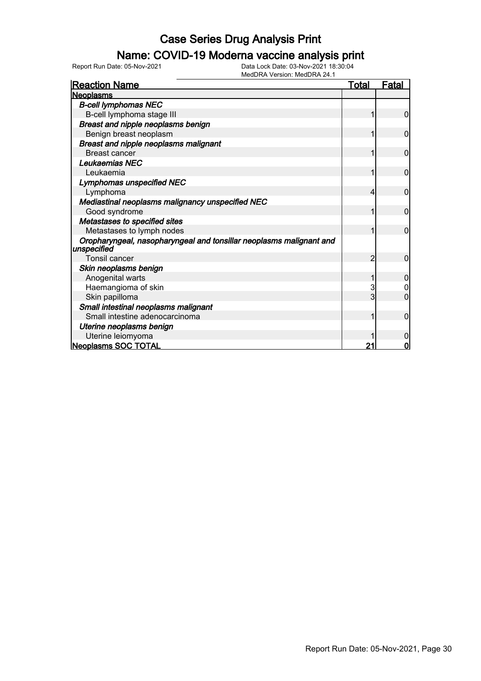### Name: COVID-19 Moderna vaccine analysis print

Report Run Date: 05-Nov-2021 Data Lock Date: 03-Nov-2021 18:30:04

| <b>Reaction Name</b>                                                               | <b>Total</b>   | <u>Fatal</u>   |
|------------------------------------------------------------------------------------|----------------|----------------|
| <b>Neoplasms</b>                                                                   |                |                |
| <b>B-cell lymphomas NEC</b>                                                        |                |                |
| B-cell lymphoma stage III                                                          |                | $\overline{0}$ |
| Breast and nipple neoplasms benign                                                 |                |                |
| Benign breast neoplasm                                                             | 1              | $\mathbf 0$    |
| <b>Breast and nipple neoplasms malignant</b>                                       |                |                |
| <b>Breast cancer</b>                                                               | 1              | 0              |
| Leukaemias NEC                                                                     |                |                |
| Leukaemia                                                                          |                | $\mathbf 0$    |
| <b>Lymphomas unspecified NEC</b>                                                   |                |                |
| Lymphoma                                                                           | 4              | $\mathbf 0$    |
| Mediastinal neoplasms malignancy unspecified NEC                                   |                |                |
| Good syndrome                                                                      |                | $\mathbf 0$    |
| Metastases to specified sites                                                      |                |                |
| Metastases to lymph nodes                                                          |                | $\overline{0}$ |
| Oropharyngeal, nasopharyngeal and tonsillar neoplasms malignant and<br>unspecified |                |                |
| <b>Tonsil cancer</b>                                                               | $\overline{2}$ | $\overline{0}$ |
| Skin neoplasms benign                                                              |                |                |
| Anogenital warts                                                                   |                | 0              |
| Haemangioma of skin                                                                | 3              | 0              |
| Skin papilloma                                                                     | 3              | $\overline{0}$ |
| Small intestinal neoplasms malignant                                               |                |                |
| Small intestine adenocarcinoma                                                     | 1              | $\overline{0}$ |
| Uterine neoplasms benign                                                           |                |                |
| Uterine leiomyoma                                                                  |                | 0              |
| Neoplasms SOC TOTAL                                                                | 21             | $\mathbf 0$    |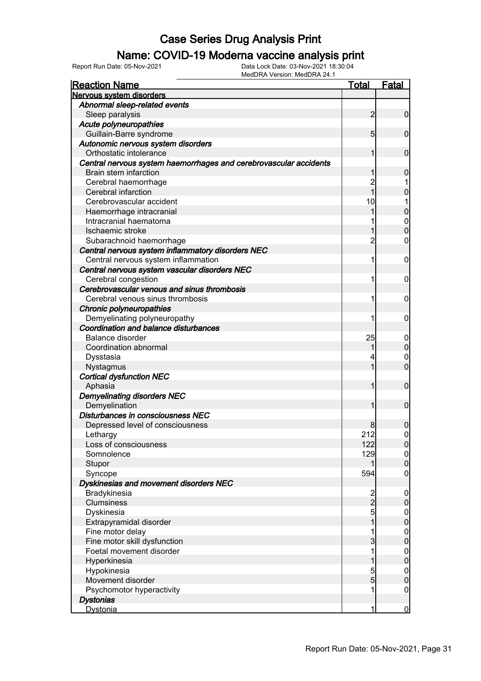#### Name: COVID-19 Moderna vaccine analysis print

| <b>Reaction Name</b>                                              | <b>Total</b>   | <b>Fatal</b>                         |
|-------------------------------------------------------------------|----------------|--------------------------------------|
| Nervous system disorders                                          |                |                                      |
| Abnormal sleep-related events                                     |                |                                      |
| Sleep paralysis                                                   | $\overline{2}$ | $\overline{0}$                       |
| Acute polyneuropathies                                            |                |                                      |
| Guillain-Barre syndrome                                           | 5 <sub>5</sub> | $\overline{0}$                       |
| Autonomic nervous system disorders                                |                |                                      |
| Orthostatic intolerance                                           | 1              | $\mathbf 0$                          |
| Central nervous system haemorrhages and cerebrovascular accidents |                |                                      |
| Brain stem infarction                                             | 1              | $\boldsymbol{0}$                     |
| Cerebral haemorrhage                                              | $\overline{c}$ |                                      |
| Cerebral infarction                                               | $\overline{1}$ | $\mathbf 0$                          |
| Cerebrovascular accident                                          | 10             |                                      |
| Haemorrhage intracranial                                          |                | $\mathbf 0$                          |
| Intracranial haematoma                                            |                | $\mathbf{0}$                         |
| Ischaemic stroke                                                  |                | $\overline{0}$                       |
| Subarachnoid haemorrhage                                          | $\overline{c}$ | 0                                    |
| Central nervous system inflammatory disorders NEC                 |                |                                      |
| Central nervous system inflammation                               | 1              | $\boldsymbol{0}$                     |
| Central nervous system vascular disorders NEC                     |                |                                      |
| Cerebral congestion                                               | 1              | $\mathbf 0$                          |
| Cerebrovascular venous and sinus thrombosis                       |                |                                      |
| Cerebral venous sinus thrombosis                                  | 1              | $\mathbf 0$                          |
| Chronic polyneuropathies                                          |                |                                      |
| Demyelinating polyneuropathy                                      | 1              | $\mathbf 0$                          |
| Coordination and balance disturbances                             |                |                                      |
| Balance disorder                                                  | 25             | $\mathbf 0$                          |
| Coordination abnormal                                             |                | $\mathbf 0$                          |
| Dysstasia                                                         | 4              | $\mathbf 0$                          |
| Nystagmus                                                         |                | $\overline{0}$                       |
| <b>Cortical dysfunction NEC</b>                                   |                |                                      |
| Aphasia                                                           | 1              | $\mathbf 0$                          |
| <b>Demyelinating disorders NEC</b>                                |                |                                      |
| Demyelination                                                     | 1              | $\mathbf 0$                          |
| Disturbances in consciousness NEC                                 |                |                                      |
| Depressed level of consciousness                                  | 8              | $\boldsymbol{0}$                     |
| Lethargy                                                          | 212            | $\mathbf 0$                          |
| Loss of consciousness                                             | 122            | $\overline{0}$                       |
| Somnolence                                                        | 129            | 0                                    |
| Stupor                                                            | 1              | $\overline{0}$                       |
| Syncope                                                           | 594            | $\mathbf 0$                          |
| Dyskinesias and movement disorders NEC                            |                |                                      |
| Bradykinesia                                                      |                | $\overline{0}$                       |
| Clumsiness                                                        | $\frac{2}{2}$  | $\pmb{0}$                            |
| Dyskinesia                                                        | 5              |                                      |
| Extrapyramidal disorder                                           | 1              | $\begin{matrix} 0 \\ 0 \end{matrix}$ |
| Fine motor delay                                                  |                |                                      |
| Fine motor skill dysfunction                                      | 3              | $\begin{matrix} 0 \\ 0 \end{matrix}$ |
| Foetal movement disorder                                          | 1              |                                      |
| Hyperkinesia                                                      |                | $\begin{matrix} 0 \\ 0 \end{matrix}$ |
| Hypokinesia                                                       | 5              |                                      |
| Movement disorder                                                 | $\overline{5}$ | $\begin{matrix} 0 \\ 0 \end{matrix}$ |
| Psychomotor hyperactivity                                         | 1              | $\mathbf 0$                          |
| <b>Dystonias</b>                                                  |                |                                      |
| <b>Dystonia</b>                                                   | 1              | $\overline{0}$                       |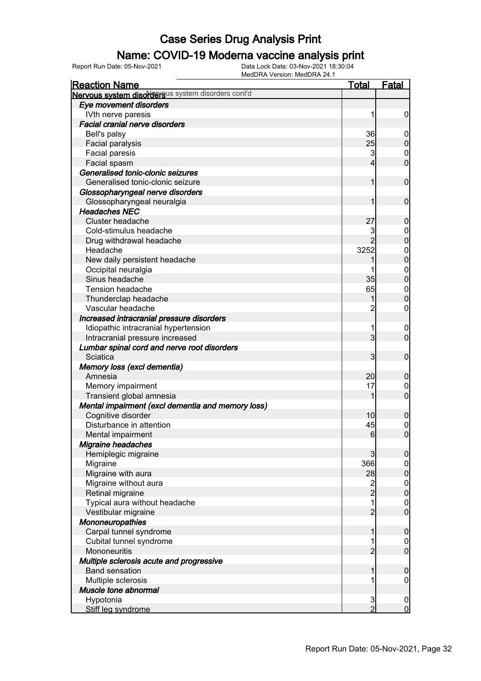### Name: COVID-19 Moderna vaccine analysis print

| <b>Reaction Name</b>                               | <b>Total</b>            | <b>Fatal</b>     |
|----------------------------------------------------|-------------------------|------------------|
| Nervous system disordersus system disorders cont'd |                         |                  |
| Eye movement disorders                             |                         |                  |
| IVth nerve paresis                                 |                         | $\boldsymbol{0}$ |
| <b>Facial cranial nerve disorders</b>              |                         |                  |
| Bell's palsy                                       | 36                      | $\mathbf 0$      |
| Facial paralysis                                   | 25                      | $\boldsymbol{0}$ |
| <b>Facial paresis</b>                              | 3                       | $\mathbf 0$      |
| Facial spasm                                       | 4                       | $\mathbf 0$      |
| Generalised tonic-clonic seizures                  |                         |                  |
| Generalised tonic-clonic seizure                   |                         | $\mathbf 0$      |
| Glossopharyngeal nerve disorders                   |                         |                  |
| Glossopharyngeal neuralgia                         |                         | $\mathbf 0$      |
| <b>Headaches NEC</b>                               |                         |                  |
| Cluster headache                                   | 27                      | $\boldsymbol{0}$ |
| Cold-stimulus headache                             | 3                       | $\mathbf 0$      |
| Drug withdrawal headache                           |                         | $\overline{0}$   |
| Headache                                           | 3252                    | $\boldsymbol{0}$ |
| New daily persistent headache                      |                         | $\overline{0}$   |
| Occipital neuralgia                                |                         | $\mathbf{0}$     |
| Sinus headache                                     | 35                      | $\overline{0}$   |
| <b>Tension headache</b>                            | 65                      | $\mathbf 0$      |
| Thunderclap headache                               |                         | $\overline{0}$   |
| Vascular headache                                  | $\overline{c}$          | $\mathbf 0$      |
| Increased intracranial pressure disorders          |                         |                  |
| Idiopathic intracranial hypertension               |                         | $\mathbf 0$      |
| Intracranial pressure increased                    | 3                       | $\mathbf 0$      |
| Lumbar spinal cord and nerve root disorders        |                         |                  |
| Sciatica                                           | 3 <sub>l</sub>          | $\mathbf 0$      |
| Memory loss (excl dementia)                        |                         |                  |
| Amnesia                                            | 20                      | $\boldsymbol{0}$ |
| Memory impairment                                  | 17                      | $\mathbf 0$      |
| Transient global amnesia                           |                         | $\mathbf 0$      |
| Mental impairment (excl dementia and memory loss)  |                         |                  |
| Cognitive disorder                                 | 10                      | $\mathbf 0$      |
| Disturbance in attention                           | 45                      | $\mathbf 0$      |
| Mental impairment                                  | 6                       | $\overline{0}$   |
| <b>Migraine headaches</b>                          |                         |                  |
| Hemiplegic migraine                                | 3                       | $\overline{0}$   |
| Migraine                                           | 366                     | $\overline{0}$   |
| Migraine with aura                                 | 28                      | $\pmb{0}$        |
| Migraine without aura                              | $\overline{\mathbf{c}}$ | $\boldsymbol{0}$ |
| Retinal migraine                                   | $\overline{2}$          | $\overline{0}$   |
| Typical aura without headache                      |                         | $\mathbf 0$      |
| Vestibular migraine                                | $\overline{2}$          | $\overline{0}$   |
| <b>Mononeuropathies</b>                            |                         |                  |
| Carpal tunnel syndrome                             |                         | $\boldsymbol{0}$ |
| Cubital tunnel syndrome                            |                         | $\mathbf 0$      |
| Mononeuritis                                       | 2                       | $\mathbf 0$      |
| Multiple sclerosis acute and progressive           |                         |                  |
| <b>Band sensation</b>                              |                         | $\boldsymbol{0}$ |
| Multiple sclerosis                                 |                         | $\mathbf 0$      |
| Muscle tone abnormal                               |                         |                  |
| Hypotonia                                          | 3                       | $\mathbf 0$      |
| Stiff leg syndrome                                 | $\overline{2}$          | $\mathbf 0$      |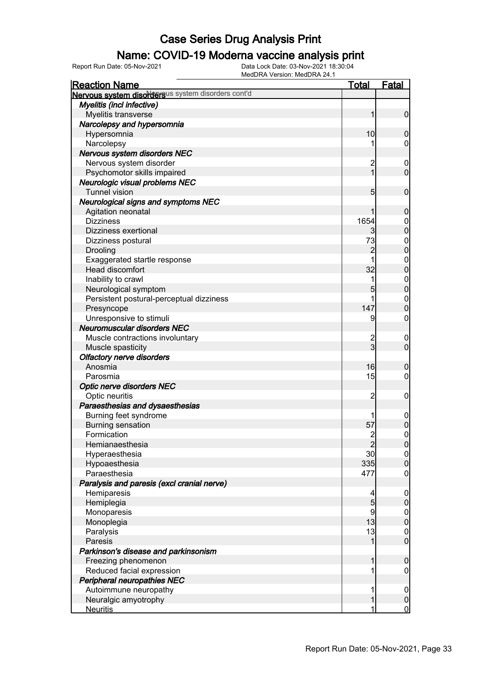### Name: COVID-19 Moderna vaccine analysis print

Report Run Date: 05-Nov-2021 Data Lock Date: 03-Nov-2021 18:30:04

| MEUDINA VEISIUII. MEUDINA 24. I<br><b>Reaction Name</b> | <b>Total</b>   | Fatal                            |
|---------------------------------------------------------|----------------|----------------------------------|
| Nervous system disordersus system disorders cont'd      |                |                                  |
| Myelitis (incl infective)                               |                |                                  |
| Myelitis transverse                                     | 1              | $\overline{0}$                   |
| Narcolepsy and hypersomnia                              |                |                                  |
| Hypersomnia                                             | 10             | $\mathbf 0$                      |
| Narcolepsy                                              |                | 0                                |
| Nervous system disorders NEC                            |                |                                  |
| Nervous system disorder                                 | 2              | $\mathbf 0$                      |
| Psychomotor skills impaired                             | $\overline{1}$ | $\overline{0}$                   |
| Neurologic visual problems NEC                          |                |                                  |
| <b>Tunnel vision</b>                                    | 5              | $\mathbf 0$                      |
| <b>Neurological signs and symptoms NEC</b>              |                |                                  |
| Agitation neonatal                                      |                | $\mathbf 0$                      |
| <b>Dizziness</b>                                        | 1654           |                                  |
|                                                         |                | $\mathbf 0$<br>$\overline{0}$    |
| Dizziness exertional                                    | 3              |                                  |
| Dizziness postural                                      | 73             | $\mathbf 0$<br>$\overline{0}$    |
| Drooling                                                | $\overline{2}$ |                                  |
| Exaggerated startle response                            |                | $\mathbf 0$                      |
| <b>Head discomfort</b>                                  | 32             | $\overline{0}$                   |
| Inability to crawl                                      |                | $\mathbf{0}$                     |
| Neurological symptom                                    | 5              | $\overline{0}$                   |
| Persistent postural-perceptual dizziness                |                | $\mathbf 0$                      |
| Presyncope                                              | 147            | $\overline{0}$                   |
| Unresponsive to stimuli                                 | 9              | 0                                |
| <b>Neuromuscular disorders NEC</b>                      |                |                                  |
| Muscle contractions involuntary                         | 2<br>3         | $\mathbf 0$                      |
| Muscle spasticity                                       |                | $\overline{0}$                   |
| <b>Olfactory nerve disorders</b>                        |                |                                  |
| Anosmia                                                 | 16             | 0                                |
| Parosmia                                                | 15             | 0                                |
| <b>Optic nerve disorders NEC</b>                        |                |                                  |
| Optic neuritis                                          | 2              | 0                                |
| Paraesthesias and dysaesthesias                         |                |                                  |
| Burning feet syndrome                                   |                | 0                                |
| <b>Burning sensation</b>                                | 57             | $\mathbf 0$                      |
| Formication                                             | 2              | 0                                |
| Hemianaesthesia                                         | 2              | $\overline{0}$                   |
| Hyperaesthesia                                          | 30             | $\overline{0}$                   |
| Hypoaesthesia                                           | 335            | $\overline{0}$                   |
| Paraesthesia                                            | 477            | 0                                |
| Paralysis and paresis (excl cranial nerve)              |                |                                  |
| Hemiparesis                                             |                | $\mathbf 0$                      |
| Hemiplegia                                              | 5              | $\overline{0}$                   |
| Monoparesis                                             | 9              |                                  |
| Monoplegia                                              | 13             | $\begin{matrix}0\\0\end{matrix}$ |
| Paralysis                                               | 13             | $\mathbf 0$                      |
| Paresis                                                 | 1              | $\overline{0}$                   |
| Parkinson's disease and parkinsonism                    |                |                                  |
| Freezing phenomenon                                     | 1              | $\boldsymbol{0}$                 |
| Reduced facial expression                               |                | 0                                |
| <b>Peripheral neuropathies NEC</b>                      |                |                                  |
|                                                         |                |                                  |
| Autoimmune neuropathy                                   |                | $\mathbf 0$                      |
| Neuralgic amyotrophy                                    | 1              | $\mathbf 0$                      |
| <b>Neuritis</b>                                         | 1              | $\overline{0}$                   |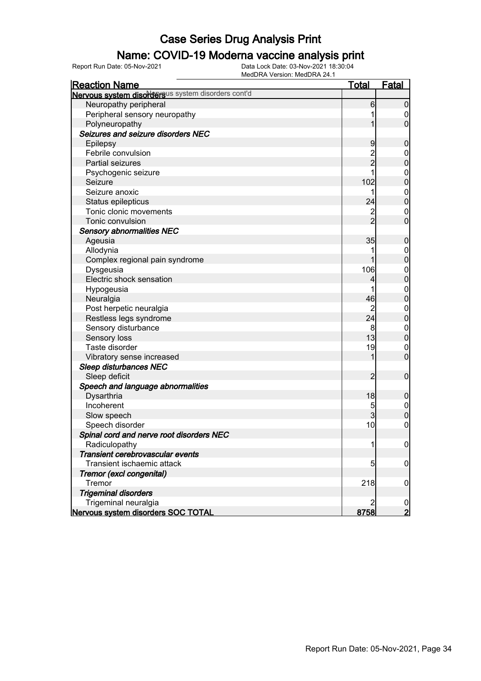### Name: COVID-19 Moderna vaccine analysis print

Report Run Date: 05-Nov-2021 Data Lock Date: 03-Nov-2021 18:30:04

| <b>Reaction Name</b>                               | <b>Total</b>   | <b>Fatal</b>     |
|----------------------------------------------------|----------------|------------------|
| Nervous system disordersus system disorders cont'd |                |                  |
| Neuropathy peripheral                              | 6              | $\boldsymbol{0}$ |
| Peripheral sensory neuropathy                      |                | 0                |
| Polyneuropathy                                     |                | $\overline{0}$   |
| Seizures and seizure disorders NEC                 |                |                  |
| Epilepsy                                           | 9              | $\mathbf 0$      |
| Febrile convulsion                                 |                | $\mathbf 0$      |
| Partial seizures                                   | 2<br>2         | $\mathbf 0$      |
| Psychogenic seizure                                |                | $\boldsymbol{0}$ |
| Seizure                                            | 102            | $\mathbf 0$      |
| Seizure anoxic                                     |                | $\boldsymbol{0}$ |
| Status epilepticus                                 | 24             | $\mathbf 0$      |
| Tonic clonic movements                             |                | $\mathbf 0$      |
| Tonic convulsion                                   | $\frac{2}{2}$  | $\mathbf 0$      |
| <b>Sensory abnormalities NEC</b>                   |                |                  |
| Ageusia                                            | 35             | $\mathbf 0$      |
| Allodynia                                          |                | $\mathbf 0$      |
| Complex regional pain syndrome                     |                | $\mathbf 0$      |
| Dysgeusia                                          | 106            | $\boldsymbol{0}$ |
| Electric shock sensation                           | 4              | $\mathbf 0$      |
| Hypogeusia                                         |                | $\boldsymbol{0}$ |
| Neuralgia                                          | 46             | $\mathbf 0$      |
| Post herpetic neuralgia                            | 2              | $\mathbf{0}$     |
| Restless legs syndrome                             | 24             | $\pmb{0}$        |
| Sensory disturbance                                | 8              | $\boldsymbol{0}$ |
| Sensory loss                                       | 13             | $\pmb{0}$        |
| Taste disorder                                     | 19             | $\mathbf 0$      |
| Vibratory sense increased                          | 1              | $\mathbf 0$      |
| <b>Sleep disturbances NEC</b>                      |                |                  |
| Sleep deficit                                      | $\overline{2}$ | $\mathbf 0$      |
| Speech and language abnormalities                  |                |                  |
| Dysarthria                                         | 18             | $\mathbf 0$      |
| Incoherent                                         | 5              | $\overline{0}$   |
| Slow speech                                        | 3              | $\mathbf 0$      |
| Speech disorder                                    | 10             | $\boldsymbol{0}$ |
| Spinal cord and nerve root disorders NEC           |                |                  |
| Radiculopathy                                      |                | $\overline{0}$   |
| Transient cerebrovascular events                   |                |                  |
| Transient ischaemic attack                         | 5              | 0                |
| Tremor (excl congenital)                           |                |                  |
| Tremor                                             | 218            | $\mathbf 0$      |
| <b>Trigeminal disorders</b>                        |                |                  |
| Trigeminal neuralgia                               | 2              | $\boldsymbol{0}$ |
| Nervous system disorders SOC TOTAL                 | 8758           | $\overline{2}$   |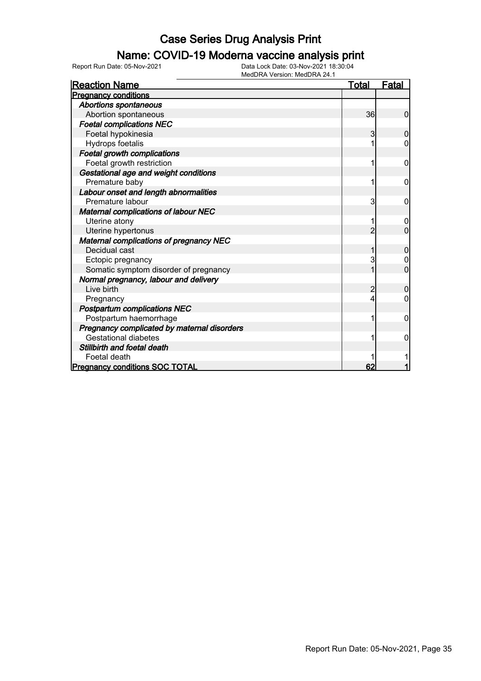### Name: COVID-19 Moderna vaccine analysis print

| <b>Reaction Name</b>                           | Total | <b>Fatal</b>   |
|------------------------------------------------|-------|----------------|
| <b>Pregnancy conditions</b>                    |       |                |
| Abortions spontaneous                          |       |                |
| Abortion spontaneous                           | 36    | 0              |
| <b>Foetal complications NEC</b>                |       |                |
| Foetal hypokinesia                             | 3     | 0              |
| Hydrops foetalis                               |       | $\Omega$       |
| <b>Foetal growth complications</b>             |       |                |
| Foetal growth restriction                      |       | $\mathbf 0$    |
| Gestational age and weight conditions          |       |                |
| Premature baby                                 | 1     | 0              |
| Labour onset and length abnormalities          |       |                |
| Premature labour                               | 3     | 0              |
| Maternal complications of labour NEC           |       |                |
| Uterine atony                                  |       | 0              |
| Uterine hypertonus                             | 2     | $\overline{0}$ |
| <b>Maternal complications of pregnancy NEC</b> |       |                |
| Decidual cast                                  |       | $\mathbf 0$    |
| Ectopic pregnancy                              | 3     |                |
| Somatic symptom disorder of pregnancy          |       | $\overline{0}$ |
| Normal pregnancy, labour and delivery          |       |                |
| Live birth                                     |       | 0              |
| Pregnancy                                      |       | 0              |
| <b>Postpartum complications NEC</b>            |       |                |
| Postpartum haemorrhage                         |       | 0              |
| Pregnancy complicated by maternal disorders    |       |                |
| <b>Gestational diabetes</b>                    |       | 0              |
| Stillbirth and foetal death                    |       |                |
| Foetal death                                   |       |                |
| <b>Pregnancy conditions SOC TOTAL</b>          | 62    |                |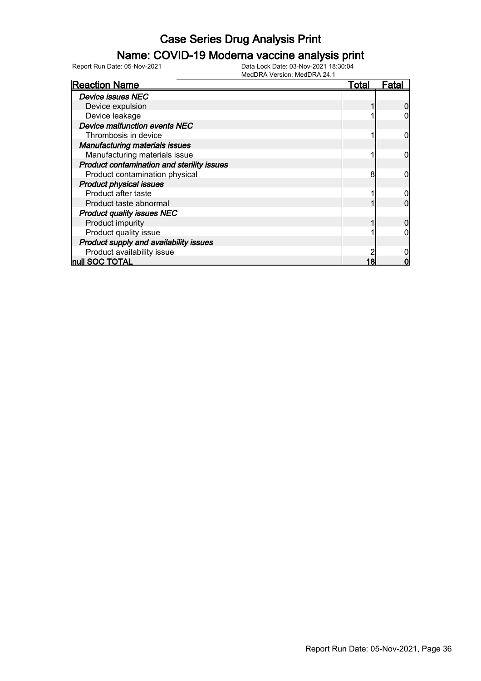### Name: COVID-19 Moderna vaccine analysis print

| <b>Reaction Name</b>                       | Total | Fatal |
|--------------------------------------------|-------|-------|
| <b>Device issues NEC</b>                   |       |       |
| Device expulsion                           |       |       |
| Device leakage                             |       |       |
| <b>Device malfunction events NEC</b>       |       |       |
| Thrombosis in device                       |       |       |
| <b>Manufacturing materials issues</b>      |       |       |
| Manufacturing materials issue              |       |       |
| Product contamination and sterility issues |       |       |
| Product contamination physical             | 8     |       |
| <b>Product physical issues</b>             |       |       |
| Product after taste                        |       |       |
| Product taste abnormal                     |       |       |
| <b>Product quality issues NEC</b>          |       |       |
| Product impurity                           |       |       |
| Product quality issue                      |       |       |
| Product supply and availability issues     |       |       |
| Product availability issue                 |       |       |
| <b>null SOC TOTAL</b>                      |       |       |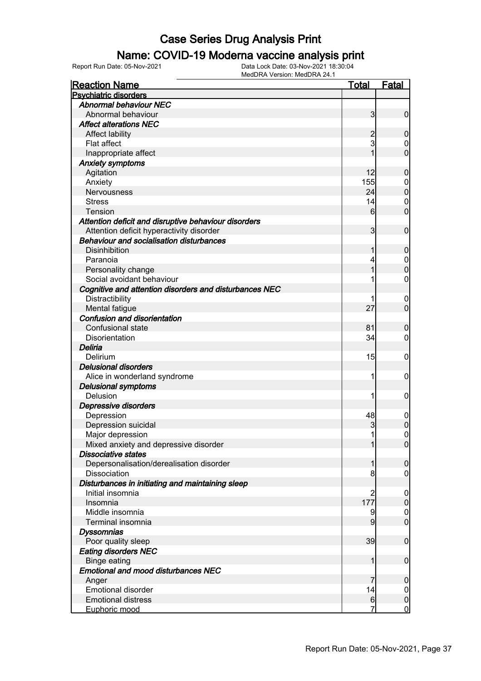#### Name: COVID-19 Moderna vaccine analysis print

Report Run Date: 05-Nov-2021 Data Lock Date: 03-Nov-2021 18:30:04

| <b>Reaction Name</b>                                   | <u>Total</u>    | <b>Fatal</b>                     |
|--------------------------------------------------------|-----------------|----------------------------------|
| <b>Psychiatric disorders</b>                           |                 |                                  |
| <b>Abnormal behaviour NEC</b>                          |                 |                                  |
| Abnormal behaviour                                     | $\mathbf{3}$    | $\mathbf 0$                      |
| <b>Affect alterations NEC</b>                          |                 |                                  |
| Affect lability                                        | 2               | $\mathbf 0$                      |
| Flat affect                                            | 3               | $\mathbf 0$                      |
| Inappropriate affect                                   | 1               | $\overline{0}$                   |
| <b>Anxiety symptoms</b>                                |                 |                                  |
| Agitation                                              | 12              | $\mathbf 0$                      |
| Anxiety                                                | 155             | $\mathbf{0}$                     |
| Nervousness                                            | 24              | $\overline{0}$                   |
| <b>Stress</b>                                          | 14              | $\mathbf 0$                      |
| Tension                                                | 6               | $\overline{0}$                   |
| Attention deficit and disruptive behaviour disorders   |                 |                                  |
| Attention deficit hyperactivity disorder               | 3               | $\mathbf 0$                      |
| <b>Behaviour and socialisation disturbances</b>        |                 |                                  |
| <b>Disinhibition</b>                                   | 1               | $\mathbf 0$                      |
| Paranoia                                               | 4               |                                  |
| Personality change                                     | 1               | $\begin{matrix}0\\0\end{matrix}$ |
| Social avoidant behaviour                              |                 | $\mathbf 0$                      |
| Cognitive and attention disorders and disturbances NEC |                 |                                  |
|                                                        |                 |                                  |
| Distractibility<br><b>Mental fatigue</b>               | 27              | $\mathbf 0$<br>$\overline{0}$    |
| <b>Confusion and disorientation</b>                    |                 |                                  |
|                                                        |                 |                                  |
| Confusional state                                      | 81              | $\mathbf 0$                      |
| Disorientation                                         | 34              | $\mathbf 0$                      |
| Deliria                                                |                 |                                  |
| Delirium                                               | 15              | $\mathbf 0$                      |
| <b>Delusional disorders</b>                            |                 |                                  |
| Alice in wonderland syndrome                           | 1               | 0                                |
| <b>Delusional symptoms</b>                             |                 |                                  |
| Delusion                                               | 1               | 0                                |
| Depressive disorders                                   |                 |                                  |
| Depression                                             | 48              | $\mathbf 0$                      |
| Depression suicidal                                    | 3               | $\mathbf 0$                      |
| Major depression                                       | 1               | $\mathbf 0$                      |
| Mixed anxiety and depressive disorder                  | 1               | 0                                |
| <b>Dissociative states</b>                             |                 |                                  |
| Depersonalisation/derealisation disorder               | 1               | $\mathbf 0$                      |
| <b>Dissociation</b>                                    | 8               | $\overline{0}$                   |
| Disturbances in initiating and maintaining sleep       |                 |                                  |
| Initial insomnia                                       | 2               | $\mathbf 0$                      |
| Insomnia                                               | 177             | $\mathbf 0$                      |
| Middle insomnia                                        | 9               | $\boldsymbol{0}$                 |
| Terminal insomnia                                      | 9               | $\overline{0}$                   |
| <b>Dyssomnias</b>                                      |                 |                                  |
| Poor quality sleep                                     | 39              | $\mathbf 0$                      |
| <b>Eating disorders NEC</b>                            |                 |                                  |
| <b>Binge eating</b>                                    | 1               | $\boldsymbol{0}$                 |
| <b>Emotional and mood disturbances NEC</b>             |                 |                                  |
| Anger                                                  | 7               | $\mathbf 0$                      |
| <b>Emotional disorder</b>                              | 14              | $\overline{0}$                   |
| <b>Emotional distress</b>                              | $6 \overline{}$ | $\boldsymbol{0}$                 |
| Euphoric mood                                          | 7               | $\overline{0}$                   |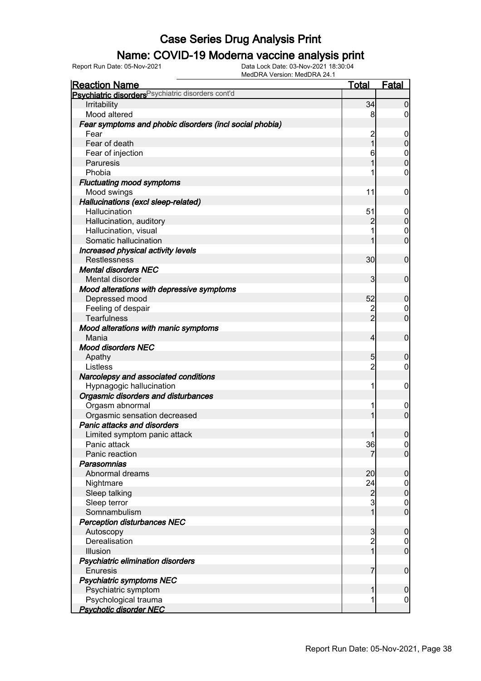### Name: COVID-19 Moderna vaccine analysis print

| <u>Reaction Name</u>                                          | <b>Total</b>   | <b>Fatal</b>     |
|---------------------------------------------------------------|----------------|------------------|
| Psychiatric disorders <sup>Psychiatric disorders cont'd</sup> |                |                  |
| Irritability                                                  | 34             | $\boldsymbol{0}$ |
| Mood altered                                                  | 8              | $\overline{0}$   |
| Fear symptoms and phobic disorders (incl social phobia)       |                |                  |
| Fear                                                          | $\overline{c}$ | $\mathbf 0$      |
| Fear of death                                                 | $\overline{1}$ | $\pmb{0}$        |
| Fear of injection                                             | 6              | $\boldsymbol{0}$ |
| Paruresis                                                     | 1              | $\overline{0}$   |
| Phobia                                                        |                | $\mathbf 0$      |
| <b>Fluctuating mood symptoms</b>                              |                |                  |
| Mood swings                                                   | 11             | $\mathbf 0$      |
| Hallucinations (excl sleep-related)                           |                |                  |
| Hallucination                                                 | 51             | $\mathbf 0$      |
| Hallucination, auditory                                       | $\overline{2}$ | $\mathbf 0$      |
| Hallucination, visual                                         |                | $\mathbf 0$      |
| Somatic hallucination                                         | 1              | $\mathbf 0$      |
| Increased physical activity levels                            |                |                  |
| Restlessness                                                  | 30             | $\mathbf 0$      |
| <b>Mental disorders NEC</b>                                   |                |                  |
| Mental disorder                                               | 3              | $\mathbf 0$      |
| Mood alterations with depressive symptoms                     |                |                  |
| Depressed mood                                                | 52             | $\mathbf 0$      |
| Feeling of despair                                            |                | $\mathbf 0$      |
| <b>Tearfulness</b>                                            | $\frac{2}{2}$  | $\overline{0}$   |
| Mood alterations with manic symptoms                          |                |                  |
| Mania                                                         | $\overline{4}$ | $\mathbf 0$      |
| <b>Mood disorders NEC</b>                                     |                |                  |
| Apathy                                                        | 5              | $\mathbf 0$      |
| Listless                                                      | $\overline{2}$ | $\overline{0}$   |
| Narcolepsy and associated conditions                          |                |                  |
| Hypnagogic hallucination                                      | 1              | $\mathbf 0$      |
| Orgasmic disorders and disturbances                           |                |                  |
| Orgasm abnormal                                               | 1              | $\mathbf 0$      |
| Orgasmic sensation decreased                                  | 1              | $\overline{0}$   |
| Panic attacks and disorders                                   |                |                  |
| Limited symptom panic attack                                  | 1              | $\boldsymbol{0}$ |
| Panic attack                                                  | 36             | 0                |
| Panic reaction                                                | 7              | $\overline{0}$   |
| Parasomnias                                                   |                |                  |
| Abnormal dreams                                               | 20             | $\boldsymbol{0}$ |
| Nightmare                                                     | 24             | $\mathbf 0$      |
| Sleep talking                                                 | $\overline{c}$ | $\pmb{0}$        |
| Sleep terror                                                  | 3              | $\overline{0}$   |
| Somnambulism                                                  | $\overline{1}$ | $\overline{0}$   |
| <b>Perception disturbances NEC</b>                            |                |                  |
| Autoscopy                                                     | $\mathbf{3}$   | $\boldsymbol{0}$ |
| Derealisation                                                 | $\overline{c}$ | $\overline{0}$   |
| Illusion                                                      | $\overline{1}$ | $\overline{0}$   |
| Psychiatric elimination disorders                             |                |                  |
| <b>Enuresis</b>                                               | $\overline{7}$ | $\boldsymbol{0}$ |
| <b>Psychiatric symptoms NEC</b>                               |                |                  |
| Psychiatric symptom                                           | 1              | $\mathbf 0$      |
| Psychological trauma                                          | 1              | $\boldsymbol{0}$ |
| <b>Psychotic disorder NEC</b>                                 |                |                  |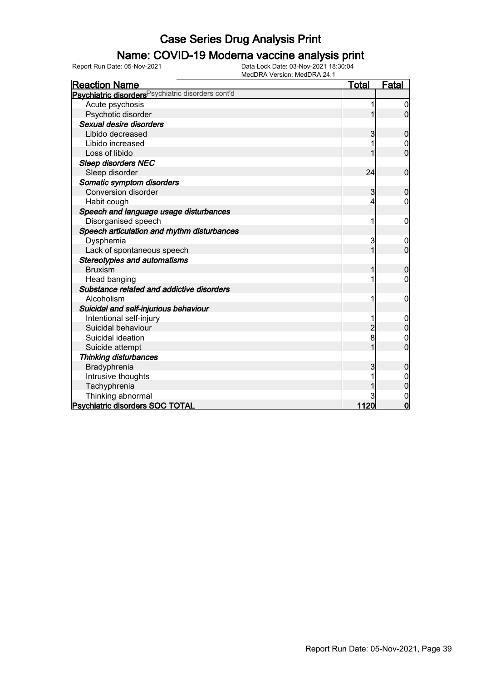### Name: COVID-19 Moderna vaccine analysis print

| <b>Reaction Name</b>                                          | <u>Total</u>   | <b>Fatal</b>   |
|---------------------------------------------------------------|----------------|----------------|
| Psychiatric disorders <sup>Psychiatric disorders cont'd</sup> |                |                |
| Acute psychosis                                               |                | 0              |
| Psychotic disorder                                            |                | $\Omega$       |
| Sexual desire disorders                                       |                |                |
| Libido decreased                                              | 3              | $\mathbf 0$    |
| Libido increased                                              |                | 0              |
| Loss of libido                                                |                | $\overline{0}$ |
| <b>Sleep disorders NEC</b>                                    |                |                |
| Sleep disorder                                                | 24             | $\mathbf 0$    |
| Somatic symptom disorders                                     |                |                |
| <b>Conversion disorder</b>                                    | 3              | $\mathbf 0$    |
| Habit cough                                                   | 4              | 0              |
| Speech and language usage disturbances                        |                |                |
| Disorganised speech                                           |                | 0              |
| Speech articulation and rhythm disturbances                   |                |                |
| Dysphemia                                                     | 3              | 0              |
| Lack of spontaneous speech                                    | $\mathbf{1}$   | $\overline{0}$ |
| <b>Stereotypies and automatisms</b>                           |                |                |
| <b>Bruxism</b>                                                |                | $\mathbf 0$    |
| Head banging                                                  |                | 0              |
| Substance related and addictive disorders                     |                |                |
| Alcoholism                                                    | 1              | 0              |
| Suicidal and self-injurious behaviour                         |                |                |
| Intentional self-injury                                       |                | 0              |
| Suicidal behaviour                                            | $\overline{2}$ | $\overline{0}$ |
| Suicidal ideation                                             | 8              | 0              |
| Suicide attempt                                               |                | 0              |
| <b>Thinking disturbances</b>                                  |                |                |
| Bradyphrenia                                                  | 3              | $\mathbf 0$    |
| Intrusive thoughts                                            |                | 0              |
| Tachyphrenia                                                  |                | $\mathbf 0$    |
| Thinking abnormal                                             |                | 0              |
| <b>Psychiatric disorders SOC TOTAL</b>                        | 1120           | $\overline{0}$ |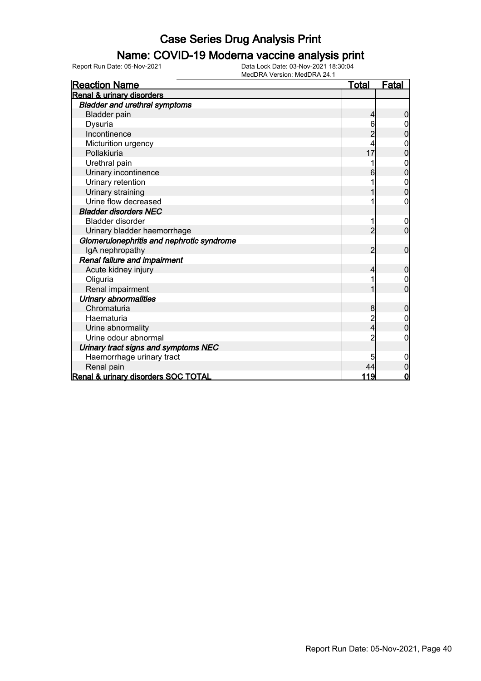#### Name: COVID-19 Moderna vaccine analysis print

| <b>Reaction Name</b>                      | <u>Total</u> | <u>Fatal</u>   |
|-------------------------------------------|--------------|----------------|
| <b>Renal &amp; urinary disorders</b>      |              |                |
| <b>Bladder and urethral symptoms</b>      |              |                |
| <b>Bladder pain</b>                       | 4            | $\overline{0}$ |
| Dysuria                                   | 6            |                |
| Incontinence                              |              | 0              |
| Micturition urgency                       |              |                |
| Pollakiuria                               | 17           | 0              |
| Urethral pain                             |              | $\mathbf 0$    |
| Urinary incontinence                      | 6            | $\overline{0}$ |
| Urinary retention                         |              | 0              |
| Urinary straining                         |              | $\overline{0}$ |
| Urine flow decreased                      |              | 0              |
| <b>Bladder disorders NEC</b>              |              |                |
| <b>Bladder disorder</b>                   |              | $\mathbf 0$    |
| Urinary bladder haemorrhage               | 2            | $\mathbf 0$    |
| Glomerulonephritis and nephrotic syndrome |              |                |
| IgA nephropathy                           | 2            | 0              |
| Renal failure and impairment              |              |                |
| Acute kidney injury                       | 4            | $\mathbf 0$    |
| Oliguria                                  |              | 0              |
| Renal impairment                          |              | $\overline{0}$ |
| <b>Urinary abnormalities</b>              |              |                |
| Chromaturia                               | 8            | $\mathbf 0$    |
| Haematuria                                |              |                |
| Urine abnormality                         | 4            | 0              |
| Urine odour abnormal                      | 2            | 0              |
| Urinary tract signs and symptoms NEC      |              |                |
| Haemorrhage urinary tract                 | 5            | 0              |
| Renal pain                                | 44           | $\overline{0}$ |
| Renal & urinary disorders SOC TOTAL       | 119          | $\mathbf 0$    |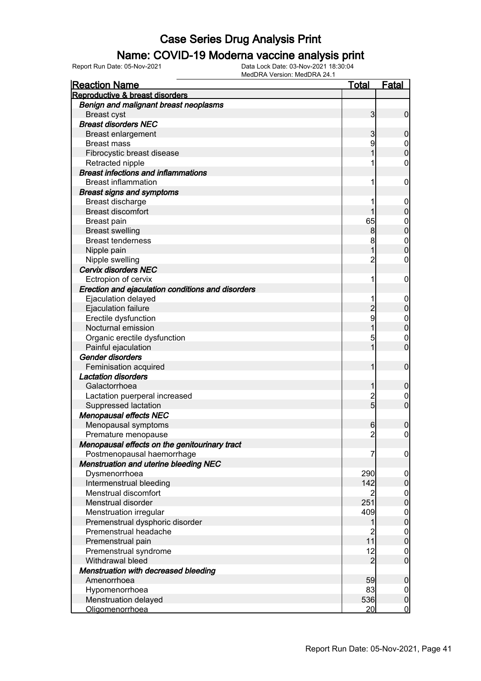#### Name: COVID-19 Moderna vaccine analysis print

| <b>Reaction Name</b>                              | <u>Total</u>   | <b>Fatal</b>        |
|---------------------------------------------------|----------------|---------------------|
| Reproductive & breast disorders                   |                |                     |
| Benign and malignant breast neoplasms             |                |                     |
| <b>Breast cyst</b>                                | 3              | $\mathbf 0$         |
| <b>Breast disorders NEC</b>                       |                |                     |
| Breast enlargement                                | 3              | $\mathbf 0$         |
| <b>Breast mass</b>                                | 9              | $\mathbf 0$         |
| Fibrocystic breast disease                        | 1              | $\overline{0}$      |
| Retracted nipple                                  | 1              | $\boldsymbol{0}$    |
| <b>Breast infections and inflammations</b>        |                |                     |
| <b>Breast inflammation</b>                        | 1              | $\boldsymbol{0}$    |
| <b>Breast signs and symptoms</b>                  |                |                     |
| Breast discharge                                  | 1              | $\mathbf 0$         |
| <b>Breast discomfort</b>                          | 1              | $\mathbf 0$         |
| Breast pain                                       | 65             | $\mathbf{0}$        |
| <b>Breast swelling</b>                            | 8              | $\mathbf 0$         |
| <b>Breast tenderness</b>                          | 8              | $\mathbf{0}$        |
| Nipple pain                                       | 1              | $\overline{0}$      |
| Nipple swelling                                   | $\overline{c}$ | $\mathbf 0$         |
| <b>Cervix disorders NEC</b>                       |                |                     |
| Ectropion of cervix                               | 1              | $\boldsymbol{0}$    |
| Erection and ejaculation conditions and disorders |                |                     |
| Ejaculation delayed                               | 1              | $\mathbf 0$         |
| Ejaculation failure                               | $\overline{c}$ | $\pmb{0}$           |
| Erectile dysfunction                              | 9              | $\mathbf{0}$        |
| Nocturnal emission                                | 1              | $\overline{0}$      |
| Organic erectile dysfunction                      | 5              | $\mathbf 0$         |
| Painful ejaculation                               | 1              | $\overline{0}$      |
| <b>Gender disorders</b>                           |                |                     |
| Feminisation acquired                             | 1              | $\boldsymbol{0}$    |
| <b>Lactation disorders</b>                        |                |                     |
| Galactorrhoea                                     | 1              | $\boldsymbol{0}$    |
| Lactation puerperal increased                     |                | $\mathbf 0$         |
| Suppressed lactation                              | $\frac{2}{5}$  | $\overline{0}$      |
| <b>Menopausal effects NEC</b>                     |                |                     |
| Menopausal symptoms                               | 6              | 0                   |
| Premature menopause                               | $\overline{c}$ | $\mathsf{O}\xspace$ |
| Menopausal effects on the genitourinary tract     |                |                     |
| Postmenopausal haemorrhage                        | 7              | $\overline{0}$      |
| <b>Menstruation and uterine bleeding NEC</b>      |                |                     |
| Dysmenorrhoea                                     | 290            | $\overline{0}$      |
| Intermenstrual bleeding                           | 142            | $\pmb{0}$           |
| Menstrual discomfort                              | $\overline{2}$ | $\boldsymbol{0}$    |
| Menstrual disorder                                | 251            | $\pmb{0}$           |
| Menstruation irregular                            | 409            | $\boldsymbol{0}$    |
| Premenstrual dysphoric disorder                   | 1              | $\mathbf 0$         |
| Premenstrual headache                             | $\overline{c}$ | $\boldsymbol{0}$    |
| Premenstrual pain                                 | 11             | $\mathbf 0$         |
| Premenstrual syndrome                             | 12             | $\boldsymbol{0}$    |
| Withdrawal bleed                                  | $\overline{2}$ | $\boldsymbol{0}$    |
| Menstruation with decreased bleeding              |                |                     |
| Amenorrhoea                                       | 59             | $\boldsymbol{0}$    |
| Hypomenorrhoea                                    | 83             | $\overline{0}$      |
| Menstruation delayed                              | 536            | $\pmb{0}$           |
| Oligomenorrhoea                                   | 20             | $\overline{0}$      |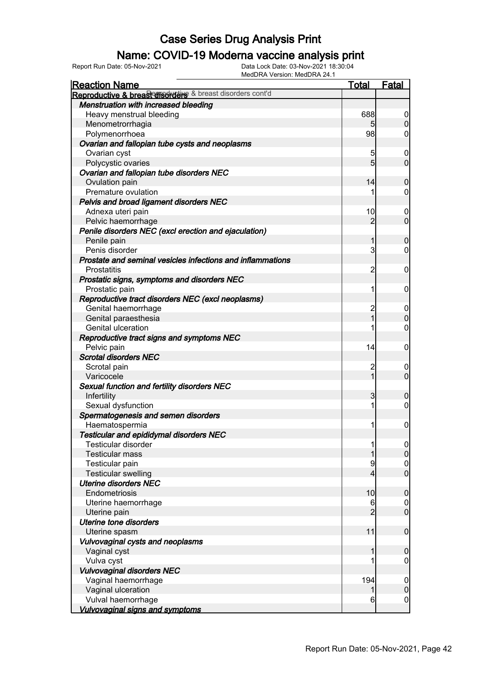### Name: COVID-19 Moderna vaccine analysis print

Report Run Date: 05-Nov-2021 Data Lock Date: 03-Nov-2021 18:30:04

| <b>Reaction Name</b>                                       | <b>Total</b>   | Fatal                                |
|------------------------------------------------------------|----------------|--------------------------------------|
| Reproductive & breast disorders & breast disorders cont'd  |                |                                      |
| Menstruation with increased bleeding                       |                |                                      |
| Heavy menstrual bleeding                                   | 688            | $\overline{0}$                       |
| Menometrorrhagia                                           | 5 <sub>5</sub> | $\overline{0}$                       |
| Polymenorrhoea                                             | 98             | $\overline{0}$                       |
| Ovarian and fallopian tube cysts and neoplasms             |                |                                      |
| Ovarian cyst                                               | 5              | $\boldsymbol{0}$                     |
| Polycystic ovaries                                         | 5              | $\overline{0}$                       |
| Ovarian and fallopian tube disorders NEC                   |                |                                      |
| Ovulation pain                                             | 14             | $\mathbf 0$                          |
| Premature ovulation                                        |                | $\overline{0}$                       |
| Pelvis and broad ligament disorders NEC                    |                |                                      |
| Adnexa uteri pain                                          | 10             | $\boldsymbol{0}$                     |
| Pelvic haemorrhage                                         | $\overline{2}$ | $\overline{0}$                       |
| Penile disorders NEC (excl erection and ejaculation)       |                |                                      |
| Penile pain                                                | 1              | $\mathbf 0$                          |
| Penis disorder                                             | 3              | $\overline{0}$                       |
| Prostate and seminal vesicles infections and inflammations |                |                                      |
| <b>Prostatitis</b>                                         | $\overline{c}$ | $\mathbf 0$                          |
| Prostatic signs, symptoms and disorders NEC                |                |                                      |
| Prostatic pain                                             | 1              | $\mathbf 0$                          |
| Reproductive tract disorders NEC (excl neoplasms)          |                |                                      |
| Genital haemorrhage                                        | $\overline{c}$ |                                      |
|                                                            | $\overline{1}$ | $\mathbf 0$<br>$\overline{0}$        |
| Genital paraesthesia<br>Genital ulceration                 |                | $\overline{0}$                       |
|                                                            |                |                                      |
| Reproductive tract signs and symptoms NEC                  |                |                                      |
| Pelvic pain                                                | 14             | $\mathbf 0$                          |
| <b>Scrotal disorders NEC</b>                               |                |                                      |
| Scrotal pain                                               | $\overline{c}$ | $\boldsymbol{0}$                     |
| Varicocele                                                 | 1              | $\overline{0}$                       |
| Sexual function and fertility disorders NEC                |                |                                      |
| Infertility                                                | 3              | $\mathbf 0$                          |
| Sexual dysfunction                                         | 1              | $\boldsymbol{0}$                     |
| Spermatogenesis and semen disorders                        |                |                                      |
| Haematospermia                                             |                | $\boldsymbol{0}$                     |
| Testicular and epididymal disorders NEC                    |                |                                      |
| Testicular disorder                                        |                | $\begin{matrix} 0 \\ 0 \end{matrix}$ |
| <b>Testicular mass</b>                                     |                |                                      |
| Testicular pain                                            | 9              | $\begin{matrix} 0 \\ 0 \end{matrix}$ |
| <b>Testicular swelling</b>                                 | 4              |                                      |
| <b>Uterine disorders NEC</b>                               |                |                                      |
| Endometriosis                                              | 10             | $\mathbf 0$                          |
| Uterine haemorrhage                                        | 6              | $\overline{0}$                       |
| Uterine pain                                               | $\overline{2}$ | $\overline{0}$                       |
| <b>Uterine tone disorders</b>                              |                |                                      |
| Uterine spasm                                              | 11             | $\mathbf 0$                          |
| Vulvovaginal cysts and neoplasms                           |                |                                      |
| Vaginal cyst                                               |                | $\boldsymbol{0}$                     |
| Vulva cyst                                                 |                | 0                                    |
| <b>Vulvovaginal disorders NEC</b>                          |                |                                      |
| Vaginal haemorrhage                                        | 194            | $\mathbf 0$                          |
| Vaginal ulceration                                         | 1              | $\mathbf 0$                          |
| Vulval haemorrhage                                         | 6              | $\overline{0}$                       |
| <b>Vulvovaginal signs and symptoms</b>                     |                |                                      |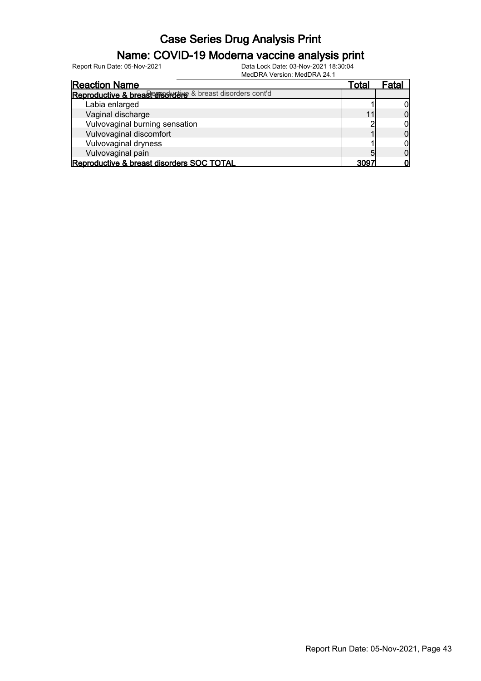### Name: COVID-19 Moderna vaccine analysis print

Report Run Date: 05-Nov-2021 Data Lock Date: 03-Nov-2021 18:30:04

| <b>Reaction Name</b>                                      | Total | -atal |
|-----------------------------------------------------------|-------|-------|
| Reproductive & breasterisorders & breast disorders cont'd |       |       |
| Labia enlarged                                            |       |       |
| Vaginal discharge                                         |       |       |
| Vulvovaginal burning sensation                            |       |       |
| Vulvovaginal discomfort                                   |       |       |
| Vulvovaginal dryness                                      |       |       |
| Vulvovaginal pain                                         | 5     |       |
| Reproductive & breast disorders SOC TOTAL                 | ana   |       |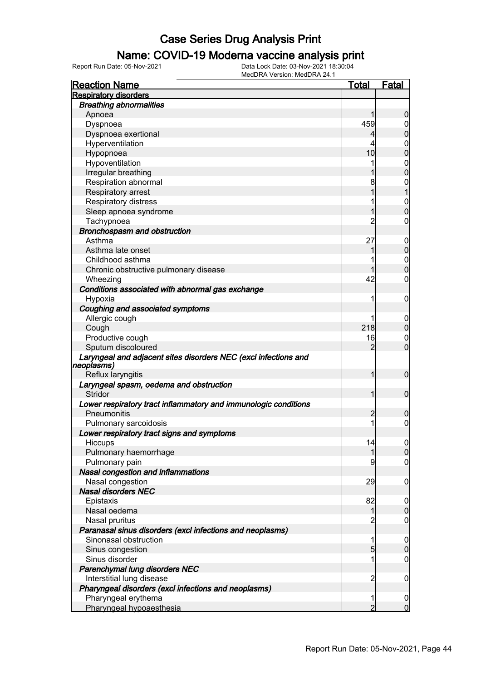### Name: COVID-19 Moderna vaccine analysis print

| <b>Reaction Name</b>                                            | Total          | <b>Fatal</b>     |
|-----------------------------------------------------------------|----------------|------------------|
| <b>Respiratory disorders</b>                                    |                |                  |
| <b>Breathing abnormalities</b>                                  |                |                  |
| Apnoea                                                          |                | 0                |
| Dyspnoea                                                        | 459            | 0                |
| Dyspnoea exertional                                             |                | 0                |
| Hyperventilation                                                | 4              | 0                |
| Hypopnoea                                                       | 10             | 0                |
| Hypoventilation                                                 | 1              | 0                |
| Irregular breathing                                             |                | 0                |
| Respiration abnormal                                            | 8              | 0                |
| Respiratory arrest                                              |                |                  |
| Respiratory distress                                            | 1              | 0                |
| Sleep apnoea syndrome                                           |                | $\Omega$         |
| Tachypnoea                                                      | 2              | 0                |
| Bronchospasm and obstruction                                    |                |                  |
| Asthma                                                          | 27             | $\mathbf 0$      |
| Asthma late onset                                               |                | 0                |
| Childhood asthma                                                |                | 0                |
| Chronic obstructive pulmonary disease                           |                | $\Omega$         |
| Wheezing                                                        | 42             | 0                |
| Conditions associated with abnormal gas exchange                |                |                  |
| Hypoxia                                                         | 1              | 0                |
| Coughing and associated symptoms                                |                |                  |
| Allergic cough                                                  | 1              | $\mathbf 0$      |
| Cough                                                           | 218            | 0                |
| Productive cough                                                | 16             | $\mathbf 0$      |
| Sputum discoloured                                              | 2              | $\overline{0}$   |
| Laryngeal and adjacent sites disorders NEC (excl infections and |                |                  |
| neoplasms)                                                      |                |                  |
| Reflux laryngitis                                               | 1              | $\mathbf 0$      |
| Laryngeal spasm, oedema and obstruction                         |                |                  |
| Stridor                                                         | 1              | $\mathbf 0$      |
| Lower respiratory tract inflammatory and immunologic conditions |                |                  |
| Pneumonitis                                                     | 2              | 0                |
| Pulmonary sarcoidosis                                           |                | 0                |
| Lower respiratory tract signs and symptoms                      |                |                  |
| <b>HICCUPS</b>                                                  | 14             |                  |
| Pulmonary haemorrhage                                           | 1              | $\overline{0}$   |
| Pulmonary pain                                                  | 9              | 0                |
| Nasal congestion and inflammations                              |                |                  |
| Nasal congestion                                                | 29             | 0                |
| <b>Nasal disorders NEC</b>                                      |                |                  |
| Epistaxis                                                       | 82             | $\boldsymbol{0}$ |
| Nasal oedema                                                    | 1              | $\mathbf 0$      |
| Nasal pruritus                                                  | 2              | 0                |
| Paranasal sinus disorders (excl infections and neoplasms)       |                |                  |
| Sinonasal obstruction                                           | 1              | 0                |
| Sinus congestion                                                | 5              | $\mathbf 0$      |
| Sinus disorder                                                  |                | 0                |
| Parenchymal lung disorders NEC                                  |                |                  |
| Interstitial lung disease                                       | 2              | 0                |
| Pharyngeal disorders (excl infections and neoplasms)            |                |                  |
| Pharyngeal erythema                                             | 1              | $\overline{0}$   |
| Pharyngeal hypoaesthesia                                        | $\overline{2}$ | $\overline{0}$   |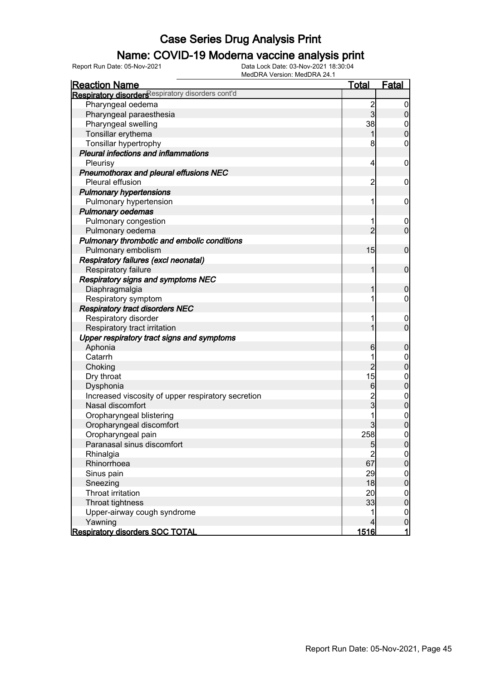### Name: COVID-19 Moderna vaccine analysis print

| <b>Reaction Name</b>                               | <b>Total</b>                           | <b>Fatal</b>                         |
|----------------------------------------------------|----------------------------------------|--------------------------------------|
| Respiratory disorders espiratory disorders cont'd  |                                        |                                      |
| Pharyngeal oedema                                  | $\frac{2}{3}$                          | $\boldsymbol{0}$                     |
| Pharyngeal paraesthesia                            |                                        | $\boldsymbol{0}$                     |
| Pharyngeal swelling                                | 38                                     | $\overline{0}$                       |
| Tonsillar erythema                                 | 1                                      | $\mathbf 0$                          |
| Tonsillar hypertrophy                              | 8                                      | $\mathbf 0$                          |
| <b>Pleural infections and inflammations</b>        |                                        |                                      |
| Pleurisy                                           | $\overline{4}$                         | $\mathbf 0$                          |
| Pneumothorax and pleural effusions NEC             |                                        |                                      |
| Pleural effusion                                   | $\overline{c}$                         | $\mathbf 0$                          |
| <b>Pulmonary hypertensions</b>                     |                                        |                                      |
| Pulmonary hypertension                             | 1                                      | $\mathbf 0$                          |
| <b>Pulmonary oedemas</b>                           |                                        |                                      |
| Pulmonary congestion                               | 1                                      | $\boldsymbol{0}$                     |
| Pulmonary oedema                                   | $\overline{2}$                         | $\mathbf 0$                          |
| Pulmonary thrombotic and embolic conditions        |                                        |                                      |
| Pulmonary embolism                                 | 15                                     | $\mathbf 0$                          |
| <b>Respiratory failures (excl neonatal)</b>        |                                        |                                      |
| Respiratory failure                                | 1                                      | $\mathbf 0$                          |
| <b>Respiratory signs and symptoms NEC</b>          |                                        |                                      |
| Diaphragmalgia                                     | 1                                      | $\mathbf 0$                          |
| Respiratory symptom                                |                                        | 0                                    |
| <b>Respiratory tract disorders NEC</b>             |                                        |                                      |
| Respiratory disorder                               |                                        | $\boldsymbol{0}$                     |
| Respiratory tract irritation                       | 1                                      | $\mathbf 0$                          |
| Upper respiratory tract signs and symptoms         |                                        |                                      |
| Aphonia                                            | $6\phantom{.0}$                        | $\mathbf 0$                          |
| Catarrh                                            | 1                                      | $\mathbf 0$                          |
| Choking                                            | $\overline{2}$                         | $\mathbf 0$                          |
| Dry throat                                         | 15                                     | $\mathbf 0$                          |
| Dysphonia                                          | $6\phantom{.0}$                        | $\mathbf 0$                          |
| Increased viscosity of upper respiratory secretion | $\frac{2}{3}$                          | $\boldsymbol{0}$                     |
| Nasal discomfort                                   |                                        | $\overline{0}$                       |
| Oropharyngeal blistering                           |                                        | $\begin{matrix} 0 \\ 0 \end{matrix}$ |
| Oropharyngeal discomfort                           | 3                                      |                                      |
| Oropharyngeal pain                                 | 258                                    | $\pmb{0}$                            |
| Paranasal sinus discomfort                         | 5                                      | 0                                    |
| Rhinalgia                                          | $\begin{array}{c} 2 \\ 67 \end{array}$ | 0                                    |
| Rhinorrhoea                                        |                                        | $\mathbf 0$                          |
| Sinus pain                                         | 29                                     | $\boldsymbol{0}$                     |
| Sneezing                                           | 18                                     | $\overline{0}$                       |
| Throat irritation                                  | 20                                     | $\boldsymbol{0}$                     |
| Throat tightness                                   | 33                                     | $\boldsymbol{0}$                     |
| Upper-airway cough syndrome                        | 1                                      | $\mathbf 0$                          |
| Yawning                                            | $\overline{4}$                         | $\pmb{0}$                            |
| Respiratory disorders SOC TOTAL                    | <u>1516 </u>                           | $\mathbf{1}$                         |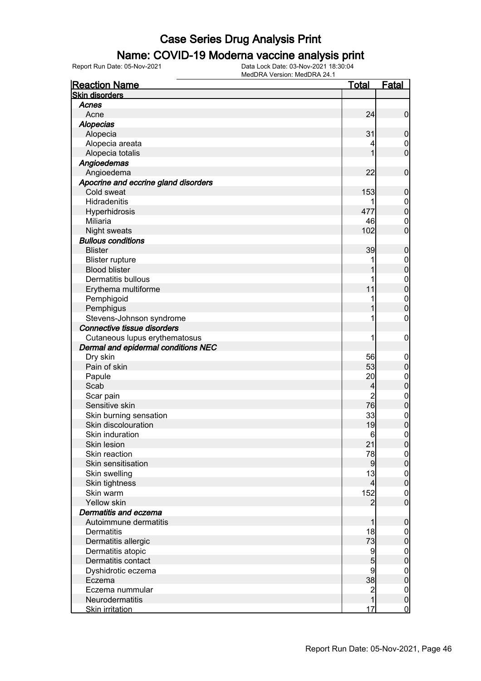#### Name: COVID-19 Moderna vaccine analysis print

Report Run Date: 05-Nov-2021 Data Lock Date: 03-Nov-2021 18:30:04

| <b>Reaction Name</b>                 | <u>Total</u>   | Fatal                            |
|--------------------------------------|----------------|----------------------------------|
| <b>Skin disorders</b>                |                |                                  |
| Acnes                                |                |                                  |
| Acne                                 | 24             | $\mathbf 0$                      |
| <b>Alopecias</b>                     |                |                                  |
| Alopecia                             | 31             | 0                                |
| Alopecia areata                      | 4              | $\overline{0}$                   |
| Alopecia totalis                     |                | O                                |
| Angioedemas                          |                |                                  |
| Angioedema                           | 22             | 0                                |
| Apocrine and eccrine gland disorders |                |                                  |
| Cold sweat                           | 153            | 0                                |
| Hidradenitis                         |                | $\overline{0}$                   |
| Hyperhidrosis                        | 477            | $\overline{0}$                   |
| Miliaria                             | 46             | $\mathbf 0$                      |
| Night sweats                         | 102            | O                                |
| <b>Bullous conditions</b>            |                |                                  |
| <b>Blister</b>                       | 39             | 0                                |
| <b>Blister rupture</b>               | 1              | $\boldsymbol{0}$                 |
| <b>Blood blister</b>                 |                | 0                                |
| <b>Dermatitis bullous</b>            |                | $\mathbf{0}$                     |
| Erythema multiforme                  | 11             | $\overline{0}$                   |
| Pemphigoid                           | 1              |                                  |
| Pemphigus                            |                | $\overline{0}$<br>$\overline{0}$ |
| Stevens-Johnson syndrome             | 1              | 0                                |
| Connective tissue disorders          |                |                                  |
|                                      |                |                                  |
| Cutaneous lupus erythematosus        | 1              | 0                                |
| Dermal and epidermal conditions NEC  |                |                                  |
| Dry skin                             | 56             | $\overline{0}$                   |
| Pain of skin                         | 53             | $\mathbf 0$                      |
| Papule                               | 20             | $\mathbf{0}$                     |
| Scab                                 | 4              | 0                                |
| Scar pain                            | $\overline{2}$ | $\mathbf 0$                      |
| Sensitive skin                       | 76             | $\overline{0}$                   |
| Skin burning sensation               | 33             | $\mathbf 0$                      |
| Skin discolouration                  | 19             | 0                                |
| Skin induration                      | 6              | 0                                |
| Skin lesion                          | 21             | $\boldsymbol{0}$                 |
| Skin reaction                        | 78             | $\overline{0}$                   |
| Skin sensitisation                   | 9              | 0                                |
| Skin swelling                        | 13             | $0\atop 0$                       |
| Skin tightness                       | 4              |                                  |
| Skin warm                            | 152            | $\mathbf{0}$                     |
| Yellow skin                          | 2              | $\overline{0}$                   |
| Dermatitis and eczema                |                |                                  |
| Autoimmune dermatitis                |                | 0                                |
| <b>Dermatitis</b>                    | 18             | $\mathbf 0$                      |
| Dermatitis allergic                  | 73             | 0                                |
| Dermatitis atopic                    | 9              | $\boldsymbol{0}$                 |
| Dermatitis contact                   | 5              | $\mathbf 0$                      |
| Dyshidrotic eczema                   | 9              | $\boldsymbol{0}$                 |
| Eczema                               | 38             | $\overline{0}$                   |
| Eczema nummular                      | $\overline{c}$ | $\boldsymbol{0}$                 |
| Neurodermatitis                      |                | $\overline{0}$                   |
| <b>Skin irritation</b>               | 17             | $\mathbf 0$                      |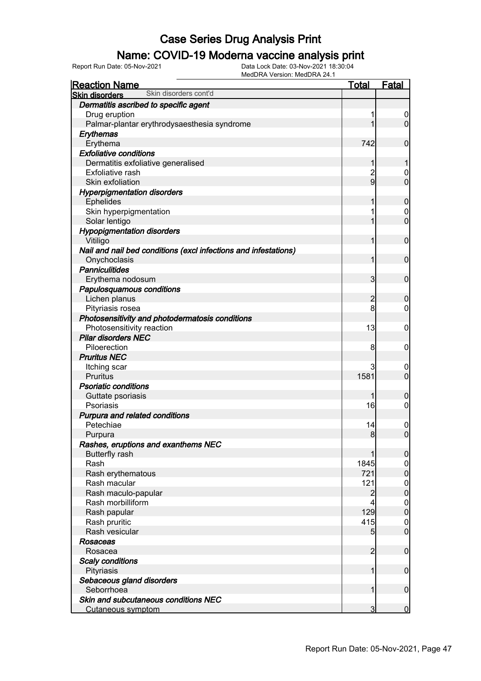### Name: COVID-19 Moderna vaccine analysis print

| <b>Reaction Name</b>                                            | <b>Total</b>   | Fatal            |
|-----------------------------------------------------------------|----------------|------------------|
| Skin disorders cont'd<br><b>Skin disorders</b>                  |                |                  |
| Dermatitis ascribed to specific agent                           |                |                  |
| Drug eruption                                                   |                | $\overline{0}$   |
| Palmar-plantar erythrodysaesthesia syndrome                     |                | $\overline{0}$   |
| Erythemas                                                       |                |                  |
| Erythema                                                        | 742            | $\mathbf 0$      |
| <b>Exfoliative conditions</b>                                   |                |                  |
| Dermatitis exfoliative generalised                              | 1              | 1                |
| Exfoliative rash                                                | $\overline{c}$ | $\mathbf 0$      |
| Skin exfoliation                                                | $\overline{9}$ | $\overline{0}$   |
| <b>Hyperpigmentation disorders</b>                              |                |                  |
| <b>Ephelides</b>                                                |                | $\mathbf 0$      |
| Skin hyperpigmentation                                          |                | $\mathbf 0$      |
| Solar lentigo                                                   |                | $\mathbf 0$      |
| <b>Hypopigmentation disorders</b>                               |                |                  |
| Vitiligo                                                        | 1              | $\mathbf 0$      |
| Nail and nail bed conditions (excl infections and infestations) |                |                  |
| Onychoclasis                                                    | 1              | $\mathbf 0$      |
| <b>Panniculitides</b>                                           |                |                  |
| Erythema nodosum                                                | $\overline{3}$ | $\mathbf 0$      |
| Papulosquamous conditions                                       |                |                  |
| Lichen planus                                                   | $\overline{2}$ | $\boldsymbol{0}$ |
| Pityriasis rosea                                                | 8              | 0                |
| Photosensitivity and photodermatosis conditions                 |                |                  |
| Photosensitivity reaction                                       | 13             | $\mathbf 0$      |
| <b>Pilar disorders NEC</b>                                      |                |                  |
| Piloerection                                                    | 8              | $\mathbf 0$      |
| <b>Pruritus NEC</b>                                             |                |                  |
| Itching scar                                                    |                | 0                |
| Pruritus                                                        | 1581           | $\overline{0}$   |
| <b>Psoriatic conditions</b>                                     |                |                  |
| Guttate psoriasis                                               |                | $\boldsymbol{0}$ |
| Psoriasis                                                       | 16             | 0                |
| Purpura and related conditions                                  |                |                  |
| Petechiae                                                       | 14             | $\mathbf 0$      |
| Purpura                                                         | 8 <sup>1</sup> | $\overline{0}$   |
| Rashes, eruptions and exanthems NEC                             |                |                  |
| <b>Butterfly rash</b>                                           |                | $\overline{0}$   |
| Rash                                                            | 1845           | $\overline{0}$   |
| Rash erythematous                                               | 721            | $\overline{0}$   |
| Rash macular                                                    | 121            | $0\atop 0$       |
| Rash maculo-papular                                             | $\overline{c}$ |                  |
| Rash morbilliform                                               | 4              | $\boldsymbol{0}$ |
| Rash papular                                                    | 129            | $\overline{0}$   |
| Rash pruritic                                                   | 415            | $\mathbf 0$      |
| Rash vesicular                                                  | 5              | $\overline{0}$   |
| Rosaceas                                                        |                |                  |
| Rosacea                                                         | $\overline{2}$ | $\mathbf 0$      |
| <b>Scaly conditions</b>                                         |                |                  |
| Pityriasis                                                      | 1              | $\mathbf 0$      |
| Sebaceous gland disorders                                       |                |                  |
| Seborrhoea                                                      | 1              | $\overline{0}$   |
| Skin and subcutaneous conditions NEC                            |                |                  |
| Cutaneous symptom                                               | 3              | $\overline{0}$   |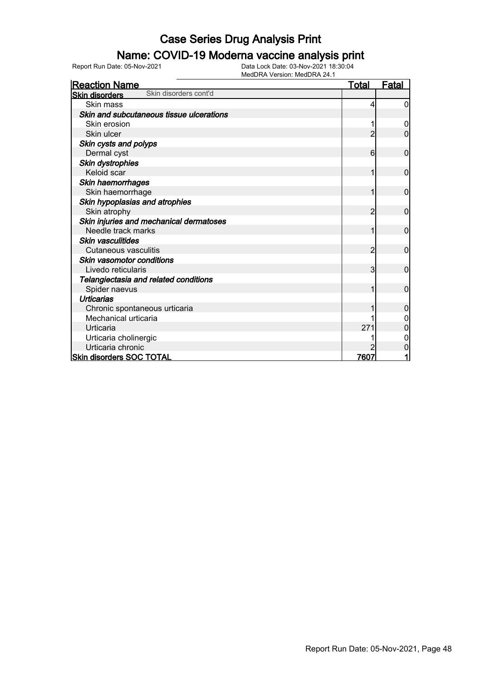### Name: COVID-19 Moderna vaccine analysis print

| <b>Reaction Name</b>                           | <b>Total</b>   | <b>Fatal</b> |
|------------------------------------------------|----------------|--------------|
| Skin disorders cont'd<br><b>Skin disorders</b> |                |              |
| Skin mass                                      | 4              | 0            |
| Skin and subcutaneous tissue ulcerations       |                |              |
| Skin erosion                                   |                |              |
| Skin ulcer                                     | 2              | 0            |
| Skin cysts and polyps                          |                |              |
| Dermal cyst                                    | 6              | 0            |
| Skin dystrophies                               |                |              |
| Keloid scar                                    | 1              | 0            |
| Skin haemorrhages                              |                |              |
| Skin haemorrhage                               |                | $\mathbf 0$  |
| Skin hypoplasias and atrophies                 |                |              |
| Skin atrophy                                   | $\overline{2}$ | $\mathbf 0$  |
| Skin injuries and mechanical dermatoses        |                |              |
| Needle track marks                             | 1              | $\mathbf 0$  |
| <b>Skin vasculitides</b>                       |                |              |
| Cutaneous vasculitis                           | $\overline{2}$ | $\mathbf 0$  |
| Skin vasomotor conditions                      |                |              |
| Livedo reticularis                             | 3              | 0            |
| Telangiectasia and related conditions          |                |              |
| Spider naevus                                  |                | $\mathbf{0}$ |
| <b>Urticarias</b>                              |                |              |
| Chronic spontaneous urticaria                  |                | 0            |
| Mechanical urticaria                           |                |              |
| Urticaria                                      | 271            |              |
| Urticaria cholinergic                          |                |              |
| Urticaria chronic                              |                | 0            |
| <b>Skin disorders SOC TOTAL</b>                | 7607           |              |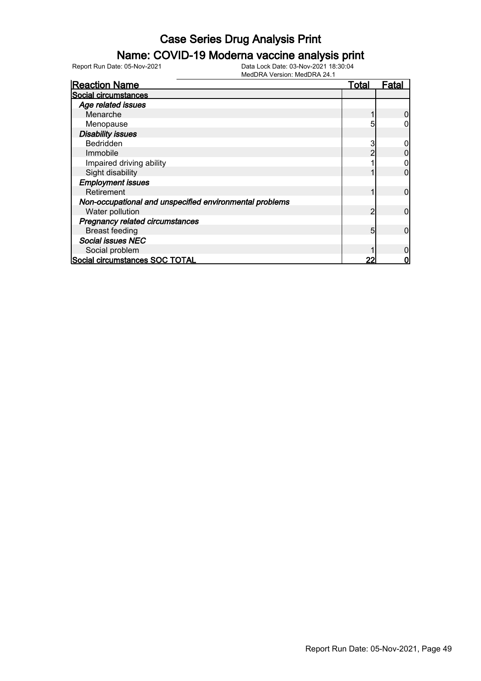### Name: COVID-19 Moderna vaccine analysis print

Report Run Date: 05-Nov-2021 Data Lock Date: 03-Nov-2021 18:30:04

| <b>Reaction Name</b>                                    | <u>Total</u> | Fatal |
|---------------------------------------------------------|--------------|-------|
| Social circumstances                                    |              |       |
| Age related issues                                      |              |       |
| Menarche                                                |              |       |
| Menopause                                               | 5            |       |
| <b>Disability issues</b>                                |              |       |
| <b>Bedridden</b>                                        | 3            |       |
| Immobile                                                |              |       |
| Impaired driving ability                                |              |       |
| Sight disability                                        |              | ი     |
| <b>Employment issues</b>                                |              |       |
| Retirement                                              |              | 0     |
| Non-occupational and unspecified environmental problems |              |       |
| Water pollution                                         | っ            | 0     |
| <b>Pregnancy related circumstances</b>                  |              |       |
| <b>Breast feeding</b>                                   | 5            | 0     |
| <b>Social issues NEC</b>                                |              |       |
| Social problem                                          |              |       |
| Social circumstances SOC TOTAL                          |              |       |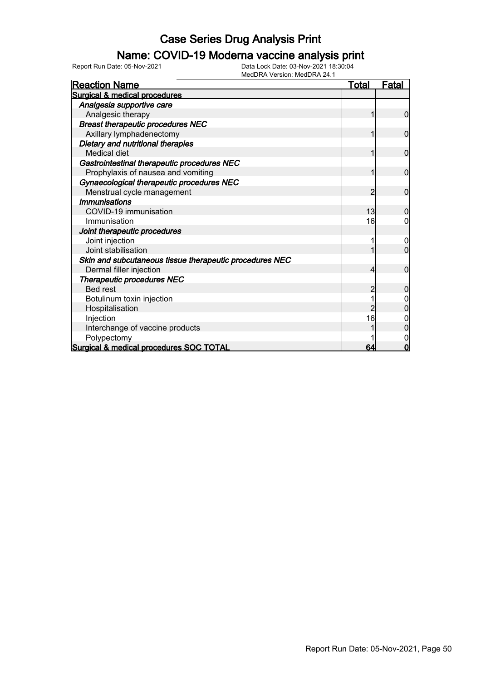#### Name: COVID-19 Moderna vaccine analysis print

Report Run Date: 05-Nov-2021 Data Lock Date: 03-Nov-2021 18:30:04

| <b>Reaction Name</b>                                    | <u>Total</u>  | <u>Fatal</u>   |
|---------------------------------------------------------|---------------|----------------|
| Surgical & medical procedures                           |               |                |
| Analgesia supportive care                               |               |                |
| Analgesic therapy                                       |               | 0              |
| <b>Breast therapeutic procedures NEC</b>                |               |                |
| Axillary lymphadenectomy                                |               | $\mathbf{0}$   |
| Dietary and nutritional therapies                       |               |                |
| <b>Medical diet</b>                                     | 1             | $\mathbf 0$    |
| Gastrointestinal therapeutic procedures NEC             |               |                |
| Prophylaxis of nausea and vomiting                      | 1             | $\mathbf 0$    |
| Gynaecological therapeutic procedures NEC               |               |                |
| Menstrual cycle management                              | $\mathcal{P}$ | $\overline{0}$ |
| <b>Immunisations</b>                                    |               |                |
| COVID-19 immunisation                                   | 13            | 0              |
| Immunisation                                            | 16            | 0              |
| Joint therapeutic procedures                            |               |                |
| Joint injection                                         |               | 0              |
| Joint stabilisation                                     |               | $\overline{0}$ |
| Skin and subcutaneous tissue therapeutic procedures NEC |               |                |
| Dermal filler injection                                 | 4             | $\overline{0}$ |
| <b>Therapeutic procedures NEC</b>                       |               |                |
| <b>Bed rest</b>                                         |               | 0              |
| Botulinum toxin injection                               |               |                |
| Hospitalisation                                         |               | 0              |
| Injection                                               | 16            |                |
| Interchange of vaccine products                         |               | $\Omega$       |
| Polypectomy                                             |               | 0              |
| Surgical & medical procedures SOC TOTAL                 | 64            | $\Omega$       |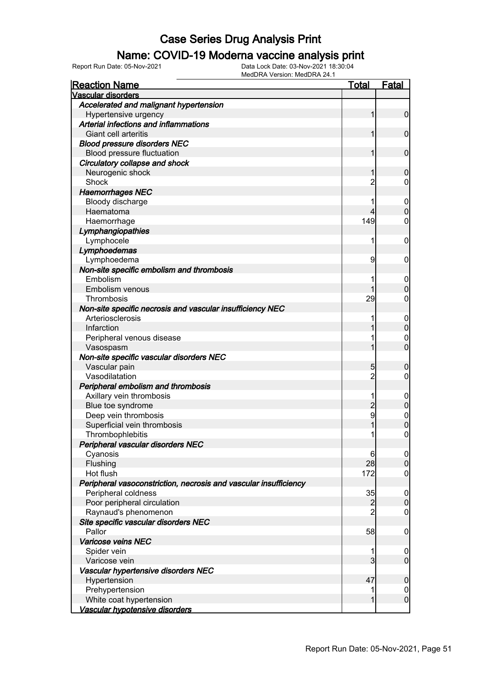### Name: COVID-19 Moderna vaccine analysis print

Report Run Date: 05-Nov-2021 Data Lock Date: 03-Nov-2021 18:30:04

| <b>Reaction Name</b>                                             | <u>Total</u>   | <b>Fatal</b>     |
|------------------------------------------------------------------|----------------|------------------|
| Vascular disorders                                               |                |                  |
| Accelerated and malignant hypertension                           |                |                  |
| Hypertensive urgency                                             | 1              | $\overline{0}$   |
| Arterial infections and inflammations                            |                |                  |
| Giant cell arteritis                                             | 1              | $\mathbf 0$      |
| <b>Blood pressure disorders NEC</b>                              |                |                  |
| Blood pressure fluctuation                                       | 1              | $\mathbf 0$      |
| Circulatory collapse and shock                                   |                |                  |
| Neurogenic shock                                                 | 1              | $\boldsymbol{0}$ |
| Shock                                                            | $\overline{c}$ | $\mathbf 0$      |
| <b>Haemorrhages NEC</b>                                          |                |                  |
| Bloody discharge                                                 |                | $\boldsymbol{0}$ |
| Haematoma                                                        | 4              | $\boldsymbol{0}$ |
| Haemorrhage                                                      | 149            | $\mathbf 0$      |
| Lymphangiopathies                                                |                |                  |
| Lymphocele                                                       | 1              | $\mathbf 0$      |
| Lymphoedemas                                                     |                |                  |
| Lymphoedema                                                      | 9              | $\mathbf 0$      |
| Non-site specific embolism and thrombosis                        |                |                  |
| Embolism                                                         |                | $\boldsymbol{0}$ |
| Embolism venous                                                  | 1              | $\boldsymbol{0}$ |
| Thrombosis                                                       | 29             | $\mathbf 0$      |
| Non-site specific necrosis and vascular insufficiency NEC        |                |                  |
| Arteriosclerosis                                                 |                | $\mathbf 0$      |
| Infarction                                                       |                | $\mathbf 0$      |
| Peripheral venous disease                                        |                | $\mathbf 0$      |
| Vasospasm                                                        | 1              | $\mathbf 0$      |
| Non-site specific vascular disorders NEC                         |                |                  |
| Vascular pain                                                    | 5              | $\boldsymbol{0}$ |
| Vasodilatation                                                   | $\overline{2}$ | $\mathbf 0$      |
| Peripheral embolism and thrombosis                               |                |                  |
| Axillary vein thrombosis                                         |                | $\boldsymbol{0}$ |
| Blue toe syndrome                                                | $\overline{c}$ | $\pmb{0}$        |
| Deep vein thrombosis                                             | 9              |                  |
| Superficial vein thrombosis                                      |                | $0\atop 0$       |
| Thrombophlebitis                                                 | 1              | $\mathbf 0$      |
| Peripheral vascular disorders NEC                                |                |                  |
| Cyanosis                                                         | 6              | $\overline{0}$   |
| Flushing                                                         | 28             | $\pmb{0}$        |
| Hot flush                                                        | 172            | $\mathbf 0$      |
| Peripheral vasoconstriction, necrosis and vascular insufficiency |                |                  |
| Peripheral coldness                                              | 35             | $\mathbf 0$      |
| Poor peripheral circulation                                      | $\overline{c}$ | $\pmb{0}$        |
| Raynaud's phenomenon                                             | $\overline{2}$ | $\mathbf 0$      |
| Site specific vascular disorders NEC                             |                |                  |
| Pallor                                                           | 58             | $\mathbf 0$      |
| <b>Varicose veins NEC</b>                                        |                |                  |
| Spider vein                                                      | 1              | $\boldsymbol{0}$ |
| Varicose vein                                                    | 3              | $\overline{0}$   |
| Vascular hypertensive disorders NEC                              |                |                  |
| Hypertension                                                     | 47             | $\mathbf 0$      |
| Prehypertension                                                  |                | $\overline{0}$   |
| White coat hypertension                                          | 1              | $\boldsymbol{0}$ |
| Vascular hypotensive disorders                                   |                |                  |